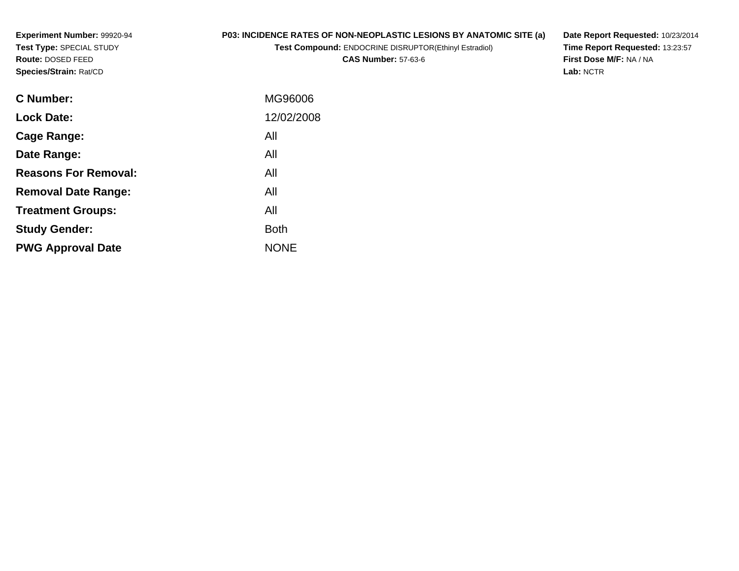## **P03: INCIDENCE RATES OF NON-NEOPLASTIC LESIONS BY ANATOMIC SITE (a)**

**Test Compound:** ENDOCRINE DISRUPTOR(Ethinyl Estradiol)

**CAS Number:** 57-63-6

**Date Report Requested:** 10/23/2014 **Time Report Requested:** 13:23:57**First Dose M/F:** NA / NA**Lab:** NCTR

| <b>C</b> Number:            | MG96006     |
|-----------------------------|-------------|
| <b>Lock Date:</b>           | 12/02/2008  |
| Cage Range:                 | All         |
| Date Range:                 | All         |
| <b>Reasons For Removal:</b> | All         |
| <b>Removal Date Range:</b>  | All         |
| <b>Treatment Groups:</b>    | All         |
| <b>Study Gender:</b>        | <b>Both</b> |
| <b>PWG Approval Date</b>    | <b>NONE</b> |
|                             |             |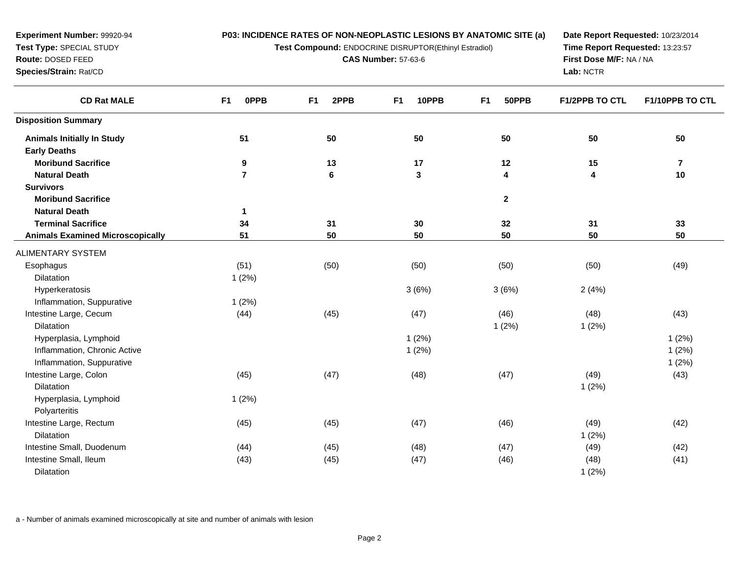**Test Compound:** ENDOCRINE DISRUPTOR(Ethinyl Estradiol)

**CAS Number:** 57-63-6

**Date Report Requested:** 10/23/2014**Time Report Requested:** 13:23:57**First Dose M/F:** NA / NA**Lab:** NCTR

| <b>CD Rat MALE</b>                          | 0PPB<br>F <sub>1</sub> | 2PPB<br>F <sub>1</sub> | 10PPB<br>F <sub>1</sub> | 50PPB<br>F <sub>1</sub> | <b>F1/2PPB TO CTL</b> | F1/10PPB TO CTL         |
|---------------------------------------------|------------------------|------------------------|-------------------------|-------------------------|-----------------------|-------------------------|
| <b>Disposition Summary</b>                  |                        |                        |                         |                         |                       |                         |
| <b>Animals Initially In Study</b>           | 51                     | 50                     | 50                      | 50                      | 50                    | 50                      |
| <b>Early Deaths</b>                         |                        |                        |                         |                         |                       |                         |
| <b>Moribund Sacrifice</b>                   | 9                      | 13                     | 17                      | 12                      | 15                    | $\overline{\mathbf{7}}$ |
| <b>Natural Death</b>                        | $\overline{7}$         | $\bf 6$                | $\mathbf{3}$            | 4                       | 4                     | 10                      |
| <b>Survivors</b>                            |                        |                        |                         |                         |                       |                         |
| <b>Moribund Sacrifice</b>                   |                        |                        |                         | $\mathbf{2}$            |                       |                         |
| <b>Natural Death</b>                        | $\mathbf{1}$           |                        |                         |                         |                       |                         |
| <b>Terminal Sacrifice</b>                   | 34                     | 31                     | 30                      | 32                      | 31                    | 33                      |
| <b>Animals Examined Microscopically</b>     | 51                     | 50                     | 50                      | 50                      | 50                    | 50                      |
| <b>ALIMENTARY SYSTEM</b>                    |                        |                        |                         |                         |                       |                         |
| Esophagus                                   | (51)                   | (50)                   | (50)                    | (50)                    | (50)                  | (49)                    |
| Dilatation                                  | 1(2%)                  |                        |                         |                         |                       |                         |
| Hyperkeratosis                              |                        |                        | 3(6%)                   | 3(6%)                   | 2(4%)                 |                         |
| Inflammation, Suppurative                   | 1(2%)                  |                        |                         |                         |                       |                         |
| Intestine Large, Cecum                      | (44)                   | (45)                   | (47)                    | (46)                    | (48)                  | (43)                    |
| Dilatation                                  |                        |                        |                         | 1(2%)                   | 1(2%)                 |                         |
| Hyperplasia, Lymphoid                       |                        |                        | 1(2%)                   |                         |                       | 1(2%)                   |
| Inflammation, Chronic Active                |                        |                        | 1(2%)                   |                         |                       | 1(2%)                   |
| Inflammation, Suppurative                   |                        |                        |                         |                         |                       | 1(2%)                   |
| Intestine Large, Colon                      | (45)                   | (47)                   | (48)                    | (47)                    | (49)                  | (43)                    |
| <b>Dilatation</b>                           |                        |                        |                         |                         | 1(2%)                 |                         |
| Hyperplasia, Lymphoid                       | 1(2%)                  |                        |                         |                         |                       |                         |
| Polyarteritis                               |                        |                        |                         |                         |                       |                         |
| Intestine Large, Rectum                     | (45)                   | (45)                   | (47)                    | (46)                    | (49)                  | (42)                    |
| Dilatation                                  |                        |                        |                         |                         | 1(2%)                 |                         |
| Intestine Small, Duodenum                   | (44)                   | (45)                   | (48)                    | (47)                    | (49)                  | (42)                    |
| Intestine Small, Ileum<br><b>Dilatation</b> | (43)                   | (45)                   | (47)                    | (46)                    | (48)<br>1(2%)         | (41)                    |
|                                             |                        |                        |                         |                         |                       |                         |

a - Number of animals examined microscopically at site and number of animals with lesion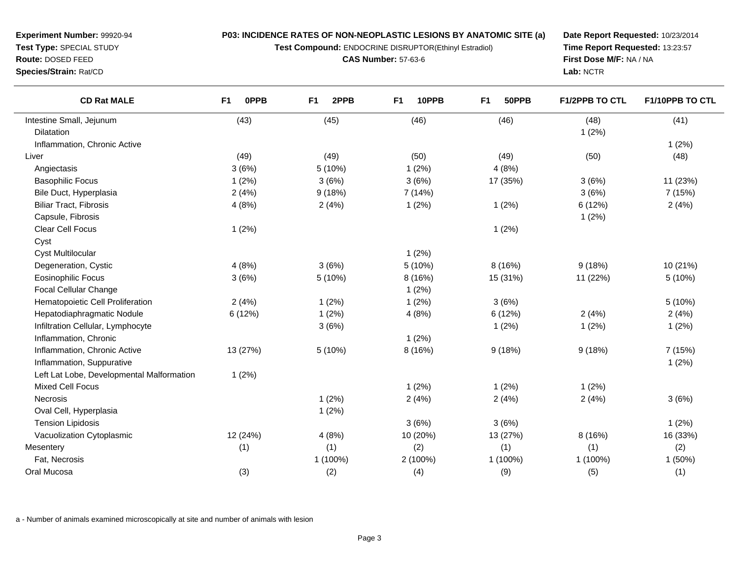**Test Compound:** ENDOCRINE DISRUPTOR(Ethinyl Estradiol)

**CAS Number:** 57-63-6

**Date Report Requested:** 10/23/2014**Time Report Requested:** 13:23:57**First Dose M/F:** NA / NA**Lab:** NCTR

| <b>CD Rat MALE</b>                        | F1<br><b>OPPB</b> | 2PPB<br>F <sub>1</sub> | 10PPB<br>F1 | 50PPB<br>F <sub>1</sub> | <b>F1/2PPB TO CTL</b> | F1/10PPB TO CTL |
|-------------------------------------------|-------------------|------------------------|-------------|-------------------------|-----------------------|-----------------|
| Intestine Small, Jejunum                  | (43)              | (45)                   | (46)        | (46)                    | (48)                  | (41)            |
| Dilatation                                |                   |                        |             |                         | 1(2%)                 |                 |
| Inflammation, Chronic Active              |                   |                        |             |                         |                       | 1(2%)           |
| Liver                                     | (49)              | (49)                   | (50)        | (49)                    | (50)                  | (48)            |
| Angiectasis                               | 3(6%)             | 5(10%)                 | 1(2%)       | 4(8%)                   |                       |                 |
| <b>Basophilic Focus</b>                   | 1(2%)             | 3(6%)                  | 3(6%)       | 17 (35%)                | 3(6%)                 | 11 (23%)        |
| Bile Duct, Hyperplasia                    | 2(4%)             | 9(18%)                 | 7 (14%)     |                         | 3(6%)                 | 7 (15%)         |
| <b>Biliar Tract, Fibrosis</b>             | 4(8%)             | 2(4%)                  | 1(2%)       | 1(2%)                   | 6 (12%)               | 2(4%)           |
| Capsule, Fibrosis                         |                   |                        |             |                         | 1(2%)                 |                 |
| Clear Cell Focus                          | 1(2%)             |                        |             | 1(2%)                   |                       |                 |
| Cyst                                      |                   |                        |             |                         |                       |                 |
| <b>Cyst Multilocular</b>                  |                   |                        | 1(2%)       |                         |                       |                 |
| Degeneration, Cystic                      | 4(8%)             | 3(6%)                  | 5 (10%)     | 8 (16%)                 | 9(18%)                | 10 (21%)        |
| <b>Eosinophilic Focus</b>                 | 3(6%)             | 5(10%)                 | 8(16%)      | 15 (31%)                | 11 (22%)              | 5(10%)          |
| Focal Cellular Change                     |                   |                        | 1(2%)       |                         |                       |                 |
| Hematopoietic Cell Proliferation          | 2(4%)             | 1(2%)                  | 1(2%)       | 3(6%)                   |                       | 5(10%)          |
| Hepatodiaphragmatic Nodule                | 6(12%)            | 1(2%)                  | 4(8%)       | 6(12%)                  | 2(4%)                 | 2(4%)           |
| Infiltration Cellular, Lymphocyte         |                   | 3(6%)                  |             | 1(2%)                   | 1(2%)                 | 1(2%)           |
| Inflammation, Chronic                     |                   |                        | 1(2%)       |                         |                       |                 |
| Inflammation, Chronic Active              | 13 (27%)          | 5(10%)                 | 8 (16%)     | 9(18%)                  | 9(18%)                | 7 (15%)         |
| Inflammation, Suppurative                 |                   |                        |             |                         |                       | 1(2%)           |
| Left Lat Lobe, Developmental Malformation | 1(2%)             |                        |             |                         |                       |                 |
| <b>Mixed Cell Focus</b>                   |                   |                        | $1(2\%)$    | 1(2%)                   | 1(2%)                 |                 |
| <b>Necrosis</b>                           |                   | 1(2%)                  | 2(4%)       | 2(4%)                   | 2(4%)                 | 3(6%)           |
| Oval Cell, Hyperplasia                    |                   | 1(2%)                  |             |                         |                       |                 |
| <b>Tension Lipidosis</b>                  |                   |                        | 3(6%)       | 3(6%)                   |                       | 1(2%)           |
| Vacuolization Cytoplasmic                 | 12 (24%)          | 4(8%)                  | 10 (20%)    | 13 (27%)                | 8(16%)                | 16 (33%)        |
| Mesentery                                 | (1)               | (1)                    | (2)         | (1)                     | (1)                   | (2)             |
| Fat, Necrosis                             |                   | 1 (100%)               | 2 (100%)    | 1 (100%)                | 1 (100%)              | 1(50%)          |
| Oral Mucosa                               | (3)               | (2)                    | (4)         | (9)                     | (5)                   | (1)             |

a - Number of animals examined microscopically at site and number of animals with lesion

**Experiment Number:** 99920-94**Test Type:** SPECIAL STUDY**Route:** DOSED FEED**Species/Strain:** Rat/CD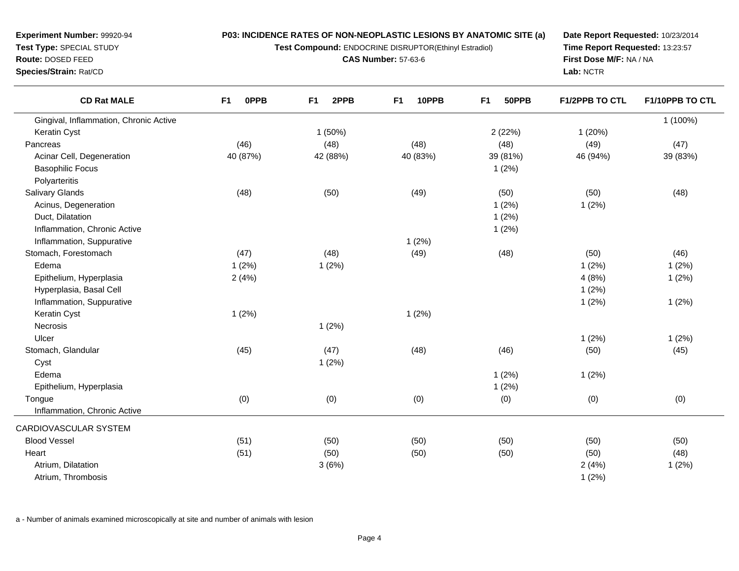**Test Compound:** ENDOCRINE DISRUPTOR(Ethinyl Estradiol)

**CAS Number:** 57-63-6

**Date Report Requested:** 10/23/2014**Time Report Requested:** 13:23:57**First Dose M/F:** NA / NA**Lab:** NCTR

| Gingival, Inflammation, Chronic Active<br>Keratin Cyst<br>1(50%)<br>2(22%)<br>1(20%)<br>(46)<br>(48)<br>(48)<br>(48)<br>(49)<br>Pancreas<br>Acinar Cell, Degeneration<br>40 (87%)<br>42 (88%)<br>40 (83%)<br>39 (81%)<br>46 (94%)<br><b>Basophilic Focus</b><br>1(2%)<br>Polyarteritis | 1 (100%)<br>(47)<br>39 (83%)<br>(48) |
|----------------------------------------------------------------------------------------------------------------------------------------------------------------------------------------------------------------------------------------------------------------------------------------|--------------------------------------|
|                                                                                                                                                                                                                                                                                        |                                      |
|                                                                                                                                                                                                                                                                                        |                                      |
|                                                                                                                                                                                                                                                                                        |                                      |
|                                                                                                                                                                                                                                                                                        |                                      |
|                                                                                                                                                                                                                                                                                        |                                      |
|                                                                                                                                                                                                                                                                                        |                                      |
| (49)<br><b>Salivary Glands</b><br>(50)<br>(50)<br>(48)<br>(50)                                                                                                                                                                                                                         |                                      |
| Acinus, Degeneration<br>1(2%)<br>1(2%)                                                                                                                                                                                                                                                 |                                      |
| Duct, Dilatation<br>1(2%)                                                                                                                                                                                                                                                              |                                      |
| Inflammation, Chronic Active<br>1(2%)                                                                                                                                                                                                                                                  |                                      |
| 1(2%)<br>Inflammation, Suppurative                                                                                                                                                                                                                                                     |                                      |
| Stomach, Forestomach<br>(47)<br>(48)<br>(49)<br>(48)<br>(50)                                                                                                                                                                                                                           | (46)                                 |
| Edema<br>1(2%)<br>1(2%)<br>1(2%)                                                                                                                                                                                                                                                       | 1(2%)                                |
| 4(8%)<br>Epithelium, Hyperplasia<br>2(4%)                                                                                                                                                                                                                                              | 1(2%)                                |
| Hyperplasia, Basal Cell<br>1(2%)                                                                                                                                                                                                                                                       |                                      |
| Inflammation, Suppurative<br>1(2%)                                                                                                                                                                                                                                                     | 1(2%)                                |
| 1(2%)<br>1(2%)<br>Keratin Cyst                                                                                                                                                                                                                                                         |                                      |
| Necrosis<br>1(2%)                                                                                                                                                                                                                                                                      |                                      |
| Ulcer<br>1(2%)                                                                                                                                                                                                                                                                         | 1(2%)                                |
| (48)<br>Stomach, Glandular<br>(45)<br>(47)<br>(46)<br>(50)                                                                                                                                                                                                                             | (45)                                 |
| 1(2%)<br>Cyst                                                                                                                                                                                                                                                                          |                                      |
| Edema<br>1(2%)<br>1(2%)                                                                                                                                                                                                                                                                |                                      |
| Epithelium, Hyperplasia<br>1(2%)                                                                                                                                                                                                                                                       |                                      |
| (0)<br>(0)<br>(0)<br>(0)<br>(0)<br>Tongue                                                                                                                                                                                                                                              | (0)                                  |
| Inflammation, Chronic Active                                                                                                                                                                                                                                                           |                                      |
| CARDIOVASCULAR SYSTEM                                                                                                                                                                                                                                                                  |                                      |
| <b>Blood Vessel</b><br>(50)<br>(51)<br>(50)<br>(50)<br>(50)                                                                                                                                                                                                                            | (50)                                 |
| Heart<br>(51)<br>(50)<br>(50)<br>(50)<br>(50)                                                                                                                                                                                                                                          | (48)                                 |
| Atrium, Dilatation<br>3(6%)<br>2(4%)                                                                                                                                                                                                                                                   | 1(2%)                                |
| Atrium, Thrombosis<br>1(2%)                                                                                                                                                                                                                                                            |                                      |

a - Number of animals examined microscopically at site and number of animals with lesion

**Experiment Number:** 99920-94**Test Type:** SPECIAL STUDY**Route:** DOSED FEED

**Species/Strain:** Rat/CD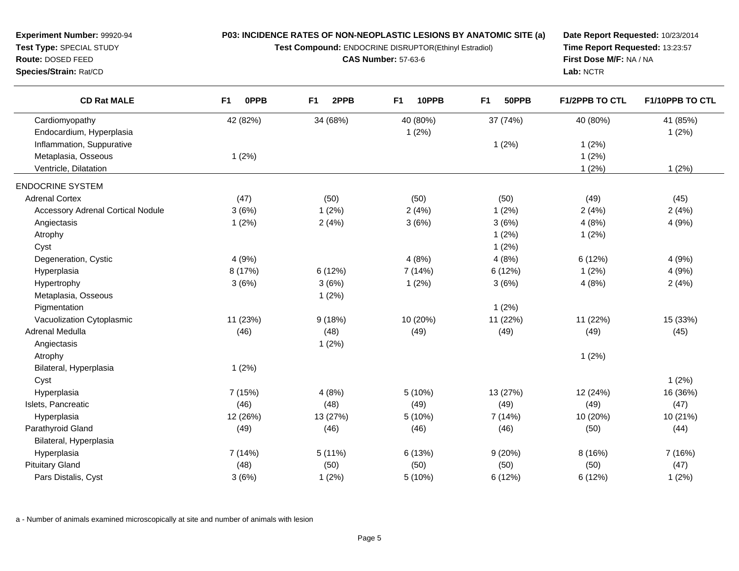**Test Compound:** ENDOCRINE DISRUPTOR(Ethinyl Estradiol)

**CAS Number:** 57-63-6

**Date Report Requested:** 10/23/2014**Time Report Requested:** 13:23:57**First Dose M/F:** NA / NA**Lab:** NCTR

| <b>CD Rat MALE</b>                       | <b>OPPB</b><br>F1 | F <sub>1</sub><br>2PPB | F <sub>1</sub><br>10PPB | F <sub>1</sub><br>50PPB | <b>F1/2PPB TO CTL</b> | F1/10PPB TO CTL |
|------------------------------------------|-------------------|------------------------|-------------------------|-------------------------|-----------------------|-----------------|
| Cardiomyopathy                           | 42 (82%)          | 34 (68%)               | 40 (80%)                | 37 (74%)                | 40 (80%)              | 41 (85%)        |
| Endocardium, Hyperplasia                 |                   |                        | 1(2%)                   |                         |                       | 1(2%)           |
| Inflammation, Suppurative                |                   |                        |                         | 1(2%)                   | 1(2%)                 |                 |
| Metaplasia, Osseous                      | 1(2%)             |                        |                         |                         | 1(2%)                 |                 |
| Ventricle, Dilatation                    |                   |                        |                         |                         | 1(2%)                 | 1(2%)           |
| <b>ENDOCRINE SYSTEM</b>                  |                   |                        |                         |                         |                       |                 |
| <b>Adrenal Cortex</b>                    | (47)              | (50)                   | (50)                    | (50)                    | (49)                  | (45)            |
| <b>Accessory Adrenal Cortical Nodule</b> | 3(6%)             | 1(2%)                  | 2(4%)                   | 1(2%)                   | 2(4%)                 | 2(4%)           |
| Angiectasis                              | 1(2%)             | 2(4%)                  | 3(6%)                   | 3(6%)                   | 4(8%)                 | 4(9%)           |
| Atrophy                                  |                   |                        |                         | 1(2%)                   | 1(2%)                 |                 |
| Cyst                                     |                   |                        |                         | 1(2%)                   |                       |                 |
| Degeneration, Cystic                     | 4(9%)             |                        | 4(8%)                   | 4(8%)                   | 6(12%)                | 4(9%)           |
| Hyperplasia                              | 8 (17%)           | 6(12%)                 | 7 (14%)                 | 6 (12%)                 | 1(2%)                 | 4(9%)           |
| Hypertrophy                              | 3(6%)             | 3(6%)                  | 1(2%)                   | 3(6%)                   | 4(8%)                 | 2(4%)           |
| Metaplasia, Osseous                      |                   | 1(2%)                  |                         |                         |                       |                 |
| Pigmentation                             |                   |                        |                         | 1(2%)                   |                       |                 |
| Vacuolization Cytoplasmic                | 11 (23%)          | 9(18%)                 | 10 (20%)                | 11 (22%)                | 11 (22%)              | 15 (33%)        |
| Adrenal Medulla                          | (46)              | (48)                   | (49)                    | (49)                    | (49)                  | (45)            |
| Angiectasis                              |                   | 1(2%)                  |                         |                         |                       |                 |
| Atrophy                                  |                   |                        |                         |                         | 1(2%)                 |                 |
| Bilateral, Hyperplasia                   | 1(2%)             |                        |                         |                         |                       |                 |
| Cyst                                     |                   |                        |                         |                         |                       | 1(2%)           |
| Hyperplasia                              | 7 (15%)           | 4(8%)                  | 5 (10%)                 | 13 (27%)                | 12 (24%)              | 16 (36%)        |
| Islets, Pancreatic                       | (46)              | (48)                   | (49)                    | (49)                    | (49)                  | (47)            |
| Hyperplasia                              | 12 (26%)          | 13 (27%)               | 5(10%)                  | 7(14%)                  | 10 (20%)              | 10 (21%)        |
| Parathyroid Gland                        | (49)              | (46)                   | (46)                    | (46)                    | (50)                  | (44)            |
| Bilateral, Hyperplasia                   |                   |                        |                         |                         |                       |                 |
| Hyperplasia                              | 7 (14%)           | 5(11%)                 | 6 (13%)                 | 9(20%)                  | 8(16%)                | 7 (16%)         |
| <b>Pituitary Gland</b>                   | (48)              | (50)                   | (50)                    | (50)                    | (50)                  | (47)            |
| Pars Distalis, Cyst                      | 3(6%)             | 1(2%)                  | 5 (10%)                 | 6 (12%)                 | 6(12%)                | 1(2%)           |

a - Number of animals examined microscopically at site and number of animals with lesion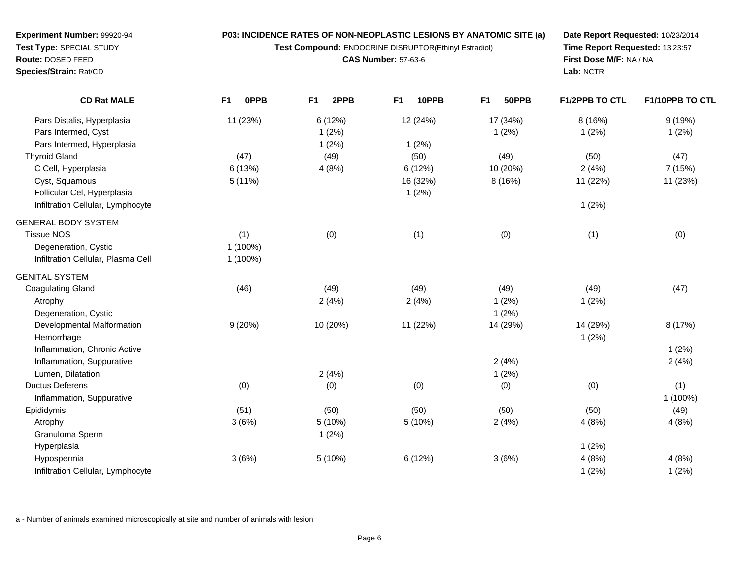**Test Compound:** ENDOCRINE DISRUPTOR(Ethinyl Estradiol)

**CAS Number:** 57-63-6

**Date Report Requested:** 10/23/2014**Time Report Requested:** 13:23:57**First Dose M/F:** NA / NA**Lab:** NCTR

| <b>CD Rat MALE</b>                 | 0PPB<br>F <sub>1</sub> | 2PPB<br>F <sub>1</sub> | 10PPB<br>F <sub>1</sub> | 50PPB<br>F <sub>1</sub> | <b>F1/2PPB TO CTL</b> | F1/10PPB TO CTL |
|------------------------------------|------------------------|------------------------|-------------------------|-------------------------|-----------------------|-----------------|
| Pars Distalis, Hyperplasia         | 11 (23%)               | 6 (12%)                | 12 (24%)                | 17 (34%)                | 8 (16%)               | 9(19%)          |
| Pars Intermed, Cyst                |                        | 1(2%)                  |                         | 1(2%)                   | 1(2%)                 | 1(2%)           |
| Pars Intermed, Hyperplasia         |                        | 1(2%)                  | 1(2%)                   |                         |                       |                 |
| <b>Thyroid Gland</b>               | (47)                   | (49)                   | (50)                    | (49)                    | (50)                  | (47)            |
| C Cell, Hyperplasia                | 6 (13%)                | 4(8%)                  | 6(12%)                  | 10 (20%)                | 2(4%)                 | 7 (15%)         |
| Cyst, Squamous                     | 5(11%)                 |                        | 16 (32%)                | 8 (16%)                 | 11 (22%)              | 11 (23%)        |
| Follicular Cel, Hyperplasia        |                        |                        | 1(2%)                   |                         |                       |                 |
| Infiltration Cellular, Lymphocyte  |                        |                        |                         |                         | 1(2%)                 |                 |
| <b>GENERAL BODY SYSTEM</b>         |                        |                        |                         |                         |                       |                 |
| <b>Tissue NOS</b>                  | (1)                    | (0)                    | (1)                     | (0)                     | (1)                   | (0)             |
| Degeneration, Cystic               | 1 (100%)               |                        |                         |                         |                       |                 |
| Infiltration Cellular, Plasma Cell | 1 (100%)               |                        |                         |                         |                       |                 |
| <b>GENITAL SYSTEM</b>              |                        |                        |                         |                         |                       |                 |
| <b>Coagulating Gland</b>           | (46)                   | (49)                   | (49)                    | (49)                    | (49)                  | (47)            |
| Atrophy                            |                        | 2(4%)                  | 2(4%)                   | 1(2%)                   | 1(2%)                 |                 |
| Degeneration, Cystic               |                        |                        |                         | 1(2%)                   |                       |                 |
| Developmental Malformation         | 9(20%)                 | 10 (20%)               | 11 (22%)                | 14 (29%)                | 14 (29%)              | 8 (17%)         |
| Hemorrhage                         |                        |                        |                         |                         | 1(2%)                 |                 |
| Inflammation, Chronic Active       |                        |                        |                         |                         |                       | 1(2%)           |
| Inflammation, Suppurative          |                        |                        |                         | 2(4%)                   |                       | 2(4%)           |
| Lumen, Dilatation                  |                        | 2(4%)                  |                         | 1(2%)                   |                       |                 |
| <b>Ductus Deferens</b>             | (0)                    | (0)                    | (0)                     | (0)                     | (0)                   | (1)             |
| Inflammation, Suppurative          |                        |                        |                         |                         |                       | 1 (100%)        |
| Epididymis                         | (51)                   | (50)                   | (50)                    | (50)                    | (50)                  | (49)            |
| Atrophy                            | 3(6%)                  | 5 (10%)                | 5 (10%)                 | 2(4%)                   | 4(8%)                 | 4(8%)           |
| Granuloma Sperm                    |                        | 1(2%)                  |                         |                         |                       |                 |
| Hyperplasia                        |                        |                        |                         |                         | 1(2%)                 |                 |
| Hypospermia                        | 3(6%)                  | 5 (10%)                | 6(12%)                  | 3(6%)                   | 4(8%)                 | 4(8%)           |
| Infiltration Cellular, Lymphocyte  |                        |                        |                         |                         | 1(2%)                 | 1(2%)           |

a - Number of animals examined microscopically at site and number of animals with lesion

**Experiment Number:** 99920-94**Test Type:** SPECIAL STUDY**Route:** DOSED FEED**Species/Strain:** Rat/CD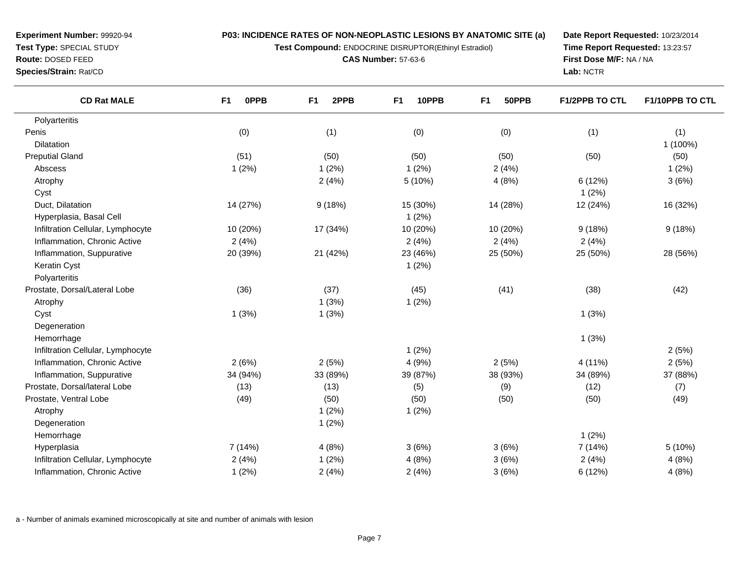**Test Compound:** ENDOCRINE DISRUPTOR(Ethinyl Estradiol)

**CAS Number:** 57-63-6

**Date Report Requested:** 10/23/2014**Time Report Requested:** 13:23:57**First Dose M/F:** NA / NA**Lab:** NCTR

-

| <b>CD Rat MALE</b><br>F <sub>1</sub> | <b>OPPB</b> | 2PPB<br>F <sub>1</sub> | F <sub>1</sub><br>10PPB | F <sub>1</sub><br>50PPB | F1/2PPB TO CTL | F1/10PPB TO CTL |
|--------------------------------------|-------------|------------------------|-------------------------|-------------------------|----------------|-----------------|
| Polyarteritis                        |             |                        |                         |                         |                |                 |
| Penis                                | (0)         | (1)                    | (0)                     | (0)                     | (1)            | (1)             |
| <b>Dilatation</b>                    |             |                        |                         |                         |                | 1 (100%)        |
| <b>Preputial Gland</b>               | (51)        | (50)                   | (50)                    | (50)                    | (50)           | (50)            |
| Abscess                              | 1(2%)       | 1(2%)                  | 1(2%)                   | 2(4%)                   |                | 1(2%)           |
| Atrophy                              |             | 2(4%)                  | 5(10%)                  | 4(8%)                   | 6 (12%)        | 3(6%)           |
| Cyst                                 |             |                        |                         |                         | 1(2%)          |                 |
| Duct, Dilatation                     | 14 (27%)    | 9(18%)                 | 15 (30%)                | 14 (28%)                | 12 (24%)       | 16 (32%)        |
| Hyperplasia, Basal Cell              |             |                        | 1(2%)                   |                         |                |                 |
| Infiltration Cellular, Lymphocyte    | 10 (20%)    | 17 (34%)               | 10 (20%)                | 10 (20%)                | 9(18%)         | 9(18%)          |
| Inflammation, Chronic Active         | 2(4%)       |                        | 2(4%)                   | 2(4%)                   | 2(4%)          |                 |
| Inflammation, Suppurative            | 20 (39%)    | 21 (42%)               | 23 (46%)                | 25 (50%)                | 25 (50%)       | 28 (56%)        |
| Keratin Cyst                         |             |                        | 1(2%)                   |                         |                |                 |
| Polyarteritis                        |             |                        |                         |                         |                |                 |
| Prostate, Dorsal/Lateral Lobe        | (36)        | (37)                   | (45)                    | (41)                    | (38)           | (42)            |
| Atrophy                              |             | 1(3%)                  | 1(2%)                   |                         |                |                 |
| Cyst                                 | 1(3%)       | 1(3%)                  |                         |                         | 1(3%)          |                 |
| Degeneration                         |             |                        |                         |                         |                |                 |
| Hemorrhage                           |             |                        |                         |                         | 1(3%)          |                 |
| Infiltration Cellular, Lymphocyte    |             |                        | 1(2%)                   |                         |                | 2(5%)           |
| Inflammation, Chronic Active         | 2(6%)       | 2(5%)                  | 4(9%)                   | 2(5%)                   | 4 (11%)        | 2(5%)           |
| Inflammation, Suppurative            | 34 (94%)    | 33 (89%)               | 39 (87%)                | 38 (93%)                | 34 (89%)       | 37 (88%)        |
| Prostate, Dorsal/lateral Lobe        | (13)        | (13)                   | (5)                     | (9)                     | (12)           | (7)             |
| Prostate, Ventral Lobe               | (49)        | (50)                   | (50)                    | (50)                    | (50)           | (49)            |
| Atrophy                              |             | 1(2%)                  | 1(2%)                   |                         |                |                 |
| Degeneration                         |             | 1(2%)                  |                         |                         |                |                 |
| Hemorrhage                           |             |                        |                         |                         | 1(2%)          |                 |
| Hyperplasia                          | 7(14%)      | 4(8%)                  | 3(6%)                   | 3(6%)                   | 7 (14%)        | 5 (10%)         |
| Infiltration Cellular, Lymphocyte    | 2(4%)       | 1(2%)                  | 4(8%)                   | 3(6%)                   | 2(4%)          | 4(8%)           |

a - Number of animals examined microscopically at site and number of animals with lesion

Inflammation, Chronic Active

e 1 (2%) 2 (4%) 2 (4%) 2 (4%) 3 (6%) 6 (12%) 4 (8%)

**Experiment Number:** 99920-94**Test Type:** SPECIAL STUDY

**Route:** DOSED FEED

**Species/Strain:** Rat/CD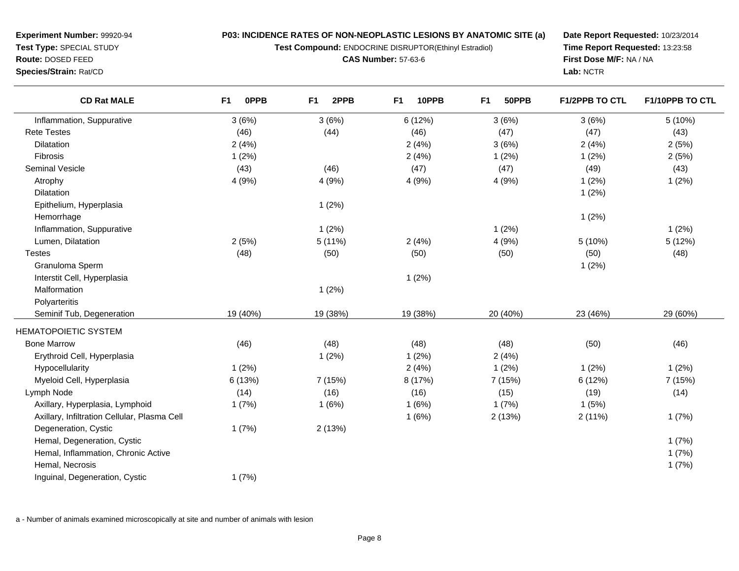**Test Compound:** ENDOCRINE DISRUPTOR(Ethinyl Estradiol)

**CAS Number:** 57-63-6

**Date Report Requested:** 10/23/2014**Time Report Requested:** 13:23:58**First Dose M/F:** NA / NA**Lab:** NCTR

| <b>CD Rat MALE</b>                           | <b>OPPB</b><br>F <sub>1</sub> | 2PPB<br>F <sub>1</sub> | 10PPB<br>F <sub>1</sub> | 50PPB<br>F <sub>1</sub> | <b>F1/2PPB TO CTL</b> | F1/10PPB TO CTL |
|----------------------------------------------|-------------------------------|------------------------|-------------------------|-------------------------|-----------------------|-----------------|
| Inflammation, Suppurative                    | 3(6%)                         | 3(6%)                  | 6 (12%)                 | 3(6%)                   | 3(6%)                 | 5(10%)          |
| <b>Rete Testes</b>                           | (46)                          | (44)                   | (46)                    | (47)                    | (47)                  | (43)            |
| <b>Dilatation</b>                            | 2(4%)                         |                        | 2(4%)                   | 3(6%)                   | 2(4%)                 | 2(5%)           |
| Fibrosis                                     | 1(2%)                         |                        | 2(4%)                   | 1(2%)                   | 1(2%)                 | 2(5%)           |
| Seminal Vesicle                              | (43)                          | (46)                   | (47)                    | (47)                    | (49)                  | (43)            |
| Atrophy                                      | 4 (9%)                        | 4 (9%)                 | 4 (9%)                  | 4 (9%)                  | 1(2%)                 | 1(2%)           |
| Dilatation                                   |                               |                        |                         |                         | 1(2%)                 |                 |
| Epithelium, Hyperplasia                      |                               | 1(2%)                  |                         |                         |                       |                 |
| Hemorrhage                                   |                               |                        |                         |                         | 1(2%)                 |                 |
| Inflammation, Suppurative                    |                               | 1(2%)                  |                         | 1(2%)                   |                       | 1(2%)           |
| Lumen, Dilatation                            | 2(5%)                         | 5(11%)                 | 2(4%)                   | 4 (9%)                  | 5 (10%)               | 5(12%)          |
| <b>Testes</b>                                | (48)                          | (50)                   | (50)                    | (50)                    | (50)                  | (48)            |
| Granuloma Sperm                              |                               |                        |                         |                         | 1(2%)                 |                 |
| Interstit Cell, Hyperplasia                  |                               |                        | 1(2%)                   |                         |                       |                 |
| Malformation                                 |                               | 1(2%)                  |                         |                         |                       |                 |
| Polyarteritis                                |                               |                        |                         |                         |                       |                 |
| Seminif Tub, Degeneration                    | 19 (40%)                      | 19 (38%)               | 19 (38%)                | 20 (40%)                | 23 (46%)              | 29 (60%)        |
| <b>HEMATOPOIETIC SYSTEM</b>                  |                               |                        |                         |                         |                       |                 |
| <b>Bone Marrow</b>                           | (46)                          | (48)                   | (48)                    | (48)                    | (50)                  | (46)            |
| Erythroid Cell, Hyperplasia                  |                               | 1(2%)                  | 1(2%)                   | 2(4%)                   |                       |                 |
| Hypocellularity                              | 1(2%)                         |                        | 2(4%)                   | 1(2%)                   | 1(2%)                 | 1(2%)           |
| Myeloid Cell, Hyperplasia                    | 6(13%)                        | 7(15%)                 | 8 (17%)                 | 7 (15%)                 | 6(12%)                | 7 (15%)         |
| Lymph Node                                   | (14)                          | (16)                   | (16)                    | (15)                    | (19)                  | (14)            |
| Axillary, Hyperplasia, Lymphoid              | 1(7%)                         | 1(6%)                  | 1(6%)                   | 1(7%)                   | 1(5%)                 |                 |
| Axillary, Infiltration Cellular, Plasma Cell |                               |                        | 1(6%)                   | 2(13%)                  | 2(11%)                | 1(7%)           |
| Degeneration, Cystic                         | 1(7%)                         | 2(13%)                 |                         |                         |                       |                 |
| Hemal, Degeneration, Cystic                  |                               |                        |                         |                         |                       | 1(7%)           |
| Hemal, Inflammation, Chronic Active          |                               |                        |                         |                         |                       | 1(7%)           |
| Hemal, Necrosis                              |                               |                        |                         |                         |                       | 1(7%)           |
| Inguinal, Degeneration, Cystic               | 1(7%)                         |                        |                         |                         |                       |                 |

a - Number of animals examined microscopically at site and number of animals with lesion

**Route:** DOSED FEED

**Species/Strain:** Rat/CD

**Experiment Number:** 99920-94**Test Type:** SPECIAL STUDY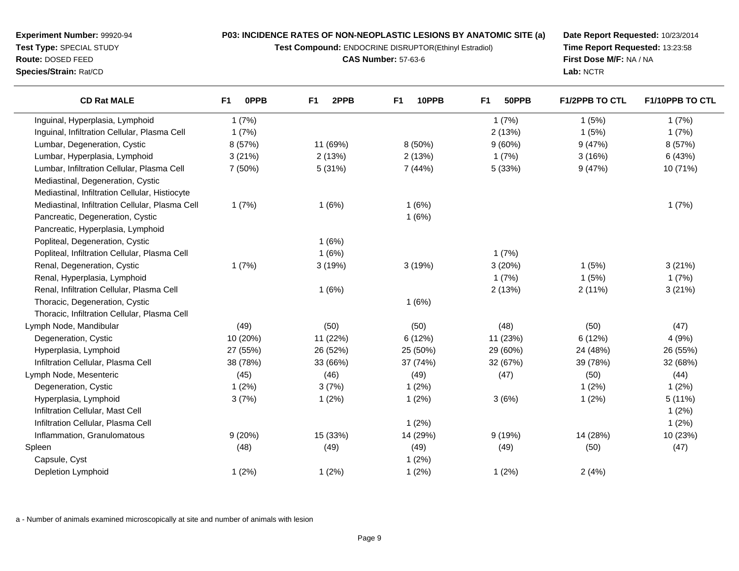**Test Compound:** ENDOCRINE DISRUPTOR(Ethinyl Estradiol)

**CAS Number:** 57-63-6

**Date Report Requested:** 10/23/2014**Time Report Requested:** 13:23:58**First Dose M/F:** NA / NA**Lab:** NCTR

| <b>CD Rat MALE</b>                              | 0PPB<br>F <sub>1</sub> | F <sub>1</sub><br>2PPB | F1<br>10PPB | 50PPB<br>F <sub>1</sub> | <b>F1/2PPB TO CTL</b> | F1/10PPB TO CTL |
|-------------------------------------------------|------------------------|------------------------|-------------|-------------------------|-----------------------|-----------------|
| Inguinal, Hyperplasia, Lymphoid                 | 1(7%)                  |                        |             | 1(7%)                   | 1(5%)                 | 1(7%)           |
| Inguinal, Infiltration Cellular, Plasma Cell    | 1(7%)                  |                        |             | 2(13%)                  | 1(5%)                 | 1(7%)           |
| Lumbar, Degeneration, Cystic                    | 8 (57%)                | 11 (69%)               | 8(50%)      | 9(60%)                  | 9(47%)                | 8 (57%)         |
| Lumbar, Hyperplasia, Lymphoid                   | 3(21%)                 | 2(13%)                 | 2(13%)      | 1(7%)                   | 3(16%)                | 6 (43%)         |
| Lumbar, Infiltration Cellular, Plasma Cell      | 7 (50%)                | 5 (31%)                | 7(44%)      | 5 (33%)                 | 9(47%)                | 10 (71%)        |
| Mediastinal, Degeneration, Cystic               |                        |                        |             |                         |                       |                 |
| Mediastinal, Infiltration Cellular, Histiocyte  |                        |                        |             |                         |                       |                 |
| Mediastinal, Infiltration Cellular, Plasma Cell | 1(7%)                  | 1(6%)                  | 1(6%)       |                         |                       | 1(7%)           |
| Pancreatic, Degeneration, Cystic                |                        |                        | 1(6%)       |                         |                       |                 |
| Pancreatic, Hyperplasia, Lymphoid               |                        |                        |             |                         |                       |                 |
| Popliteal, Degeneration, Cystic                 |                        | 1(6%)                  |             |                         |                       |                 |
| Popliteal, Infiltration Cellular, Plasma Cell   |                        | 1(6%)                  |             | 1(7%)                   |                       |                 |
| Renal, Degeneration, Cystic                     | 1(7%)                  | 3(19%)                 | 3(19%)      | 3(20%)                  | 1(5%)                 | 3(21%)          |
| Renal, Hyperplasia, Lymphoid                    |                        |                        |             | 1(7%)                   | 1(5%)                 | 1(7%)           |
| Renal, Infiltration Cellular, Plasma Cell       |                        | 1(6%)                  |             | 2(13%)                  | 2(11%)                | 3(21%)          |
| Thoracic, Degeneration, Cystic                  |                        |                        | 1(6%)       |                         |                       |                 |
| Thoracic, Infiltration Cellular, Plasma Cell    |                        |                        |             |                         |                       |                 |
| Lymph Node, Mandibular                          | (49)                   | (50)                   | (50)        | (48)                    | (50)                  | (47)            |
| Degeneration, Cystic                            | 10 (20%)               | 11 (22%)               | 6(12%)      | 11 (23%)                | 6(12%)                | 4(9%)           |
| Hyperplasia, Lymphoid                           | 27 (55%)               | 26 (52%)               | 25 (50%)    | 29 (60%)                | 24 (48%)              | 26 (55%)        |
| Infiltration Cellular, Plasma Cell              | 38 (78%)               | 33 (66%)               | 37 (74%)    | 32 (67%)                | 39 (78%)              | 32 (68%)        |
| Lymph Node, Mesenteric                          | (45)                   | (46)                   | (49)        | (47)                    | (50)                  | (44)            |
| Degeneration, Cystic                            | 1(2%)                  | 3(7%)                  | 1(2%)       |                         | 1(2%)                 | 1(2%)           |
| Hyperplasia, Lymphoid                           | 3(7%)                  | 1(2%)                  | 1(2%)       | 3(6%)                   | 1(2%)                 | 5 (11%)         |
| Infiltration Cellular, Mast Cell                |                        |                        |             |                         |                       | 1(2%)           |
| Infiltration Cellular, Plasma Cell              |                        |                        | 1(2%)       |                         |                       | 1(2%)           |
| Inflammation, Granulomatous                     | 9(20%)                 | 15 (33%)               | 14 (29%)    | 9(19%)                  | 14 (28%)              | 10 (23%)        |
| Spleen                                          | (48)                   | (49)                   | (49)        | (49)                    | (50)                  | (47)            |
| Capsule, Cyst                                   |                        |                        | 1(2%)       |                         |                       |                 |
| Depletion Lymphoid                              | 1(2%)                  | 1(2%)                  | 1(2%)       | 1(2%)                   | 2(4%)                 |                 |

a - Number of animals examined microscopically at site and number of animals with lesion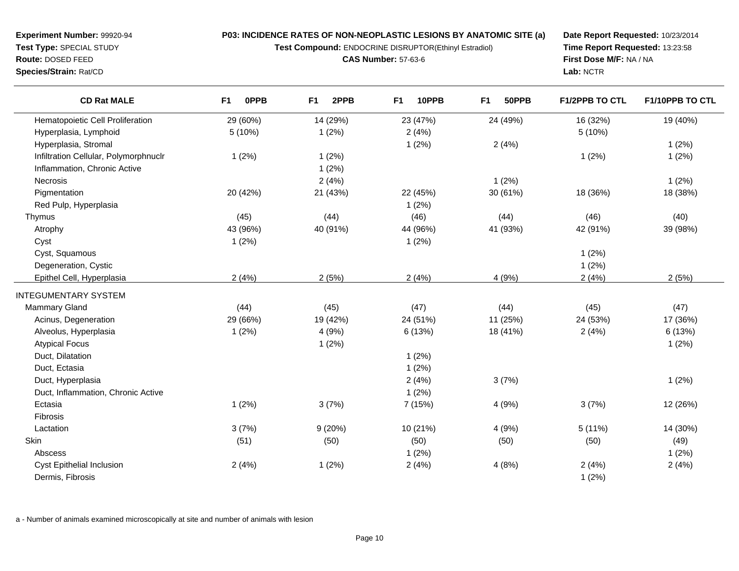**Test Compound:** ENDOCRINE DISRUPTOR(Ethinyl Estradiol)

**CAS Number:** 57-63-6

**Date Report Requested:** 10/23/2014**Time Report Requested:** 13:23:58**First Dose M/F:** NA / NA**Lab:** NCTR

| <b>CD Rat MALE</b>                    | F <sub>1</sub><br><b>OPPB</b> | 2PPB<br>F <sub>1</sub> | F1<br>10PPB | F <sub>1</sub><br>50PPB | F1/2PPB TO CTL | F1/10PPB TO CTL |
|---------------------------------------|-------------------------------|------------------------|-------------|-------------------------|----------------|-----------------|
| Hematopoietic Cell Proliferation      | 29 (60%)                      | 14 (29%)               | 23 (47%)    | 24 (49%)                | 16 (32%)       | 19 (40%)        |
| Hyperplasia, Lymphoid                 | 5(10%)                        | 1(2%)                  | 2(4%)       |                         | 5(10%)         |                 |
| Hyperplasia, Stromal                  |                               |                        | 1(2%)       | 2(4%)                   |                | 1(2%)           |
| Infiltration Cellular, Polymorphnuclr | 1(2%)                         | 1(2%)                  |             |                         | 1(2%)          | 1(2%)           |
| Inflammation, Chronic Active          |                               | 1(2%)                  |             |                         |                |                 |
| Necrosis                              |                               | 2(4%)                  |             | 1(2%)                   |                | 1(2%)           |
| Pigmentation                          | 20 (42%)                      | 21 (43%)               | 22 (45%)    | 30 (61%)                | 18 (36%)       | 18 (38%)        |
| Red Pulp, Hyperplasia                 |                               |                        | 1(2%)       |                         |                |                 |
| Thymus                                | (45)                          | (44)                   | (46)        | (44)                    | (46)           | (40)            |
| Atrophy                               | 43 (96%)                      | 40 (91%)               | 44 (96%)    | 41 (93%)                | 42 (91%)       | 39 (98%)        |
| Cyst                                  | 1(2%)                         |                        | 1(2%)       |                         |                |                 |
| Cyst, Squamous                        |                               |                        |             |                         | 1(2%)          |                 |
| Degeneration, Cystic                  |                               |                        |             |                         | 1(2%)          |                 |
| Epithel Cell, Hyperplasia             | 2(4%)                         | 2(5%)                  | 2(4%)       | 4 (9%)                  | 2(4%)          | 2(5%)           |
| <b>INTEGUMENTARY SYSTEM</b>           |                               |                        |             |                         |                |                 |
| Mammary Gland                         | (44)                          | (45)                   | (47)        | (44)                    | (45)           | (47)            |
| Acinus, Degeneration                  | 29 (66%)                      | 19 (42%)               | 24 (51%)    | 11 (25%)                | 24 (53%)       | 17 (36%)        |
| Alveolus, Hyperplasia                 | 1(2%)                         | 4(9%)                  | 6 (13%)     | 18 (41%)                | 2(4%)          | 6(13%)          |
| <b>Atypical Focus</b>                 |                               | 1(2%)                  |             |                         |                | 1(2%)           |
| Duct, Dilatation                      |                               |                        | 1(2%)       |                         |                |                 |
| Duct, Ectasia                         |                               |                        | 1(2%)       |                         |                |                 |
| Duct, Hyperplasia                     |                               |                        | 2(4%)       | 3(7%)                   |                | 1(2%)           |
| Duct, Inflammation, Chronic Active    |                               |                        | 1(2%)       |                         |                |                 |
| Ectasia                               | 1(2%)                         | 3(7%)                  | 7 (15%)     | 4 (9%)                  | 3(7%)          | 12 (26%)        |
| Fibrosis                              |                               |                        |             |                         |                |                 |
| Lactation                             | 3(7%)                         | 9(20%)                 | 10 (21%)    | 4 (9%)                  | 5 (11%)        | 14 (30%)        |
| Skin                                  | (51)                          | (50)                   | (50)        | (50)                    | (50)           | (49)            |
| Abscess                               |                               |                        | 1(2%)       |                         |                | 1(2%)           |
| <b>Cyst Epithelial Inclusion</b>      | 2(4%)                         | 1(2%)                  | 2(4%)       | 4(8%)                   | 2(4%)          | 2(4%)           |
| Dermis, Fibrosis                      |                               |                        |             |                         | 1(2%)          |                 |

a - Number of animals examined microscopically at site and number of animals with lesion

**Experiment Number:** 99920-94**Test Type:** SPECIAL STUDY**Route:** DOSED FEED

**Species/Strain:** Rat/CD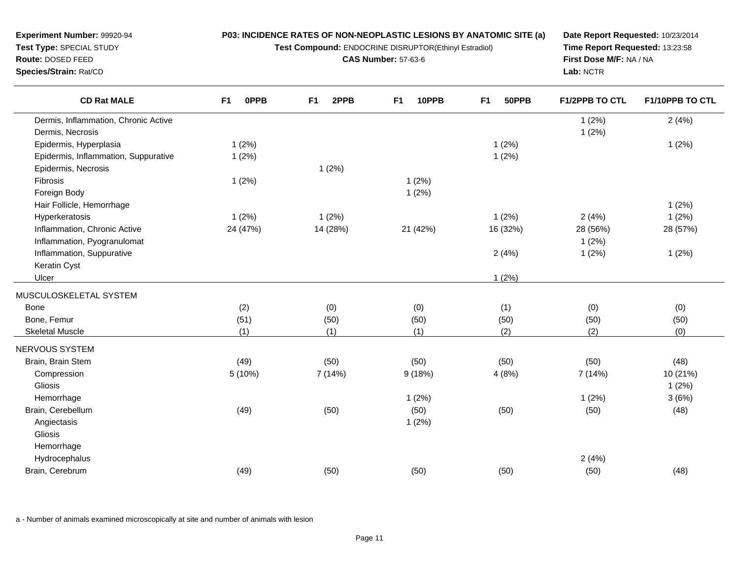**Test Compound:** ENDOCRINE DISRUPTOR(Ethinyl Estradiol)

**CAS Number:** 57-63-6

**Date Report Requested:** 10/23/2014**Time Report Requested:** 13:23:58**First Dose M/F:** NA / NA**Lab:** NCTR

| <b>CD Rat MALE</b>                   | F <sub>1</sub><br>0PPB | 2PPB<br>F <sub>1</sub> | F <sub>1</sub><br>10PPB | F1<br>50PPB | F1/2PPB TO CTL | F1/10PPB TO CTL |
|--------------------------------------|------------------------|------------------------|-------------------------|-------------|----------------|-----------------|
| Dermis, Inflammation, Chronic Active |                        |                        |                         |             | 1(2%)          | 2(4%)           |
| Dermis, Necrosis                     |                        |                        |                         |             | 1(2%)          |                 |
| Epidermis, Hyperplasia               | 1(2%)                  |                        |                         | 1(2%)       |                | 1(2%)           |
| Epidermis, Inflammation, Suppurative | 1(2%)                  |                        |                         | 1(2%)       |                |                 |
| Epidermis, Necrosis                  |                        | 1(2%)                  |                         |             |                |                 |
| Fibrosis                             | 1(2%)                  |                        | 1(2%)                   |             |                |                 |
| Foreign Body                         |                        |                        | 1(2%)                   |             |                |                 |
| Hair Follicle, Hemorrhage            |                        |                        |                         |             |                | 1(2%)           |
| Hyperkeratosis                       | 1(2%)                  | 1(2%)                  |                         | 1(2%)       | 2(4%)          | 1(2%)           |
| Inflammation, Chronic Active         | 24 (47%)               | 14 (28%)               | 21 (42%)                | 16 (32%)    | 28 (56%)       | 28 (57%)        |
| Inflammation, Pyogranulomat          |                        |                        |                         |             | 1(2%)          |                 |
| Inflammation, Suppurative            |                        |                        |                         | 2(4%)       | 1(2%)          | 1(2%)           |
| Keratin Cyst                         |                        |                        |                         |             |                |                 |
| Ulcer                                |                        |                        |                         | 1(2%)       |                |                 |
| MUSCULOSKELETAL SYSTEM               |                        |                        |                         |             |                |                 |
| <b>Bone</b>                          | (2)                    | (0)                    | (0)                     | (1)         | (0)            | (0)             |
| Bone, Femur                          | (51)                   | (50)                   | (50)                    | (50)        | (50)           | (50)            |
| <b>Skeletal Muscle</b>               | (1)                    | (1)                    | (1)                     | (2)         | (2)            | (0)             |
| NERVOUS SYSTEM                       |                        |                        |                         |             |                |                 |
| Brain, Brain Stem                    | (49)                   | (50)                   | (50)                    | (50)        | (50)           | (48)            |
| Compression                          | 5 (10%)                | 7 (14%)                | 9(18%)                  | 4(8%)       | 7 (14%)        | 10 (21%)        |
| Gliosis                              |                        |                        |                         |             |                | 1(2%)           |
| Hemorrhage                           |                        |                        | 1(2%)                   |             | 1(2%)          | 3(6%)           |
| Brain, Cerebellum                    | (49)                   | (50)                   | (50)                    | (50)        | (50)           | (48)            |
| Angiectasis                          |                        |                        | 1(2%)                   |             |                |                 |
| Gliosis                              |                        |                        |                         |             |                |                 |
| Hemorrhage                           |                        |                        |                         |             |                |                 |
| Hydrocephalus                        |                        |                        |                         |             | 2(4%)          |                 |
| Brain, Cerebrum                      | (49)                   | (50)                   | (50)                    | (50)        | (50)           | (48)            |
|                                      |                        |                        |                         |             |                |                 |

a - Number of animals examined microscopically at site and number of animals with lesion

**Experiment Number:** 99920-94**Test Type:** SPECIAL STUDY**Route:** DOSED FEED**Species/Strain:** Rat/CD

 $\overline{\phantom{0}}$ 

 $\overline{\phantom{0}}$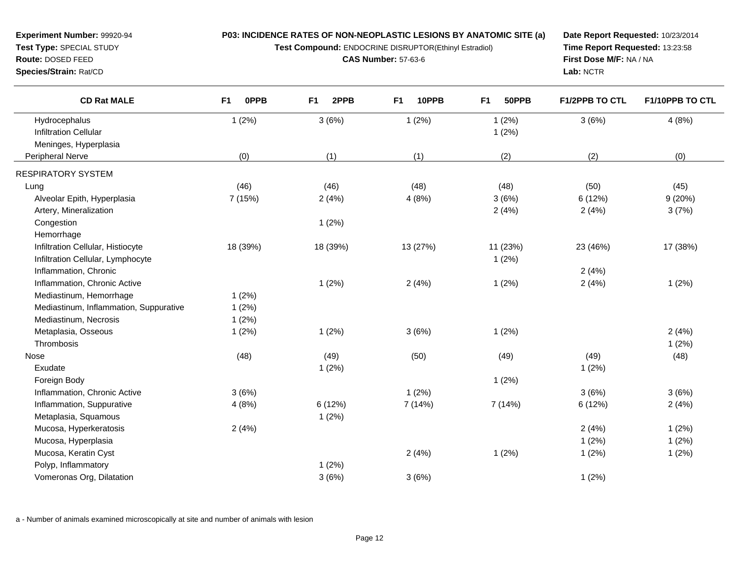**Test Compound:** ENDOCRINE DISRUPTOR(Ethinyl Estradiol)

**CAS Number:** 57-63-6

**Date Report Requested:** 10/23/2014**Time Report Requested:** 13:23:58**First Dose M/F:** NA / NA**Lab:** NCTR

| <b>CD Rat MALE</b>                            | F1<br>0PPB | 2PPB<br>F1 | 10PPB<br>F1 | 50PPB<br>F <sub>1</sub> | <b>F1/2PPB TO CTL</b> | F1/10PPB TO CTL |
|-----------------------------------------------|------------|------------|-------------|-------------------------|-----------------------|-----------------|
| Hydrocephalus<br><b>Infiltration Cellular</b> | 1(2%)      | 3(6%)      | 1(2%)       | 1(2%)<br>1(2%)          | 3(6%)                 | 4(8%)           |
| Meninges, Hyperplasia<br>Peripheral Nerve     | (0)        | (1)        | (1)         | (2)                     | (2)                   | (0)             |
|                                               |            |            |             |                         |                       |                 |
| <b>RESPIRATORY SYSTEM</b>                     |            |            |             |                         |                       |                 |
| Lung                                          | (46)       | (46)       | (48)        | (48)                    | (50)                  | (45)            |
| Alveolar Epith, Hyperplasia                   | 7 (15%)    | 2(4%)      | 4(8%)       | 3(6%)                   | 6(12%)                | 9(20%)          |
| Artery, Mineralization                        |            |            |             | 2(4%)                   | 2(4%)                 | 3(7%)           |
| Congestion                                    |            | 1(2%)      |             |                         |                       |                 |
| Hemorrhage                                    |            |            |             |                         |                       |                 |
| Infiltration Cellular, Histiocyte             | 18 (39%)   | 18 (39%)   | 13 (27%)    | 11 (23%)                | 23 (46%)              | 17 (38%)        |
| Infiltration Cellular, Lymphocyte             |            |            |             | 1(2%)                   |                       |                 |
| Inflammation, Chronic                         |            |            |             |                         | 2(4%)                 |                 |
| Inflammation, Chronic Active                  |            | 1(2%)      | 2(4%)       | 1(2%)                   | 2(4%)                 | 1(2%)           |
| Mediastinum, Hemorrhage                       | 1(2%)      |            |             |                         |                       |                 |
| Mediastinum, Inflammation, Suppurative        | 1(2%)      |            |             |                         |                       |                 |
| Mediastinum, Necrosis                         | 1(2%)      |            |             |                         |                       |                 |
| Metaplasia, Osseous                           | 1(2%)      | 1(2%)      | 3(6%)       | 1(2%)                   |                       | 2(4%)           |
| Thrombosis                                    |            |            |             |                         |                       | 1(2%)           |
| Nose                                          | (48)       | (49)       | (50)        | (49)                    | (49)                  | (48)            |
| Exudate                                       |            | 1(2%)      |             |                         | 1(2%)                 |                 |
| Foreign Body                                  |            |            |             | 1(2%)                   |                       |                 |
| Inflammation, Chronic Active                  | 3(6%)      |            | 1(2%)       |                         | 3(6%)                 | 3(6%)           |
| Inflammation, Suppurative                     | 4(8%)      | 6(12%)     | 7 (14%)     | 7(14%)                  | 6(12%)                | 2(4%)           |
| Metaplasia, Squamous                          |            | 1(2%)      |             |                         |                       |                 |
| Mucosa, Hyperkeratosis                        | 2(4%)      |            |             |                         | 2(4%)                 | 1(2%)           |
| Mucosa, Hyperplasia                           |            |            |             |                         | 1(2%)                 | 1(2%)           |
| Mucosa, Keratin Cyst                          |            |            | 2(4%)       | 1(2%)                   | 1(2%)                 | 1(2%)           |
| Polyp, Inflammatory                           |            | 1(2%)      |             |                         |                       |                 |
| Vomeronas Org, Dilatation                     |            | 3(6%)      | 3(6%)       |                         | 1(2%)                 |                 |

a - Number of animals examined microscopically at site and number of animals with lesion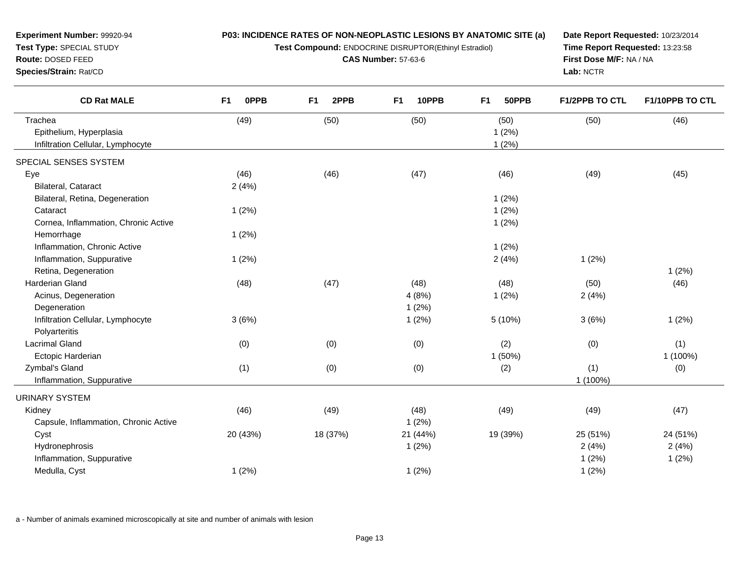| Experiment Number: 99920-94<br>Test Type: SPECIAL STUDY<br>Route: DOSED FEED<br>Species/Strain: Rat/CD | P03: INCIDENCE RATES OF NON-NEOPLASTIC LESIONS BY ANATOMIC SITE (a)<br>Test Compound: ENDOCRINE DISRUPTOR(Ethinyl Estradiol)<br><b>CAS Number: 57-63-6</b> |                        |                         | Date Report Requested: 10/23/2014<br>Time Report Requested: 13:23:58<br>First Dose M/F: NA / NA<br>Lab: NCTR |                |                 |
|--------------------------------------------------------------------------------------------------------|------------------------------------------------------------------------------------------------------------------------------------------------------------|------------------------|-------------------------|--------------------------------------------------------------------------------------------------------------|----------------|-----------------|
| <b>CD Rat MALE</b>                                                                                     | 0PPB<br>F <sub>1</sub>                                                                                                                                     | 2PPB<br>F <sub>1</sub> | 10PPB<br>F <sub>1</sub> | F <sub>1</sub><br>50PPB                                                                                      | F1/2PPB TO CTL | F1/10PPB TO CTL |
| Trachea                                                                                                | (49)                                                                                                                                                       | (50)                   | (50)                    | (50)                                                                                                         | (50)           | (46)            |
| Epithelium, Hyperplasia<br>Infiltration Cellular, Lymphocyte                                           |                                                                                                                                                            |                        |                         | 1(2%)<br>1(2%)                                                                                               |                |                 |
| SPECIAL SENSES SYSTEM                                                                                  |                                                                                                                                                            |                        |                         |                                                                                                              |                |                 |
| Eye                                                                                                    | (46)                                                                                                                                                       | (46)                   | (47)                    | (46)                                                                                                         | (49)           | (45)            |
| Bilateral, Cataract                                                                                    | 2(4%)                                                                                                                                                      |                        |                         |                                                                                                              |                |                 |
| Bilateral, Retina, Degeneration                                                                        |                                                                                                                                                            |                        |                         | 1(2%)                                                                                                        |                |                 |
| Cataract                                                                                               | 1(2%)                                                                                                                                                      |                        |                         | 1(2%)                                                                                                        |                |                 |
| Cornea, Inflammation, Chronic Active                                                                   |                                                                                                                                                            |                        |                         | 1(2%)                                                                                                        |                |                 |
| Hemorrhage                                                                                             | 1(2%)                                                                                                                                                      |                        |                         |                                                                                                              |                |                 |
| Inflammation, Chronic Active                                                                           |                                                                                                                                                            |                        |                         | 1(2%)                                                                                                        |                |                 |
| Inflammation, Suppurative                                                                              | 1(2%)                                                                                                                                                      |                        |                         | 2(4%)                                                                                                        | 1(2%)          |                 |
| Retina, Degeneration                                                                                   |                                                                                                                                                            |                        |                         |                                                                                                              |                | 1(2%)           |
| Harderian Gland                                                                                        | (48)                                                                                                                                                       | (47)                   | (48)                    | (48)                                                                                                         | (50)           | (46)            |
| Acinus, Degeneration                                                                                   |                                                                                                                                                            |                        | 4(8%)                   | 1(2%)                                                                                                        | 2(4%)          |                 |
| Degeneration                                                                                           |                                                                                                                                                            |                        | 1(2%)                   |                                                                                                              |                |                 |
| Infiltration Cellular, Lymphocyte                                                                      | 3(6%)                                                                                                                                                      |                        | 1(2%)                   | 5 (10%)                                                                                                      | 3(6%)          | 1(2%)           |
| Polyarteritis                                                                                          |                                                                                                                                                            |                        |                         |                                                                                                              |                |                 |
| <b>Lacrimal Gland</b>                                                                                  | (0)                                                                                                                                                        | (0)                    | (0)                     | (2)                                                                                                          | (0)            | (1)             |
| Ectopic Harderian                                                                                      |                                                                                                                                                            |                        |                         | 1 (50%)                                                                                                      |                | 1 (100%)        |
| Zymbal's Gland                                                                                         | (1)                                                                                                                                                        | (0)                    | (0)                     | (2)                                                                                                          | (1)            | (0)             |
| Inflammation, Suppurative                                                                              |                                                                                                                                                            |                        |                         |                                                                                                              | 1 (100%)       |                 |
| <b>URINARY SYSTEM</b>                                                                                  |                                                                                                                                                            |                        |                         |                                                                                                              |                |                 |
| Kidney                                                                                                 | (46)                                                                                                                                                       | (49)                   | (48)                    | (49)                                                                                                         | (49)           | (47)            |
| Capsule, Inflammation, Chronic Active                                                                  |                                                                                                                                                            |                        | 1(2%)                   |                                                                                                              |                |                 |
| Cyst                                                                                                   | 20 (43%)                                                                                                                                                   | 18 (37%)               | 21 (44%)                | 19 (39%)                                                                                                     | 25 (51%)       | 24 (51%)        |
| Hydronephrosis                                                                                         |                                                                                                                                                            |                        | 1(2%)                   |                                                                                                              | 2(4%)          | 2(4%)           |
| Inflammation, Suppurative                                                                              |                                                                                                                                                            |                        |                         |                                                                                                              | 1(2%)          | 1(2%)           |
| Medulla, Cyst                                                                                          | 1(2%)                                                                                                                                                      |                        | 1(2%)                   |                                                                                                              | 1(2%)          |                 |
|                                                                                                        |                                                                                                                                                            |                        |                         |                                                                                                              |                |                 |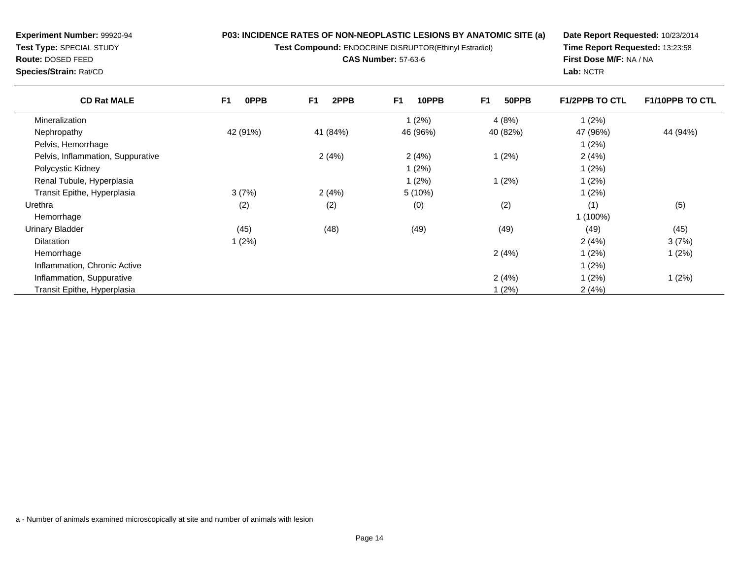**Test Compound:** ENDOCRINE DISRUPTOR(Ethinyl Estradiol)

**CAS Number:** 57-63-6

**Date Report Requested:** 10/23/2014**Time Report Requested:** 13:23:58**First Dose M/F:** NA / NA**Lab:** NCTR

| <b>CD Rat MALE</b>                | F <sub>1</sub><br>0PPB | F <sub>1</sub><br>2PPB | F <sub>1</sub><br>10PPB | F <sub>1</sub><br>50PPB | <b>F1/2PPB TO CTL</b> | <b>F1/10PPB TO CTL</b> |
|-----------------------------------|------------------------|------------------------|-------------------------|-------------------------|-----------------------|------------------------|
| Mineralization                    |                        |                        | 1(2%)                   | 4(8%)                   | 1(2%)                 |                        |
| Nephropathy                       | 42 (91%)               | 41 (84%)               | 46 (96%)                | 40 (82%)                | 47 (96%)              | 44 (94%)               |
| Pelvis, Hemorrhage                |                        |                        |                         |                         | 1(2%)                 |                        |
| Pelvis, Inflammation, Suppurative |                        | 2(4%)                  | 2(4%)                   | (2%)                    | 2(4%)                 |                        |
| Polycystic Kidney                 |                        |                        | 1(2%)                   |                         | 1(2%)                 |                        |
| Renal Tubule, Hyperplasia         |                        |                        | 1(2%)                   | (2%)                    | 1(2%)                 |                        |
| Transit Epithe, Hyperplasia       | 3(7%)                  | 2(4%)                  | 5(10%)                  |                         | 1(2%)                 |                        |
| Urethra                           | (2)                    | (2)                    | (0)                     | (2)                     | (1)                   | (5)                    |
| Hemorrhage                        |                        |                        |                         |                         | 1 (100%)              |                        |
| <b>Urinary Bladder</b>            | (45)                   | (48)                   | (49)                    | (49)                    | (49)                  | (45)                   |
| <b>Dilatation</b>                 | 1(2%)                  |                        |                         |                         | 2(4%)                 | 3(7%)                  |
| Hemorrhage                        |                        |                        |                         | 2(4%)                   | 1(2%)                 | 1(2%)                  |
| Inflammation, Chronic Active      |                        |                        |                         |                         | 1(2%)                 |                        |
| Inflammation, Suppurative         |                        |                        |                         | 2(4%)                   | 1(2%)                 | 1(2%)                  |
| Transit Epithe, Hyperplasia       |                        |                        |                         | (2%)                    | 2(4%)                 |                        |

a - Number of animals examined microscopically at site and number of animals with lesion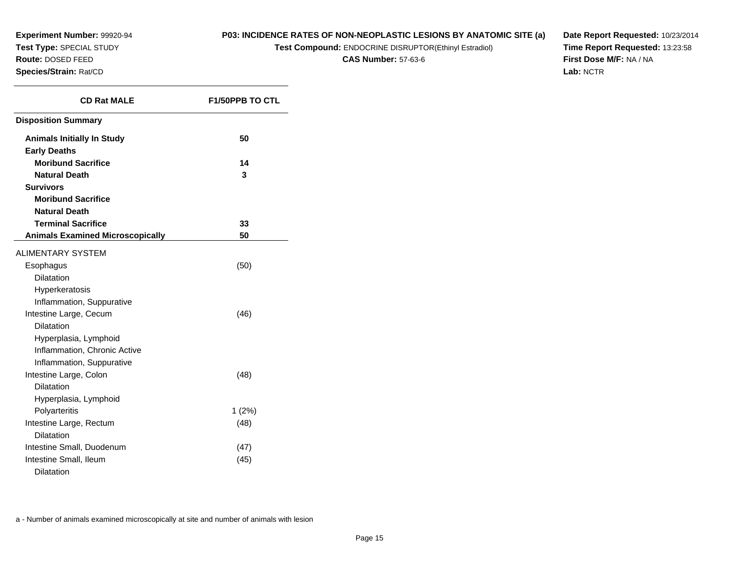## **P03: INCIDENCE RATES OF NON-NEOPLASTIC LESIONS BY ANATOMIC SITE (a)**

**Test Compound:** ENDOCRINE DISRUPTOR(Ethinyl Estradiol)

**CAS Number:** 57-63-6

**Date Report Requested:** 10/23/2014**Time Report Requested:** 13:23:58**First Dose M/F:** NA / NA**Lab:** NCTR

| <b>CD Rat MALE</b>                      | <b>F1/50PPB TO CTL</b> |
|-----------------------------------------|------------------------|
| <b>Disposition Summary</b>              |                        |
| <b>Animals Initially In Study</b>       | 50                     |
| <b>Early Deaths</b>                     |                        |
| <b>Moribund Sacrifice</b>               | 14                     |
| <b>Natural Death</b>                    | 3                      |
| <b>Survivors</b>                        |                        |
| <b>Moribund Sacrifice</b>               |                        |
| <b>Natural Death</b>                    |                        |
| <b>Terminal Sacrifice</b>               | 33                     |
| <b>Animals Examined Microscopically</b> | 50                     |
| <b>ALIMENTARY SYSTEM</b>                |                        |
| Esophagus                               | (50)                   |
| <b>Dilatation</b>                       |                        |
| Hyperkeratosis                          |                        |
| Inflammation, Suppurative               |                        |
| Intestine Large, Cecum                  | (46)                   |
| <b>Dilatation</b>                       |                        |
| Hyperplasia, Lymphoid                   |                        |
| Inflammation, Chronic Active            |                        |
| Inflammation, Suppurative               |                        |
| Intestine Large, Colon                  | (48)                   |
| Dilatation                              |                        |
| Hyperplasia, Lymphoid                   |                        |
| Polyarteritis                           | $1(2\%)$               |
| Intestine Large, Rectum                 | (48)                   |
| <b>Dilatation</b>                       |                        |
| Intestine Small, Duodenum               | (47)                   |
| Intestine Small, Ileum                  | (45)                   |
| Dilatation                              |                        |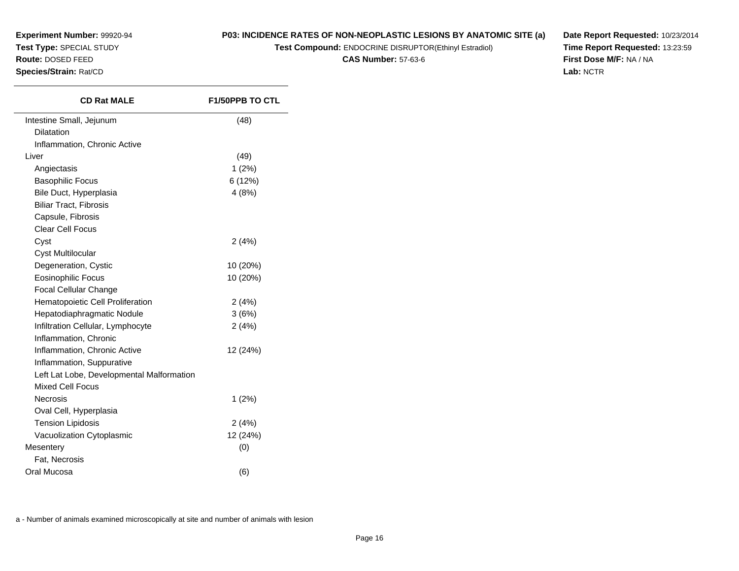## **P03: INCIDENCE RATES OF NON-NEOPLASTIC LESIONS BY ANATOMIC SITE (a)**

**Test Compound:** ENDOCRINE DISRUPTOR(Ethinyl Estradiol)

**CAS Number:** 57-63-6

**Date Report Requested:** 10/23/2014**Time Report Requested:** 13:23:59**First Dose M/F:** NA / NA**Lab:** NCTR

| Intestine Small, Jejunum<br><b>Dilatation</b><br>Inflammation, Chronic Active<br>Liver<br>Angiectasis | (48)<br>(49)<br>1(2%) |
|-------------------------------------------------------------------------------------------------------|-----------------------|
|                                                                                                       |                       |
|                                                                                                       |                       |
|                                                                                                       |                       |
|                                                                                                       |                       |
|                                                                                                       |                       |
| <b>Basophilic Focus</b>                                                                               | 6 (12%)               |
| Bile Duct, Hyperplasia                                                                                | 4(8%)                 |
| <b>Biliar Tract, Fibrosis</b>                                                                         |                       |
| Capsule, Fibrosis                                                                                     |                       |
| Clear Cell Focus                                                                                      |                       |
| Cyst                                                                                                  | 2(4%)                 |
| Cyst Multilocular                                                                                     |                       |
| Degeneration, Cystic                                                                                  | 10 (20%)              |
| <b>Eosinophilic Focus</b>                                                                             | 10 (20%)              |
| Focal Cellular Change                                                                                 |                       |
| Hematopoietic Cell Proliferation                                                                      | 2(4%)                 |
| Hepatodiaphragmatic Nodule                                                                            | 3(6%)                 |
| Infiltration Cellular, Lymphocyte                                                                     | 2(4%)                 |
| Inflammation, Chronic                                                                                 |                       |
| Inflammation, Chronic Active                                                                          | 12 (24%)              |
| Inflammation, Suppurative                                                                             |                       |
| Left Lat Lobe, Developmental Malformation                                                             |                       |
| <b>Mixed Cell Focus</b>                                                                               |                       |
| <b>Necrosis</b>                                                                                       | 1(2%)                 |
| Oval Cell, Hyperplasia                                                                                |                       |
| <b>Tension Lipidosis</b>                                                                              | 2(4%)                 |
| Vacuolization Cytoplasmic                                                                             | 12 (24%)              |
| Mesentery                                                                                             | (0)                   |
| Fat, Necrosis                                                                                         |                       |
| Oral Mucosa                                                                                           | (6)                   |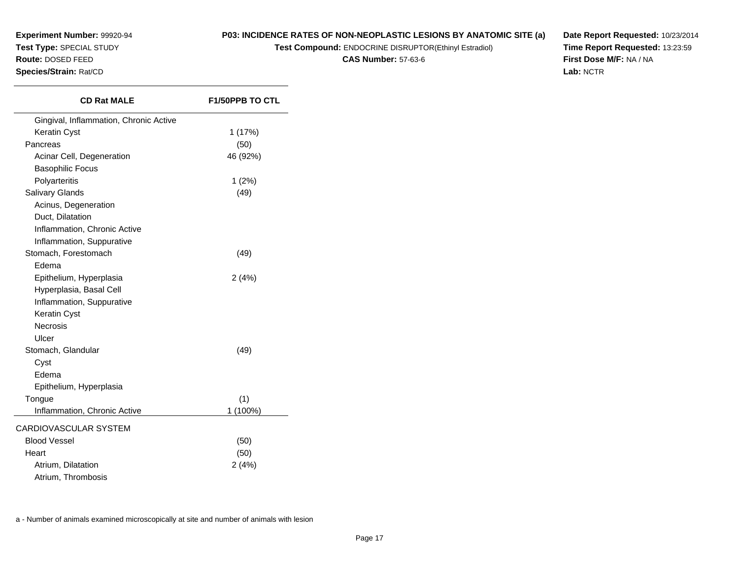## **P03: INCIDENCE RATES OF NON-NEOPLASTIC LESIONS BY ANATOMIC SITE (a)**

**Test Compound:** ENDOCRINE DISRUPTOR(Ethinyl Estradiol)

**CAS Number:** 57-63-6

**Date Report Requested:** 10/23/2014**Time Report Requested:** 13:23:59**First Dose M/F:** NA / NA**Lab:** NCTR

| <b>CD Rat MALE</b>                     | <b>F1/50PPB TO CTL</b> |
|----------------------------------------|------------------------|
| Gingival, Inflammation, Chronic Active |                        |
| Keratin Cyst                           | 1 (17%)                |
| Pancreas                               | (50)                   |
| Acinar Cell, Degeneration              | 46 (92%)               |
| <b>Basophilic Focus</b>                |                        |
| Polyarteritis                          | $1(2\%)$               |
| Salivary Glands                        | (49)                   |
| Acinus, Degeneration                   |                        |
| Duct, Dilatation                       |                        |
| Inflammation, Chronic Active           |                        |
| Inflammation, Suppurative              |                        |
| Stomach, Forestomach                   | (49)                   |
| Edema                                  |                        |
| Epithelium, Hyperplasia                | 2(4%)                  |
| Hyperplasia, Basal Cell                |                        |
| Inflammation, Suppurative              |                        |
| Keratin Cyst                           |                        |
| <b>Necrosis</b>                        |                        |
| Ulcer                                  |                        |
| Stomach, Glandular                     | (49)                   |
| Cyst                                   |                        |
| Edema                                  |                        |
| Epithelium, Hyperplasia                |                        |
| Tongue                                 | (1)                    |
| Inflammation, Chronic Active           | 1 (100%)               |
| CARDIOVASCULAR SYSTEM                  |                        |
| <b>Blood Vessel</b>                    | (50)                   |
| Heart                                  | (50)                   |
| Atrium, Dilatation                     | 2(4%)                  |
| Atrium, Thrombosis                     |                        |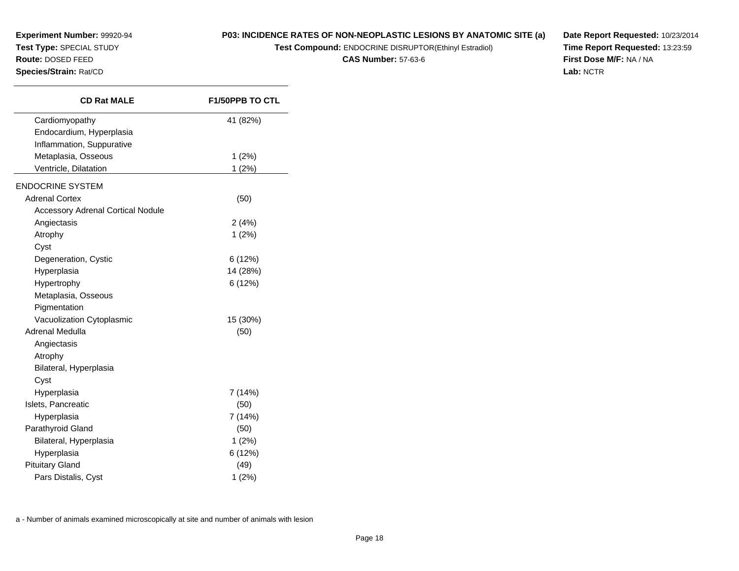## **P03: INCIDENCE RATES OF NON-NEOPLASTIC LESIONS BY ANATOMIC SITE (a)**

**Test Compound:** ENDOCRINE DISRUPTOR(Ethinyl Estradiol)

**CAS Number:** 57-63-6

**Date Report Requested:** 10/23/2014**Time Report Requested:** 13:23:59**First Dose M/F:** NA / NA**Lab:** NCTR

| <b>CD Rat MALE</b>                       | <b>F1/50PPB TO CTL</b> |
|------------------------------------------|------------------------|
| Cardiomyopathy                           | 41 (82%)               |
| Endocardium, Hyperplasia                 |                        |
| Inflammation, Suppurative                |                        |
| Metaplasia, Osseous                      | 1(2%)                  |
| Ventricle, Dilatation                    | 1(2%)                  |
| <b>ENDOCRINE SYSTEM</b>                  |                        |
| <b>Adrenal Cortex</b>                    | (50)                   |
| <b>Accessory Adrenal Cortical Nodule</b> |                        |
| Angiectasis                              | 2(4%)                  |
| Atrophy                                  | 1(2%)                  |
| Cyst                                     |                        |
| Degeneration, Cystic                     | 6(12%)                 |
| Hyperplasia                              | 14 (28%)               |
| Hypertrophy                              | 6(12%)                 |
| Metaplasia, Osseous                      |                        |
| Pigmentation                             |                        |
| Vacuolization Cytoplasmic                | 15 (30%)               |
| Adrenal Medulla                          | (50)                   |
| Angiectasis                              |                        |
| Atrophy                                  |                        |
| Bilateral, Hyperplasia                   |                        |
| Cyst                                     |                        |
| Hyperplasia                              | 7 (14%)                |
| Islets, Pancreatic                       | (50)                   |
| Hyperplasia                              | 7 (14%)                |
| Parathyroid Gland                        | (50)                   |
| Bilateral, Hyperplasia                   | 1(2%)                  |
| Hyperplasia                              | 6(12%)                 |
| <b>Pituitary Gland</b>                   | (49)                   |
| Pars Distalis, Cyst                      | 1(2%)                  |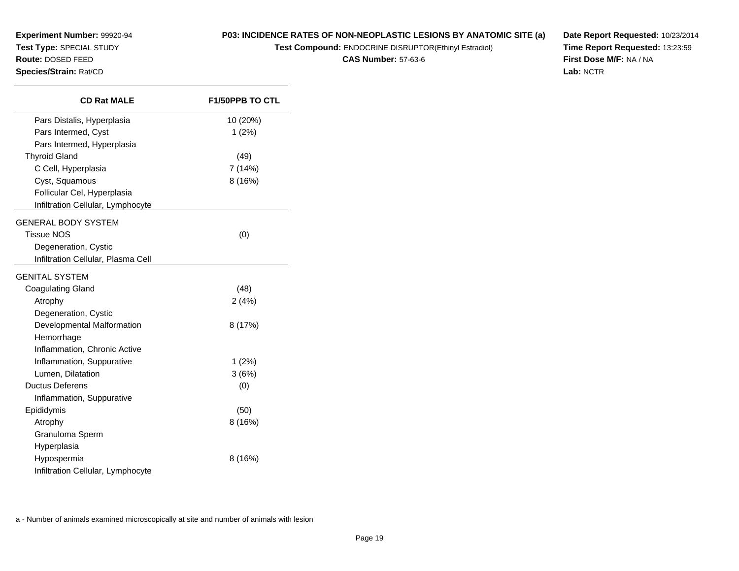**Test Compound:** ENDOCRINE DISRUPTOR(Ethinyl Estradiol)

**CAS Number:** 57-63-6

**Date Report Requested:** 10/23/2014**Time Report Requested:** 13:23:59**First Dose M/F:** NA / NA**Lab:** NCTR

| Species/Strain: Rat/CD             |                        |
|------------------------------------|------------------------|
| <b>CD Rat MALE</b>                 | <b>F1/50PPB TO CTL</b> |
| Pars Distalis, Hyperplasia         | 10 (20%)               |
| Pars Intermed, Cyst                | 1(2%)                  |
| Pars Intermed, Hyperplasia         |                        |
| <b>Thyroid Gland</b>               | (49)                   |
| C Cell, Hyperplasia                | 7 (14%)                |
| Cyst, Squamous                     | 8(16%)                 |
| Follicular Cel, Hyperplasia        |                        |
| Infiltration Cellular, Lymphocyte  |                        |
| <b>GENERAL BODY SYSTEM</b>         |                        |
| <b>Tissue NOS</b>                  | (0)                    |
| Degeneration, Cystic               |                        |
| Infiltration Cellular, Plasma Cell |                        |
| <b>GENITAL SYSTEM</b>              |                        |
|                                    |                        |
| Coagulating Gland                  | (48)                   |
| Atrophy                            | 2(4%)                  |
| Degeneration, Cystic               |                        |
| Developmental Malformation         | 8 (17%)                |
| Hemorrhage                         |                        |
| Inflammation, Chronic Active       |                        |

Inflammation, Suppurative

Inflammation, Suppurative

Infiltration Cellular, Lymphocyte

Lumen, Dilatation

Granuloma SpermHyperplasiaHypospermia

Ductus Deferens

Epididymis

Atrophy

1 (2%)

 $3(6%)$ <br> $(0)$ 

8 (16%)

8 (16%)

**Experiment Number:** 99920-94**Test Type:** SPECIAL STUDY**Route:** DOSED FEED

a - Number of animals examined microscopically at site and number of animals with lesion

 $\mathbf{s}$  (0)

 $\mathbf{s}$  (50)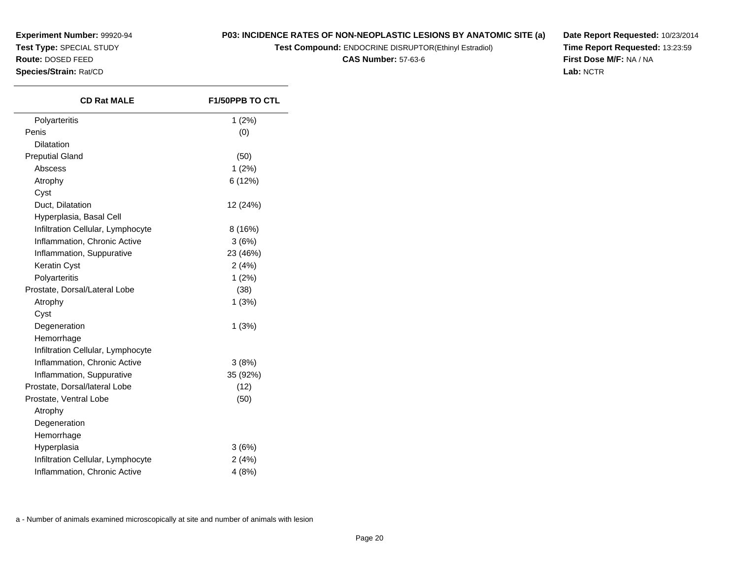**Experiment Number:** 99920-94**Test Type:** SPECIAL STUDY

**Route:** DOSED FEED

**Species/Strain:** Rat/CD

## **P03: INCIDENCE RATES OF NON-NEOPLASTIC LESIONS BY ANATOMIC SITE (a)**

**Test Compound:** ENDOCRINE DISRUPTOR(Ethinyl Estradiol)

**CAS Number:** 57-63-6

**Date Report Requested:** 10/23/2014**Time Report Requested:** 13:23:59**First Dose M/F:** NA / NA**Lab:** NCTR

| <b>CD Rat MALE</b>                | <b>F1/50PPB TO CTL</b> |
|-----------------------------------|------------------------|
| Polyarteritis                     | 1(2%)                  |
| Penis                             | (0)                    |
| Dilatation                        |                        |
| <b>Preputial Gland</b>            | (50)                   |
| Abscess                           | 1(2%)                  |
| Atrophy                           | 6 (12%)                |
| Cyst                              |                        |
| Duct, Dilatation                  | 12 (24%)               |
| Hyperplasia, Basal Cell           |                        |
| Infiltration Cellular, Lymphocyte | 8(16%)                 |
| Inflammation, Chronic Active      | 3(6%)                  |
| Inflammation, Suppurative         | 23 (46%)               |
| Keratin Cyst                      | 2(4%)                  |
| Polyarteritis                     | 1(2%)                  |
| Prostate, Dorsal/Lateral Lobe     | (38)                   |
| Atrophy                           | 1(3%)                  |
| Cyst                              |                        |
| Degeneration                      | 1(3%)                  |
| Hemorrhage                        |                        |
| Infiltration Cellular, Lymphocyte |                        |
| Inflammation, Chronic Active      | 3(8%)                  |
| Inflammation, Suppurative         | 35 (92%)               |
| Prostate, Dorsal/lateral Lobe     | (12)                   |
| Prostate, Ventral Lobe            | (50)                   |
| Atrophy                           |                        |
| Degeneration                      |                        |
| Hemorrhage                        |                        |
| Hyperplasia                       | 3(6%)                  |
| Infiltration Cellular, Lymphocyte | 2(4%)                  |
| Inflammation, Chronic Active      | 4(8%)                  |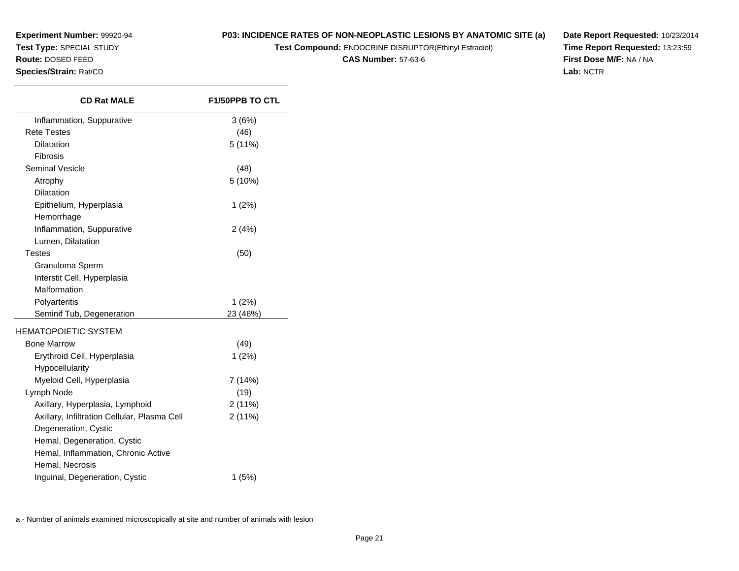**Experiment Number:** 99920-94**Test Type:** SPECIAL STUDY**Route:** DOSED FEED

#### **Species/Strain:** Rat/CD

**P03: INCIDENCE RATES OF NON-NEOPLASTIC LESIONS BY ANATOMIC SITE (a)**

**Test Compound:** ENDOCRINE DISRUPTOR(Ethinyl Estradiol)

**CAS Number:** 57-63-6

**Date Report Requested:** 10/23/2014**Time Report Requested:** 13:23:59**First Dose M/F:** NA / NA**Lab:** NCTR

| <b>CD Rat MALE</b>                           | <b>F1/50PPB TO CTL</b> |
|----------------------------------------------|------------------------|
| Inflammation, Suppurative                    | 3(6%)                  |
| <b>Rete Testes</b>                           | (46)                   |
| Dilatation                                   | 5 (11%)                |
| Fibrosis                                     |                        |
| <b>Seminal Vesicle</b>                       | (48)                   |
| Atrophy                                      | 5 (10%)                |
| <b>Dilatation</b>                            |                        |
| Epithelium, Hyperplasia                      | $1(2\%)$               |
| Hemorrhage                                   |                        |
| Inflammation, Suppurative                    | 2(4%)                  |
| Lumen, Dilatation                            |                        |
| <b>Testes</b>                                | (50)                   |
| Granuloma Sperm                              |                        |
| Interstit Cell, Hyperplasia                  |                        |
| Malformation                                 |                        |
| Polyarteritis                                | 1(2%)                  |
| Seminif Tub, Degeneration                    | 23 (46%)               |
| <b>HEMATOPOIETIC SYSTEM</b>                  |                        |
| <b>Bone Marrow</b>                           | (49)                   |
| Erythroid Cell, Hyperplasia                  | $1(2\%)$               |
| Hypocellularity                              |                        |
| Myeloid Cell, Hyperplasia                    | 7 (14%)                |
| Lymph Node                                   | (19)                   |
| Axillary, Hyperplasia, Lymphoid              | 2(11%)                 |
| Axillary, Infiltration Cellular, Plasma Cell | 2(11%)                 |
| Degeneration, Cystic                         |                        |
| Hemal, Degeneration, Cystic                  |                        |
| Hemal, Inflammation, Chronic Active          |                        |
| Hemal, Necrosis                              |                        |
| Inguinal, Degeneration, Cystic               | 1(5%)                  |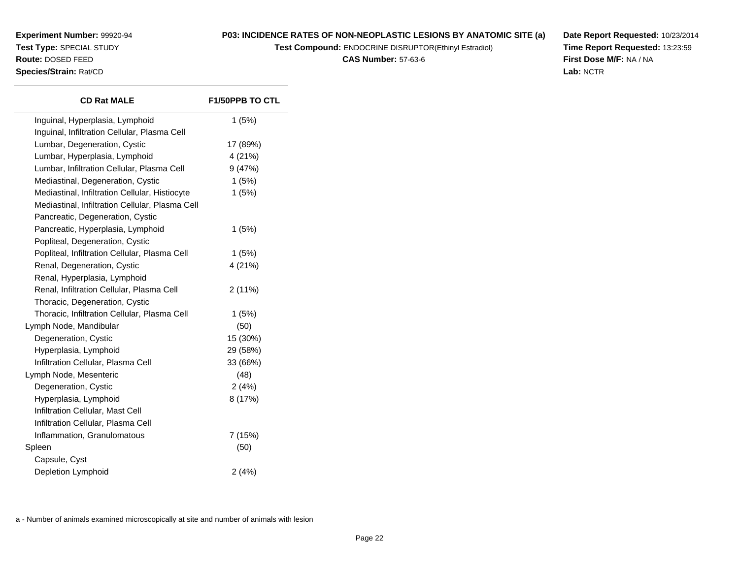## **P03: INCIDENCE RATES OF NON-NEOPLASTIC LESIONS BY ANATOMIC SITE (a)**

**Test Compound:** ENDOCRINE DISRUPTOR(Ethinyl Estradiol)

**CAS Number:** 57-63-6

**Date Report Requested:** 10/23/2014**Time Report Requested:** 13:23:59**First Dose M/F:** NA / NA**Lab:** NCTR

| <b>CD Rat MALE</b>                              | <b>F1/50PPB TO CTL</b> |
|-------------------------------------------------|------------------------|
| Inguinal, Hyperplasia, Lymphoid                 | 1(5%)                  |
| Inguinal, Infiltration Cellular, Plasma Cell    |                        |
| Lumbar, Degeneration, Cystic                    | 17 (89%)               |
| Lumbar, Hyperplasia, Lymphoid                   | 4 (21%)                |
| Lumbar, Infiltration Cellular, Plasma Cell      | 9(47%)                 |
| Mediastinal, Degeneration, Cystic               | 1(5%)                  |
| Mediastinal, Infiltration Cellular, Histiocyte  | 1(5%)                  |
| Mediastinal, Infiltration Cellular, Plasma Cell |                        |
| Pancreatic, Degeneration, Cystic                |                        |
| Pancreatic, Hyperplasia, Lymphoid               | 1(5%)                  |
| Popliteal, Degeneration, Cystic                 |                        |
| Popliteal, Infiltration Cellular, Plasma Cell   | 1(5%)                  |
| Renal, Degeneration, Cystic                     | 4 (21%)                |
| Renal, Hyperplasia, Lymphoid                    |                        |
| Renal, Infiltration Cellular, Plasma Cell       | 2 (11%)                |
| Thoracic, Degeneration, Cystic                  |                        |
| Thoracic, Infiltration Cellular, Plasma Cell    | 1(5%)                  |
| Lymph Node, Mandibular                          | (50)                   |
| Degeneration, Cystic                            | 15 (30%)               |
| Hyperplasia, Lymphoid                           | 29 (58%)               |
| Infiltration Cellular, Plasma Cell              | 33 (66%)               |
| Lymph Node, Mesenteric                          | (48)                   |
| Degeneration, Cystic                            | 2(4%)                  |
| Hyperplasia, Lymphoid                           | 8 (17%)                |
| Infiltration Cellular, Mast Cell                |                        |
| Infiltration Cellular, Plasma Cell              |                        |
| Inflammation, Granulomatous                     | 7 (15%)                |
| Spleen                                          | (50)                   |
| Capsule, Cyst                                   |                        |
| Depletion Lymphoid                              | 2(4%)                  |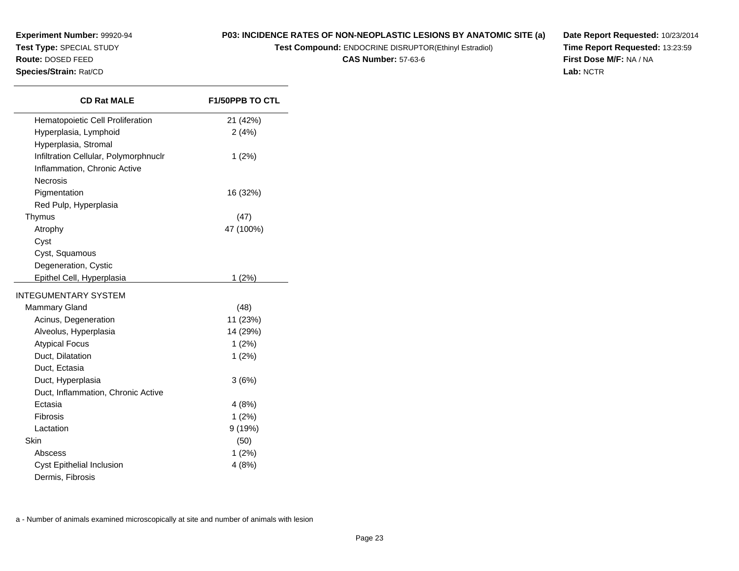**Test Compound:** ENDOCRINE DISRUPTOR(Ethinyl Estradiol)

**CAS Number:** 57-63-6

**Date Report Requested:** 10/23/2014**Time Report Requested:** 13:23:59**First Dose M/F:** NA / NA**Lab:** NCTR

| <b>CD Rat MALE</b>                    | <b>F1/50PPB TO CTL</b> |
|---------------------------------------|------------------------|
| Hematopoietic Cell Proliferation      | 21 (42%)               |
| Hyperplasia, Lymphoid                 | 2(4%)                  |
| Hyperplasia, Stromal                  |                        |
| Infiltration Cellular, Polymorphnuclr | 1(2%)                  |
| Inflammation, Chronic Active          |                        |
| <b>Necrosis</b>                       |                        |
| Pigmentation                          | 16 (32%)               |
| Red Pulp, Hyperplasia                 |                        |
| Thymus                                | (47)                   |
| Atrophy                               | 47 (100%)              |
| Cyst                                  |                        |
| Cyst, Squamous                        |                        |
| Degeneration, Cystic                  |                        |
| Epithel Cell, Hyperplasia             | 1(2%)                  |
| <b>INTEGUMENTARY SYSTEM</b>           |                        |
| <b>Mammary Gland</b>                  | (48)                   |
| Acinus, Degeneration                  | 11 (23%)               |
| Alveolus, Hyperplasia                 | 14 (29%)               |
| <b>Atypical Focus</b>                 | 1(2%)                  |
| Duct, Dilatation                      | 1(2%)                  |
| Duct, Ectasia                         |                        |
| Duct, Hyperplasia                     | 3(6%)                  |
| Duct, Inflammation, Chronic Active    |                        |
| Ectasia                               | 4(8%)                  |
| Fibrosis                              | 1(2%)                  |
| Lactation                             | 9(19%)                 |
| Skin                                  | (50)                   |
| Abscess                               | 1(2%)                  |
| Cyst Epithelial Inclusion             | 4(8%)                  |

Dermis, Fibrosis

**Experiment Number:** 99920-94**Test Type:** SPECIAL STUDY**Route:** DOSED FEED**Species/Strain:** Rat/CD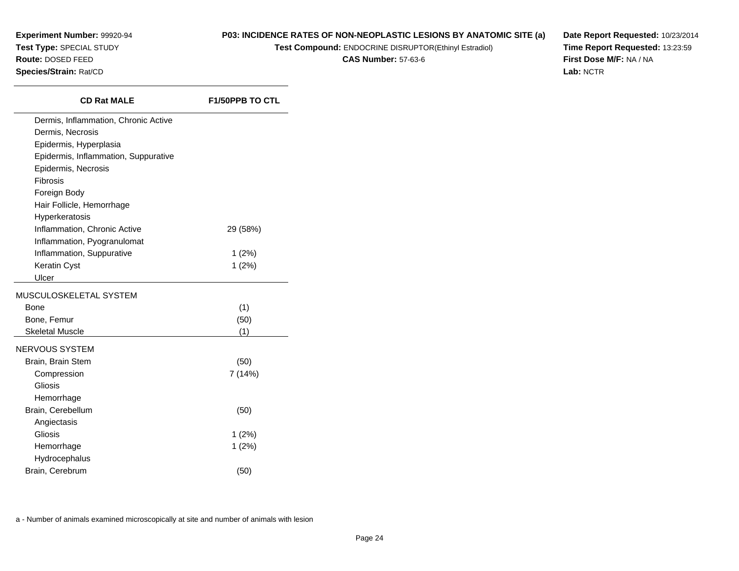$\overline{\phantom{0}}$ 

## **P03: INCIDENCE RATES OF NON-NEOPLASTIC LESIONS BY ANATOMIC SITE (a)**

**Test Compound:** ENDOCRINE DISRUPTOR(Ethinyl Estradiol)

**CAS Number:** 57-63-6

**Date Report Requested:** 10/23/2014**Time Report Requested:** 13:23:59**First Dose M/F:** NA / NA**Lab:** NCTR

| <b>CD Rat MALE</b>                   | <b>F1/50PPB TO CTL</b> |
|--------------------------------------|------------------------|
| Dermis, Inflammation, Chronic Active |                        |
| Dermis, Necrosis                     |                        |
| Epidermis, Hyperplasia               |                        |
| Epidermis, Inflammation, Suppurative |                        |
| Epidermis, Necrosis                  |                        |
| Fibrosis                             |                        |
| Foreign Body                         |                        |
| Hair Follicle, Hemorrhage            |                        |
| Hyperkeratosis                       |                        |
| Inflammation, Chronic Active         | 29 (58%)               |
| Inflammation, Pyogranulomat          |                        |
| Inflammation, Suppurative            | $1(2\%)$               |
| Keratin Cyst                         | 1(2%)                  |
| Ulcer                                |                        |
| MUSCULOSKELETAL SYSTEM               |                        |
| <b>Bone</b>                          | (1)                    |
| Bone, Femur                          | (50)                   |
| <b>Skeletal Muscle</b>               | (1)                    |
| NERVOUS SYSTEM                       |                        |
| Brain, Brain Stem                    | (50)                   |
| Compression                          | 7 (14%)                |
| Gliosis                              |                        |
| Hemorrhage                           |                        |
| Brain, Cerebellum                    | (50)                   |
| Angiectasis                          |                        |
| Gliosis                              | $1(2\%)$               |
| Hemorrhage                           | 1(2%)                  |
| Hydrocephalus                        |                        |
| Brain, Cerebrum                      | (50)                   |
|                                      |                        |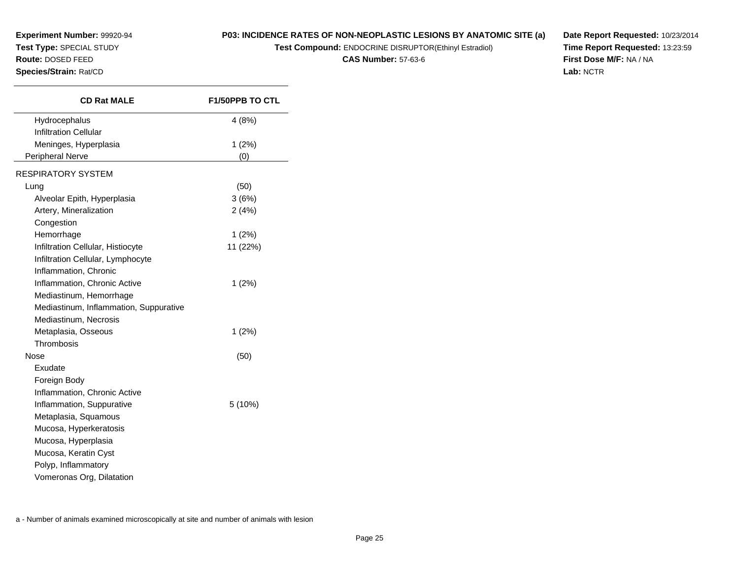## **P03: INCIDENCE RATES OF NON-NEOPLASTIC LESIONS BY ANATOMIC SITE (a)**

**Test Compound:** ENDOCRINE DISRUPTOR(Ethinyl Estradiol)

**CAS Number:** 57-63-6

**Date Report Requested:** 10/23/2014**Time Report Requested:** 13:23:59**First Dose M/F:** NA / NA**Lab:** NCTR

| <b>CD Rat MALE</b>                     | <b>F1/50PPB TO CTL</b> |
|----------------------------------------|------------------------|
| Hydrocephalus                          | 4 (8%)                 |
| <b>Infiltration Cellular</b>           |                        |
| Meninges, Hyperplasia                  | 1(2%)                  |
| Peripheral Nerve                       | (0)                    |
| <b>RESPIRATORY SYSTEM</b>              |                        |
| Lung                                   | (50)                   |
| Alveolar Epith, Hyperplasia            | 3(6%)                  |
| Artery, Mineralization                 | 2(4%)                  |
| Congestion                             |                        |
| Hemorrhage                             | 1(2%)                  |
| Infiltration Cellular, Histiocyte      | 11 (22%)               |
| Infiltration Cellular, Lymphocyte      |                        |
| Inflammation, Chronic                  |                        |
| Inflammation, Chronic Active           | 1(2%)                  |
| Mediastinum, Hemorrhage                |                        |
| Mediastinum, Inflammation, Suppurative |                        |
| Mediastinum, Necrosis                  |                        |
| Metaplasia, Osseous                    | 1(2%)                  |
| Thrombosis                             |                        |
| Nose                                   | (50)                   |
| Exudate                                |                        |
| Foreign Body                           |                        |
| Inflammation, Chronic Active           |                        |
| Inflammation, Suppurative              | 5 (10%)                |
| Metaplasia, Squamous                   |                        |
| Mucosa, Hyperkeratosis                 |                        |
| Mucosa, Hyperplasia                    |                        |
| Mucosa, Keratin Cyst                   |                        |
| Polyp, Inflammatory                    |                        |
| Vomeronas Org, Dilatation              |                        |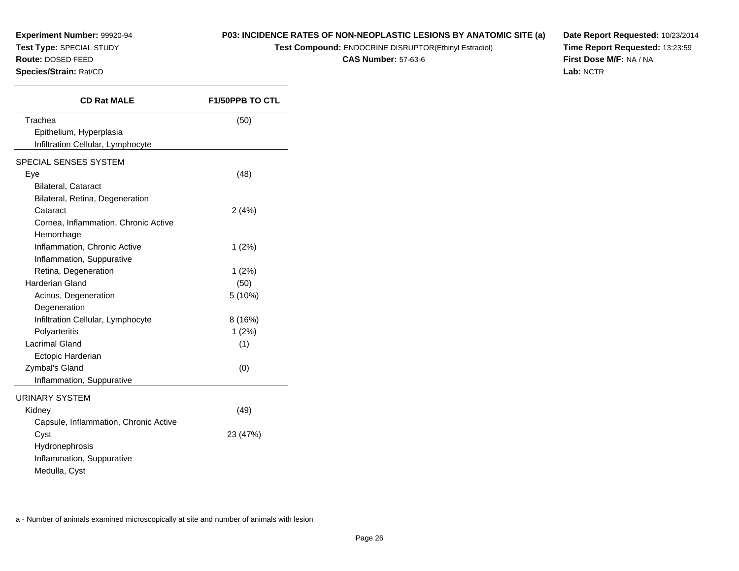**Experiment Number:** 99920-94**Test Type:** SPECIAL STUDY**Route:** DOSED FEED

**Species/Strain:** Rat/CD

# **P03: INCIDENCE RATES OF NON-NEOPLASTIC LESIONS BY ANATOMIC SITE (a)**

**Test Compound:** ENDOCRINE DISRUPTOR(Ethinyl Estradiol)

**CAS Number:** 57-63-6

**Date Report Requested:** 10/23/2014**Time Report Requested:** 13:23:59**First Dose M/F:** NA / NA**Lab:** NCTR

| <b>CD Rat MALE</b>                    | <b>F1/50PPB TO CTL</b> |
|---------------------------------------|------------------------|
| Trachea                               | (50)                   |
| Epithelium, Hyperplasia               |                        |
| Infiltration Cellular, Lymphocyte     |                        |
| SPECIAL SENSES SYSTEM                 |                        |
| Eye                                   | (48)                   |
| <b>Bilateral, Cataract</b>            |                        |
| Bilateral, Retina, Degeneration       |                        |
| Cataract                              | 2(4%)                  |
| Cornea, Inflammation, Chronic Active  |                        |
| Hemorrhage                            |                        |
| Inflammation, Chronic Active          | 1(2%)                  |
| Inflammation, Suppurative             |                        |
| Retina, Degeneration                  | 1(2%)                  |
| Harderian Gland                       | (50)                   |
| Acinus, Degeneration                  | 5(10%)                 |
| Degeneration                          |                        |
| Infiltration Cellular, Lymphocyte     | 8(16%)                 |
| Polyarteritis                         | 1(2%)                  |
| <b>Lacrimal Gland</b>                 | (1)                    |
| Ectopic Harderian                     |                        |
| Zymbal's Gland                        | (0)                    |
| Inflammation, Suppurative             |                        |
| <b>URINARY SYSTEM</b>                 |                        |
| Kidney                                | (49)                   |
| Capsule, Inflammation, Chronic Active |                        |
| Cyst                                  | 23 (47%)               |
| Hydronephrosis                        |                        |
| Inflammation, Suppurative             |                        |
| Medulla, Cyst                         |                        |
|                                       |                        |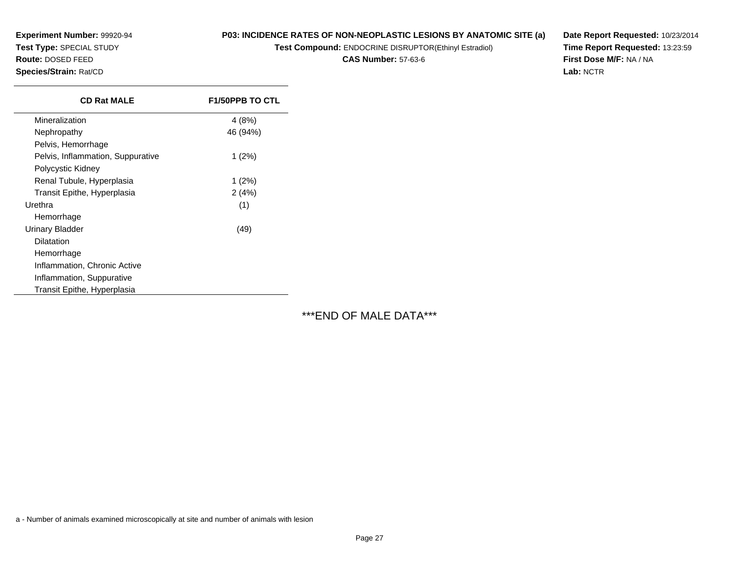**Experiment Number:** 99920-94**Test Type:** SPECIAL STUDY

# **Route:** DOSED FEED

**Species/Strain:** Rat/CD

## **P03: INCIDENCE RATES OF NON-NEOPLASTIC LESIONS BY ANATOMIC SITE (a)**

**Test Compound:** ENDOCRINE DISRUPTOR(Ethinyl Estradiol)

**CAS Number:** 57-63-6

**Date Report Requested:** 10/23/2014**Time Report Requested:** 13:23:59**First Dose M/F:** NA / NA**Lab:** NCTR

| <b>CD Rat MALE</b>                | <b>F1/50PPB TO CTL</b> |
|-----------------------------------|------------------------|
| Mineralization                    | 4 (8%)                 |
| Nephropathy                       | 46 (94%)               |
| Pelvis, Hemorrhage                |                        |
| Pelvis, Inflammation, Suppurative | $1(2\%)$               |
| Polycystic Kidney                 |                        |
| Renal Tubule, Hyperplasia         | $1(2\%)$               |
| Transit Epithe, Hyperplasia       | 2(4%)                  |
| Urethra                           | (1)                    |
| Hemorrhage                        |                        |
| Urinary Bladder                   | (49)                   |
| Dilatation                        |                        |
| Hemorrhage                        |                        |
| Inflammation, Chronic Active      |                        |
| Inflammation, Suppurative         |                        |
| Transit Epithe, Hyperplasia       |                        |

\*\*\*END OF MALE DATA\*\*\*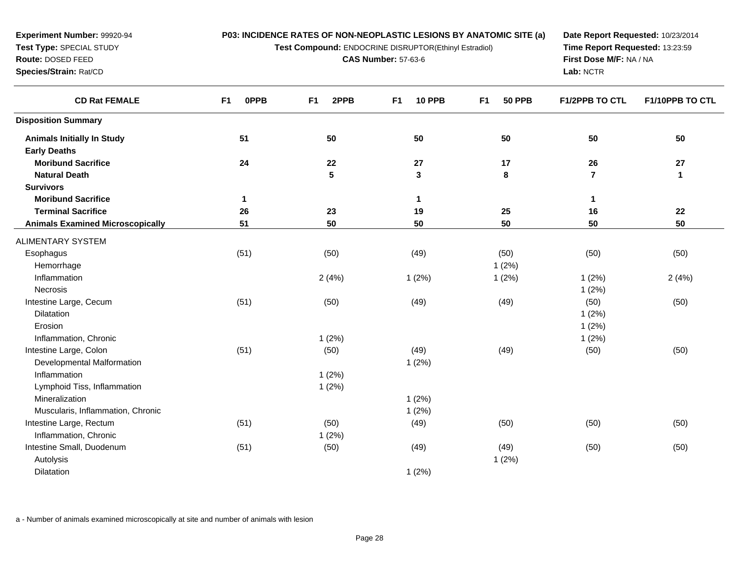**Test Compound:** ENDOCRINE DISRUPTOR(Ethinyl Estradiol)

**CAS Number:** 57-63-6

**Date Report Requested:** 10/23/2014**Time Report Requested:** 13:23:59**First Dose M/F:** NA / NA**Lab:** NCTR

| <b>CD Rat FEMALE</b>                    | <b>OPPB</b><br>F <sub>1</sub> | 2PPB<br>F <sub>1</sub> | <b>10 PPB</b><br>F <sub>1</sub> | <b>50 PPB</b><br>F <sub>1</sub> | <b>F1/2PPB TO CTL</b> | F1/10PPB TO CTL |
|-----------------------------------------|-------------------------------|------------------------|---------------------------------|---------------------------------|-----------------------|-----------------|
| <b>Disposition Summary</b>              |                               |                        |                                 |                                 |                       |                 |
| <b>Animals Initially In Study</b>       | 51                            | 50                     | 50                              | 50                              | 50                    | 50              |
| <b>Early Deaths</b>                     |                               |                        |                                 |                                 |                       |                 |
| <b>Moribund Sacrifice</b>               | 24                            | 22                     | 27                              | 17                              | 26                    | 27              |
| <b>Natural Death</b>                    |                               | ${\bf 5}$              | $\mathbf 3$                     | 8                               | $\overline{7}$        | $\mathbf 1$     |
| <b>Survivors</b>                        |                               |                        |                                 |                                 |                       |                 |
| <b>Moribund Sacrifice</b>               | $\mathbf 1$                   |                        | 1                               |                                 | 1                     |                 |
| <b>Terminal Sacrifice</b>               | 26                            | 23                     | 19                              | 25                              | 16                    | ${\bf 22}$      |
| <b>Animals Examined Microscopically</b> | 51                            | 50                     | 50                              | 50                              | 50                    | 50              |
| ALIMENTARY SYSTEM                       |                               |                        |                                 |                                 |                       |                 |
| Esophagus                               | (51)                          | (50)                   | (49)                            | (50)                            | (50)                  | (50)            |
| Hemorrhage                              |                               |                        |                                 | 1(2%)                           |                       |                 |
| Inflammation                            |                               | 2(4%)                  | 1(2%)                           | 1(2%)                           | 1(2%)                 | 2(4%)           |
| Necrosis                                |                               |                        |                                 |                                 | 1(2%)                 |                 |
| Intestine Large, Cecum                  | (51)                          | (50)                   | (49)                            | (49)                            | (50)                  | (50)            |
| Dilatation                              |                               |                        |                                 |                                 | 1(2%)                 |                 |
| Erosion                                 |                               |                        |                                 |                                 | 1(2%)                 |                 |
| Inflammation, Chronic                   |                               | 1(2%)                  |                                 |                                 | 1(2%)                 |                 |
| Intestine Large, Colon                  | (51)                          | (50)                   | (49)                            | (49)                            | (50)                  | (50)            |
| Developmental Malformation              |                               |                        | 1(2%)                           |                                 |                       |                 |
| Inflammation                            |                               | 1(2%)                  |                                 |                                 |                       |                 |
| Lymphoid Tiss, Inflammation             |                               | 1(2%)                  |                                 |                                 |                       |                 |
| Mineralization                          |                               |                        | 1(2%)                           |                                 |                       |                 |
| Muscularis, Inflammation, Chronic       |                               |                        | 1(2%)                           |                                 |                       |                 |
| Intestine Large, Rectum                 | (51)                          | (50)                   | (49)                            | (50)                            | (50)                  | (50)            |
| Inflammation, Chronic                   |                               | 1(2%)                  |                                 |                                 |                       |                 |
| Intestine Small, Duodenum               | (51)                          | (50)                   | (49)                            | (49)                            | (50)                  | (50)            |
| Autolysis                               |                               |                        |                                 | 1(2%)                           |                       |                 |
| Dilatation                              |                               |                        | 1(2%)                           |                                 |                       |                 |

a - Number of animals examined microscopically at site and number of animals with lesion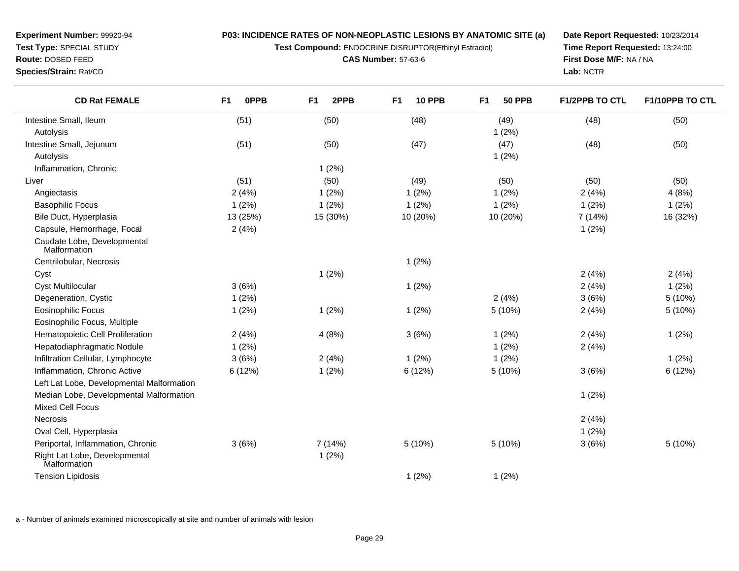**Test Compound:** ENDOCRINE DISRUPTOR(Ethinyl Estradiol)

**CAS Number:** 57-63-6

**Date Report Requested:** 10/23/2014**Time Report Requested:** 13:24:00**First Dose M/F:** NA / NA**Lab:** NCTR

| <b>CD Rat FEMALE</b>                          | <b>OPPB</b><br>F <sub>1</sub> | 2PPB<br>F <sub>1</sub> | F <sub>1</sub><br><b>10 PPB</b> | <b>50 PPB</b><br>F <sub>1</sub> | <b>F1/2PPB TO CTL</b> | F1/10PPB TO CTL |
|-----------------------------------------------|-------------------------------|------------------------|---------------------------------|---------------------------------|-----------------------|-----------------|
| Intestine Small, Ileum                        | (51)                          | (50)                   | (48)                            | (49)                            | (48)                  | (50)            |
| Autolysis                                     |                               |                        |                                 | 1(2%)                           |                       |                 |
| Intestine Small, Jejunum                      | (51)                          | (50)                   | (47)                            | (47)                            | (48)                  | (50)            |
| Autolysis                                     |                               |                        |                                 | 1(2%)                           |                       |                 |
| Inflammation, Chronic                         |                               | 1(2%)                  |                                 |                                 |                       |                 |
| Liver                                         | (51)                          | (50)                   | (49)                            | (50)                            | (50)                  | (50)            |
| Angiectasis                                   | 2(4%)                         | 1(2%)                  | 1(2%)                           | 1(2%)                           | 2(4%)                 | 4(8%)           |
| <b>Basophilic Focus</b>                       | 1(2%)                         | 1(2%)                  | 1(2%)                           | 1(2%)                           | 1(2%)                 | 1(2%)           |
| Bile Duct, Hyperplasia                        | 13 (25%)                      | 15 (30%)               | 10 (20%)                        | 10 (20%)                        | 7 (14%)               | 16 (32%)        |
| Capsule, Hemorrhage, Focal                    | 2(4%)                         |                        |                                 |                                 | 1(2%)                 |                 |
| Caudate Lobe, Developmental<br>Malformation   |                               |                        |                                 |                                 |                       |                 |
| Centrilobular, Necrosis                       |                               |                        | 1(2%)                           |                                 |                       |                 |
| Cyst                                          |                               | 1(2%)                  |                                 |                                 | 2(4%)                 | 2(4%)           |
| <b>Cyst Multilocular</b>                      | 3(6%)                         |                        | 1(2%)                           |                                 | 2(4%)                 | 1(2%)           |
| Degeneration, Cystic                          | 1(2%)                         |                        |                                 | 2(4%)                           | 3(6%)                 | 5(10%)          |
| <b>Eosinophilic Focus</b>                     | 1(2%)                         | 1(2%)                  | 1(2%)                           | 5 (10%)                         | 2(4%)                 | 5(10%)          |
| Eosinophilic Focus, Multiple                  |                               |                        |                                 |                                 |                       |                 |
| Hematopoietic Cell Proliferation              | 2(4%)                         | 4(8%)                  | 3(6%)                           | 1(2%)                           | 2(4%)                 | 1(2%)           |
| Hepatodiaphragmatic Nodule                    | 1(2%)                         |                        |                                 | 1(2%)                           | 2(4%)                 |                 |
| Infiltration Cellular, Lymphocyte             | 3(6%)                         | 2(4%)                  | 1(2%)                           | 1(2%)                           |                       | 1(2%)           |
| Inflammation, Chronic Active                  | 6 (12%)                       | 1(2%)                  | 6(12%)                          | 5 (10%)                         | 3(6%)                 | 6 (12%)         |
| Left Lat Lobe, Developmental Malformation     |                               |                        |                                 |                                 |                       |                 |
| Median Lobe, Developmental Malformation       |                               |                        |                                 |                                 | 1(2%)                 |                 |
| <b>Mixed Cell Focus</b>                       |                               |                        |                                 |                                 |                       |                 |
| <b>Necrosis</b>                               |                               |                        |                                 |                                 | 2(4%)                 |                 |
| Oval Cell, Hyperplasia                        |                               |                        |                                 |                                 | 1(2%)                 |                 |
| Periportal, Inflammation, Chronic             | 3(6%)                         | 7(14%)                 | 5(10%)                          | 5(10%)                          | 3(6%)                 | 5(10%)          |
| Right Lat Lobe, Developmental<br>Malformation |                               | 1(2%)                  |                                 |                                 |                       |                 |
| <b>Tension Lipidosis</b>                      |                               |                        | 1(2%)                           | 1(2%)                           |                       |                 |

a - Number of animals examined microscopically at site and number of animals with lesion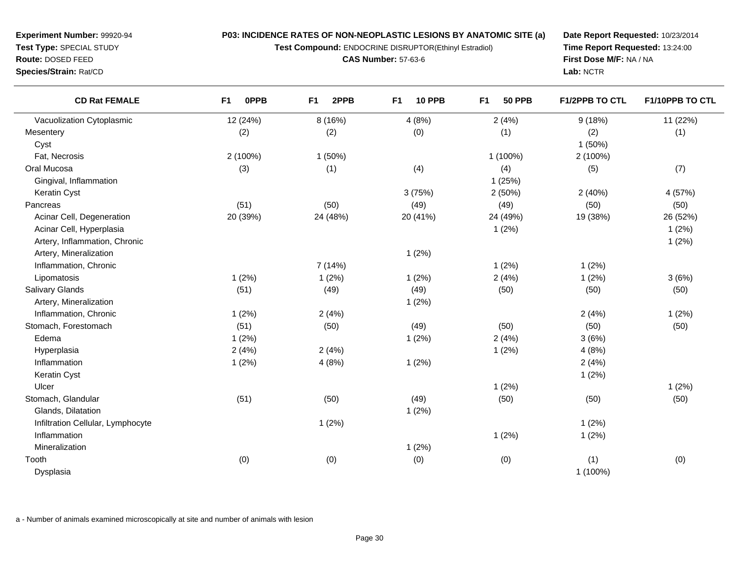**Test Compound:** ENDOCRINE DISRUPTOR(Ethinyl Estradiol)

**CAS Number:** 57-63-6

**Date Report Requested:** 10/23/2014**Time Report Requested:** 13:24:00**First Dose M/F:** NA / NA**Lab:** NCTR

| <b>CD Rat FEMALE</b>              | <b>OPPB</b><br>F <sub>1</sub> | 2PPB<br>F <sub>1</sub> | F <sub>1</sub><br><b>10 PPB</b> | F1<br><b>50 PPB</b> | F1/2PPB TO CTL | F1/10PPB TO CTL |
|-----------------------------------|-------------------------------|------------------------|---------------------------------|---------------------|----------------|-----------------|
| Vacuolization Cytoplasmic         | 12 (24%)                      | 8(16%)                 | 4(8%)                           | 2(4%)               | 9(18%)         | 11 (22%)        |
| Mesentery                         | (2)                           | (2)                    | (0)                             | (1)                 | (2)            | (1)             |
| Cyst                              |                               |                        |                                 |                     | 1(50%)         |                 |
| Fat, Necrosis                     | 2 (100%)                      | $1(50\%)$              |                                 | 1 (100%)            | 2 (100%)       |                 |
| Oral Mucosa                       | (3)                           | (1)                    | (4)                             | (4)                 | (5)            | (7)             |
| Gingival, Inflammation            |                               |                        |                                 | 1(25%)              |                |                 |
| Keratin Cyst                      |                               |                        | 3(75%)                          | 2(50%)              | 2(40%)         | 4 (57%)         |
| Pancreas                          | (51)                          | (50)                   | (49)                            | (49)                | (50)           | (50)            |
| Acinar Cell, Degeneration         | 20 (39%)                      | 24 (48%)               | 20 (41%)                        | 24 (49%)            | 19 (38%)       | 26 (52%)        |
| Acinar Cell, Hyperplasia          |                               |                        |                                 | 1(2%)               |                | 1(2%)           |
| Artery, Inflammation, Chronic     |                               |                        |                                 |                     |                | 1(2%)           |
| Artery, Mineralization            |                               |                        | 1(2%)                           |                     |                |                 |
| Inflammation, Chronic             |                               | 7(14%)                 |                                 | 1(2%)               | 1(2%)          |                 |
| Lipomatosis                       | 1(2%)                         | 1(2%)                  | 1(2%)                           | 2(4%)               | 1(2%)          | 3(6%)           |
| <b>Salivary Glands</b>            | (51)                          | (49)                   | (49)                            | (50)                | (50)           | (50)            |
| Artery, Mineralization            |                               |                        | 1(2%)                           |                     |                |                 |
| Inflammation, Chronic             | 1(2%)                         | 2(4%)                  |                                 |                     | 2(4%)          | 1(2%)           |
| Stomach, Forestomach              | (51)                          | (50)                   | (49)                            | (50)                | (50)           | (50)            |
| Edema                             | 1(2%)                         |                        | 1(2%)                           | 2(4%)               | 3(6%)          |                 |
| Hyperplasia                       | 2(4%)                         | 2(4%)                  |                                 | 1(2%)               | 4(8%)          |                 |
| Inflammation                      | 1(2%)                         | 4(8%)                  | 1(2%)                           |                     | 2(4%)          |                 |
| Keratin Cyst                      |                               |                        |                                 |                     | 1(2%)          |                 |
| Ulcer                             |                               |                        |                                 | 1(2%)               |                | 1(2%)           |
| Stomach, Glandular                | (51)                          | (50)                   | (49)                            | (50)                | (50)           | (50)            |
| Glands, Dilatation                |                               |                        | 1(2%)                           |                     |                |                 |
| Infiltration Cellular, Lymphocyte |                               | 1(2%)                  |                                 |                     | 1(2%)          |                 |
| Inflammation                      |                               |                        |                                 | 1(2%)               | 1(2%)          |                 |
| Mineralization                    |                               |                        | 1(2%)                           |                     |                |                 |
| Tooth                             | (0)                           | (0)                    | (0)                             | (0)                 | (1)            | (0)             |
| Dysplasia                         |                               |                        |                                 |                     | 1 (100%)       |                 |

a - Number of animals examined microscopically at site and number of animals with lesion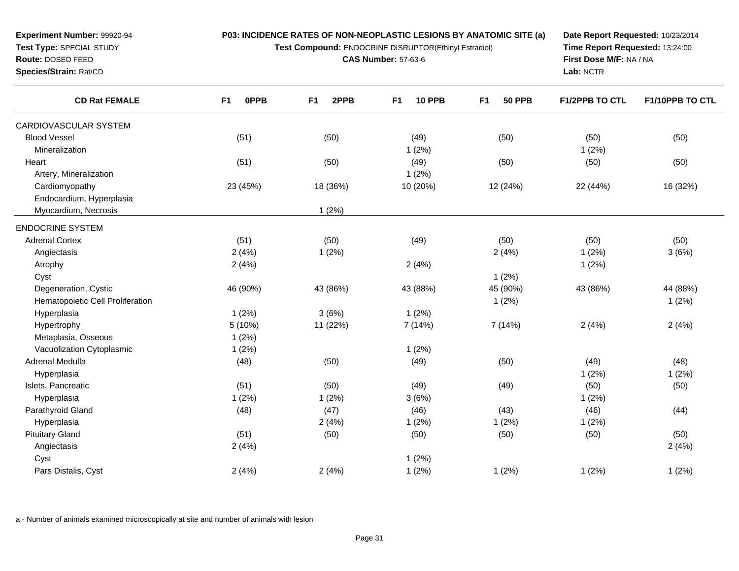**Test Compound:** ENDOCRINE DISRUPTOR(Ethinyl Estradiol)

**CAS Number:** 57-63-6

**Date Report Requested:** 10/23/2014**Time Report Requested:** 13:24:00**First Dose M/F:** NA / NA**Lab:** NCTR

| <b>CD Rat FEMALE</b>             | <b>OPPB</b><br>F1 | 2PPB<br>F <sub>1</sub> | <b>10 PPB</b><br>F <sub>1</sub> | <b>50 PPB</b><br>F <sub>1</sub> | <b>F1/2PPB TO CTL</b> | F1/10PPB TO CTL |
|----------------------------------|-------------------|------------------------|---------------------------------|---------------------------------|-----------------------|-----------------|
| CARDIOVASCULAR SYSTEM            |                   |                        |                                 |                                 |                       |                 |
| <b>Blood Vessel</b>              | (51)              | (50)                   | (49)                            | (50)                            | (50)                  | (50)            |
| Mineralization                   |                   |                        | 1(2%)                           |                                 | 1(2%)                 |                 |
| Heart                            | (51)              | (50)                   | (49)                            | (50)                            | (50)                  | (50)            |
| Artery, Mineralization           |                   |                        | 1(2%)                           |                                 |                       |                 |
| Cardiomyopathy                   | 23 (45%)          | 18 (36%)               | 10 (20%)                        | 12 (24%)                        | 22 (44%)              | 16 (32%)        |
| Endocardium, Hyperplasia         |                   |                        |                                 |                                 |                       |                 |
| Myocardium, Necrosis             |                   | 1(2%)                  |                                 |                                 |                       |                 |
| <b>ENDOCRINE SYSTEM</b>          |                   |                        |                                 |                                 |                       |                 |
| <b>Adrenal Cortex</b>            | (51)              | (50)                   | (49)                            | (50)                            | (50)                  | (50)            |
| Angiectasis                      | 2(4%)             | 1(2%)                  |                                 | 2(4%)                           | 1(2%)                 | 3(6%)           |
| Atrophy                          | 2(4%)             |                        | 2(4%)                           |                                 | 1(2%)                 |                 |
| Cyst                             |                   |                        |                                 | 1(2%)                           |                       |                 |
| Degeneration, Cystic             | 46 (90%)          | 43 (86%)               | 43 (88%)                        | 45 (90%)                        | 43 (86%)              | 44 (88%)        |
| Hematopoietic Cell Proliferation |                   |                        |                                 | 1(2%)                           |                       | 1(2%)           |
| Hyperplasia                      | 1(2%)             | 3(6%)                  | 1(2%)                           |                                 |                       |                 |
| Hypertrophy                      | 5 (10%)           | 11 (22%)               | 7(14%)                          | 7(14%)                          | 2(4%)                 | 2(4%)           |
| Metaplasia, Osseous              | 1(2%)             |                        |                                 |                                 |                       |                 |
| Vacuolization Cytoplasmic        | 1(2%)             |                        | 1(2%)                           |                                 |                       |                 |
| Adrenal Medulla                  | (48)              | (50)                   | (49)                            | (50)                            | (49)                  | (48)            |
| Hyperplasia                      |                   |                        |                                 |                                 | 1(2%)                 | 1(2%)           |
| Islets, Pancreatic               | (51)              | (50)                   | (49)                            | (49)                            | (50)                  | (50)            |
| Hyperplasia                      | 1(2%)             | 1(2%)                  | 3(6%)                           |                                 | 1(2%)                 |                 |
| Parathyroid Gland                | (48)              | (47)                   | (46)                            | (43)                            | (46)                  | (44)            |
| Hyperplasia                      |                   | 2(4%)                  | 1(2%)                           | 1(2%)                           | 1(2%)                 |                 |
| <b>Pituitary Gland</b>           | (51)              | (50)                   | (50)                            | (50)                            | (50)                  | (50)            |
| Angiectasis                      | 2(4%)             |                        |                                 |                                 |                       | 2(4%)           |
| Cyst                             |                   |                        | 1(2%)                           |                                 |                       |                 |
| Pars Distalis, Cyst              | 2(4%)             | 2(4%)                  | 1(2%)                           | 1(2%)                           | 1(2%)                 | 1(2%)           |

a - Number of animals examined microscopically at site and number of animals with lesion

**Test Type:** SPECIAL STUDY**Route:** DOSED FEED

**Species/Strain:** Rat/CD

 $\overline{\phantom{0}}$ 

**Experiment Number:** 99920-94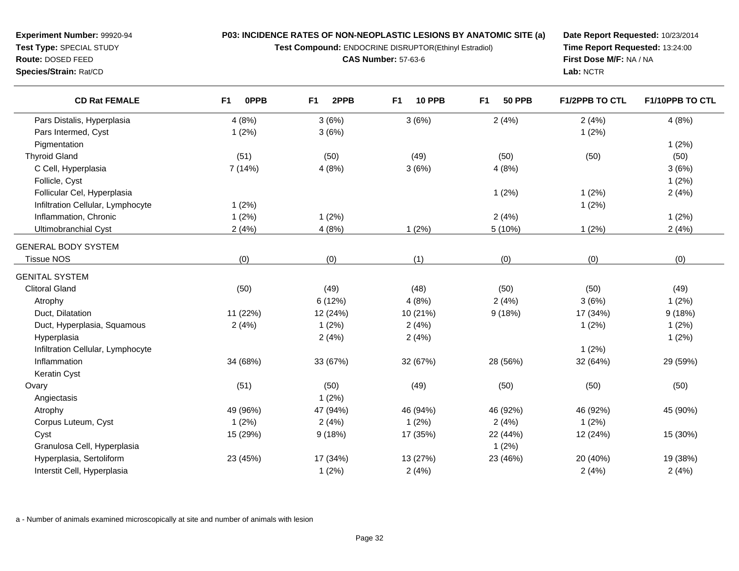**Test Compound:** ENDOCRINE DISRUPTOR(Ethinyl Estradiol)

**CAS Number:** 57-63-6

**Date Report Requested:** 10/23/2014**Time Report Requested:** 13:24:00**First Dose M/F:** NA / NA**Lab:** NCTR

| <b>CD Rat FEMALE</b>              | 0PPB<br>F <sub>1</sub> | F <sub>1</sub><br>2PPB | F <sub>1</sub><br><b>10 PPB</b> | F <sub>1</sub><br><b>50 PPB</b> | <b>F1/2PPB TO CTL</b> | F1/10PPB TO CTL |
|-----------------------------------|------------------------|------------------------|---------------------------------|---------------------------------|-----------------------|-----------------|
| Pars Distalis, Hyperplasia        | 4(8%)                  | 3(6%)                  | 3(6%)                           | 2(4%)                           | 2(4%)                 | 4(8%)           |
| Pars Intermed, Cyst               | 1(2%)                  | 3(6%)                  |                                 |                                 | 1(2%)                 |                 |
| Pigmentation                      |                        |                        |                                 |                                 |                       | 1(2%)           |
| <b>Thyroid Gland</b>              | (51)                   | (50)                   | (49)                            | (50)                            | (50)                  | (50)            |
| C Cell, Hyperplasia               | 7(14%)                 | 4(8%)                  | 3(6%)                           | 4(8%)                           |                       | 3(6%)           |
| Follicle, Cyst                    |                        |                        |                                 |                                 |                       | 1(2%)           |
| Follicular Cel, Hyperplasia       |                        |                        |                                 | 1(2%)                           | 1(2%)                 | 2(4%)           |
| Infiltration Cellular, Lymphocyte | 1(2%)                  |                        |                                 |                                 | 1(2%)                 |                 |
| Inflammation, Chronic             | 1(2%)                  | 1(2%)                  |                                 | 2(4%)                           |                       | 1(2%)           |
| Ultimobranchial Cyst              | 2(4%)                  | 4(8%)                  | 1(2%)                           | 5 (10%)                         | 1(2%)                 | 2(4%)           |
| <b>GENERAL BODY SYSTEM</b>        |                        |                        |                                 |                                 |                       |                 |
| <b>Tissue NOS</b>                 | (0)                    | (0)                    | (1)                             | (0)                             | (0)                   | (0)             |
| <b>GENITAL SYSTEM</b>             |                        |                        |                                 |                                 |                       |                 |
| <b>Clitoral Gland</b>             | (50)                   | (49)                   | (48)                            | (50)                            | (50)                  | (49)            |
| Atrophy                           |                        | 6 (12%)                | 4(8%)                           | 2(4%)                           | 3(6%)                 | 1(2%)           |
| Duct, Dilatation                  | 11 (22%)               | 12 (24%)               | 10 (21%)                        | 9(18%)                          | 17 (34%)              | 9(18%)          |
| Duct, Hyperplasia, Squamous       | 2(4%)                  | 1(2%)                  | 2(4%)                           |                                 | 1(2%)                 | 1(2%)           |
| Hyperplasia                       |                        | 2(4%)                  | 2(4%)                           |                                 |                       | 1(2%)           |
| Infiltration Cellular, Lymphocyte |                        |                        |                                 |                                 | 1(2%)                 |                 |
| Inflammation                      | 34 (68%)               | 33 (67%)               | 32 (67%)                        | 28 (56%)                        | 32 (64%)              | 29 (59%)        |
| Keratin Cyst                      |                        |                        |                                 |                                 |                       |                 |
| Ovary                             | (51)                   | (50)                   | (49)                            | (50)                            | (50)                  | (50)            |
| Angiectasis                       |                        | 1(2%)                  |                                 |                                 |                       |                 |
| Atrophy                           | 49 (96%)               | 47 (94%)               | 46 (94%)                        | 46 (92%)                        | 46 (92%)              | 45 (90%)        |
| Corpus Luteum, Cyst               | 1(2%)                  | 2(4%)                  | 1(2%)                           | 2(4%)                           | 1(2%)                 |                 |
| Cyst                              | 15 (29%)               | 9(18%)                 | 17 (35%)                        | 22 (44%)                        | 12 (24%)              | 15 (30%)        |
| Granulosa Cell, Hyperplasia       |                        |                        |                                 | 1(2%)                           |                       |                 |
| Hyperplasia, Sertoliform          | 23 (45%)               | 17 (34%)               | 13 (27%)                        | 23 (46%)                        | 20 (40%)              | 19 (38%)        |
| Interstit Cell, Hyperplasia       |                        | 1(2%)                  | 2(4%)                           |                                 | 2(4%)                 | 2(4%)           |

a - Number of animals examined microscopically at site and number of animals with lesion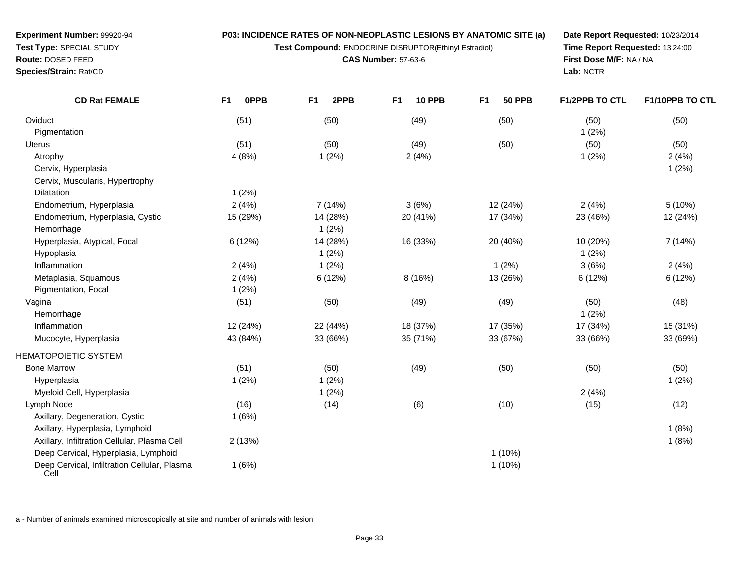**Test Compound:** ENDOCRINE DISRUPTOR(Ethinyl Estradiol)

**CAS Number:** 57-63-6

**Date Report Requested:** 10/23/2014**Time Report Requested:** 13:24:00**First Dose M/F:** NA / NA**Lab:** NCTR

| <b>CD Rat FEMALE</b>                                 | 0PPB<br>F <sub>1</sub> | F <sub>1</sub><br>2PPB | F <sub>1</sub><br><b>10 PPB</b> | F <sub>1</sub><br><b>50 PPB</b> | F1/2PPB TO CTL | F1/10PPB TO CTL |
|------------------------------------------------------|------------------------|------------------------|---------------------------------|---------------------------------|----------------|-----------------|
| Oviduct                                              | (51)                   | (50)                   | (49)                            | (50)                            | (50)           | (50)            |
| Pigmentation                                         |                        |                        |                                 |                                 | 1(2%)          |                 |
| Uterus                                               | (51)                   | (50)                   | (49)                            | (50)                            | (50)           | (50)            |
| Atrophy                                              | 4(8%)                  | 1(2%)                  | 2(4%)                           |                                 | 1(2%)          | 2(4%)           |
| Cervix, Hyperplasia                                  |                        |                        |                                 |                                 |                | 1(2%)           |
| Cervix, Muscularis, Hypertrophy                      |                        |                        |                                 |                                 |                |                 |
| Dilatation                                           | 1(2%)                  |                        |                                 |                                 |                |                 |
| Endometrium, Hyperplasia                             | 2(4%)                  | 7 (14%)                | 3(6%)                           | 12 (24%)                        | 2(4%)          | 5(10%)          |
| Endometrium, Hyperplasia, Cystic                     | 15 (29%)               | 14 (28%)               | 20 (41%)                        | 17 (34%)                        | 23 (46%)       | 12 (24%)        |
| Hemorrhage                                           |                        | 1(2%)                  |                                 |                                 |                |                 |
| Hyperplasia, Atypical, Focal                         | 6 (12%)                | 14 (28%)               | 16 (33%)                        | 20 (40%)                        | 10 (20%)       | 7 (14%)         |
| Hypoplasia                                           |                        | 1(2%)                  |                                 |                                 | 1(2%)          |                 |
| Inflammation                                         | 2(4%)                  | 1(2%)                  |                                 | 1(2%)                           | 3(6%)          | 2(4%)           |
| Metaplasia, Squamous                                 | 2(4%)                  | 6(12%)                 | 8 (16%)                         | 13 (26%)                        | 6(12%)         | 6(12%)          |
| Pigmentation, Focal                                  | 1(2%)                  |                        |                                 |                                 |                |                 |
| Vagina                                               | (51)                   | (50)                   | (49)                            | (49)                            | (50)           | (48)            |
| Hemorrhage                                           |                        |                        |                                 |                                 | 1(2%)          |                 |
| Inflammation                                         | 12 (24%)               | 22 (44%)               | 18 (37%)                        | 17 (35%)                        | 17 (34%)       | 15 (31%)        |
| Mucocyte, Hyperplasia                                | 43 (84%)               | 33 (66%)               | 35 (71%)                        | 33 (67%)                        | 33 (66%)       | 33 (69%)        |
| <b>HEMATOPOIETIC SYSTEM</b>                          |                        |                        |                                 |                                 |                |                 |
| <b>Bone Marrow</b>                                   | (51)                   | (50)                   | (49)                            | (50)                            | (50)           | (50)            |
| Hyperplasia                                          | 1(2%)                  | 1(2%)                  |                                 |                                 |                | 1(2%)           |
| Myeloid Cell, Hyperplasia                            |                        | 1(2%)                  |                                 |                                 | 2(4%)          |                 |
| Lymph Node                                           | (16)                   | (14)                   | (6)                             | (10)                            | (15)           | (12)            |
| Axillary, Degeneration, Cystic                       | 1(6%)                  |                        |                                 |                                 |                |                 |
| Axillary, Hyperplasia, Lymphoid                      |                        |                        |                                 |                                 |                | 1(8%)           |
| Axillary, Infiltration Cellular, Plasma Cell         | 2(13%)                 |                        |                                 |                                 |                | 1(8%)           |
| Deep Cervical, Hyperplasia, Lymphoid                 |                        |                        |                                 | $1(10\%)$                       |                |                 |
| Deep Cervical, Infiltration Cellular, Plasma<br>Cell | 1(6%)                  |                        |                                 | 1(10%)                          |                |                 |

a - Number of animals examined microscopically at site and number of animals with lesion

**Experiment Number:** 99920-94**Test Type:** SPECIAL STUDY**Route:** DOSED FEED**Species/Strain:** Rat/CD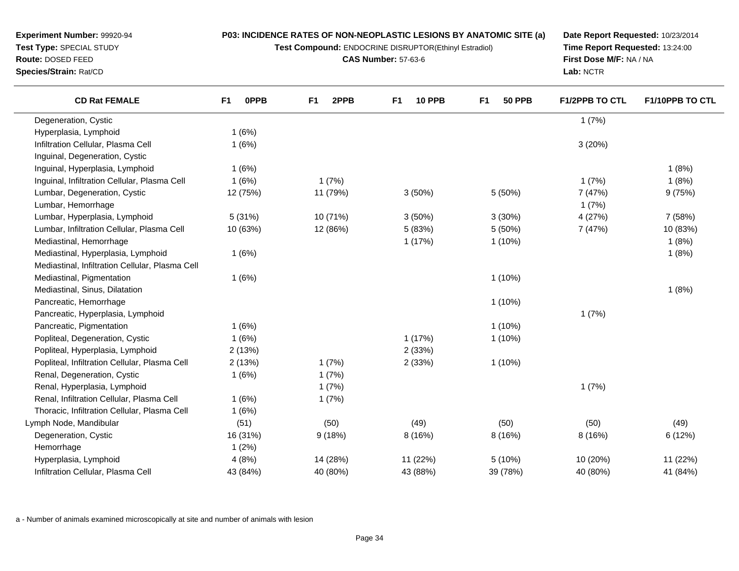**Test Compound:** ENDOCRINE DISRUPTOR(Ethinyl Estradiol)

**CAS Number:** 57-63-6

**Date Report Requested:** 10/23/2014**Time Report Requested:** 13:24:00**First Dose M/F:** NA / NA**Lab:** NCTR

| <b>CD Rat FEMALE</b>                            | F <sub>1</sub> | <b>OPPB</b> | F <sub>1</sub> | 2PPB     | F <sub>1</sub> | <b>10 PPB</b> | F <sub>1</sub> | <b>50 PPB</b> | <b>F1/2PPB TO CTL</b> | <b>F1/10PPB TO CTL</b> |
|-------------------------------------------------|----------------|-------------|----------------|----------|----------------|---------------|----------------|---------------|-----------------------|------------------------|
| Degeneration, Cystic                            |                |             |                |          |                |               |                |               | 1(7%)                 |                        |
| Hyperplasia, Lymphoid                           |                | 1(6%)       |                |          |                |               |                |               |                       |                        |
| Infiltration Cellular, Plasma Cell              |                | 1(6%)       |                |          |                |               |                |               | 3(20%)                |                        |
| Inguinal, Degeneration, Cystic                  |                |             |                |          |                |               |                |               |                       |                        |
| Inguinal, Hyperplasia, Lymphoid                 |                | 1(6%)       |                |          |                |               |                |               |                       | 1(8%)                  |
| Inguinal, Infiltration Cellular, Plasma Cell    |                | 1(6%)       |                | 1(7%)    |                |               |                |               | 1(7%)                 | 1(8%)                  |
| Lumbar, Degeneration, Cystic                    |                | 12 (75%)    |                | 11 (79%) |                | 3(50%)        |                | 5 (50%)       | 7 (47%)               | 9(75%)                 |
| Lumbar, Hemorrhage                              |                |             |                |          |                |               |                |               | 1(7%)                 |                        |
| Lumbar, Hyperplasia, Lymphoid                   |                | 5 (31%)     |                | 10 (71%) |                | 3(50%)        |                | 3(30%)        | 4 (27%)               | 7 (58%)                |
| Lumbar, Infiltration Cellular, Plasma Cell      |                | 10 (63%)    |                | 12 (86%) |                | 5(83%)        |                | 5(50%)        | 7 (47%)               | 10 (83%)               |
| Mediastinal, Hemorrhage                         |                |             |                |          |                | 1(17%)        |                | $1(10\%)$     |                       | 1(8%)                  |
| Mediastinal, Hyperplasia, Lymphoid              |                | 1(6%)       |                |          |                |               |                |               |                       | 1(8%)                  |
| Mediastinal, Infiltration Cellular, Plasma Cell |                |             |                |          |                |               |                |               |                       |                        |
| Mediastinal, Pigmentation                       |                | 1(6%)       |                |          |                |               |                | $1(10\%)$     |                       |                        |
| Mediastinal, Sinus, Dilatation                  |                |             |                |          |                |               |                |               |                       | 1(8%)                  |
| Pancreatic, Hemorrhage                          |                |             |                |          |                |               |                | $1(10\%)$     |                       |                        |
| Pancreatic, Hyperplasia, Lymphoid               |                |             |                |          |                |               |                |               | 1(7%)                 |                        |
| Pancreatic, Pigmentation                        |                | 1(6%)       |                |          |                |               |                | $1(10\%)$     |                       |                        |
| Popliteal, Degeneration, Cystic                 |                | 1(6%)       |                |          |                | 1(17%)        |                | $1(10\%)$     |                       |                        |
| Popliteal, Hyperplasia, Lymphoid                |                | 2(13%)      |                |          |                | 2(33%)        |                |               |                       |                        |
| Popliteal, Infiltration Cellular, Plasma Cell   |                | 2(13%)      |                | 1(7%)    |                | 2(33%)        |                | $1(10\%)$     |                       |                        |
| Renal, Degeneration, Cystic                     |                | 1(6%)       |                | 1(7%)    |                |               |                |               |                       |                        |
| Renal, Hyperplasia, Lymphoid                    |                |             |                | 1(7%)    |                |               |                |               | 1(7%)                 |                        |
| Renal, Infiltration Cellular, Plasma Cell       |                | 1(6%)       |                | 1(7%)    |                |               |                |               |                       |                        |
| Thoracic, Infiltration Cellular, Plasma Cell    |                | 1(6%)       |                |          |                |               |                |               |                       |                        |
| Lymph Node, Mandibular                          |                | (51)        |                | (50)     |                | (49)          |                | (50)          | (50)                  | (49)                   |
| Degeneration, Cystic                            |                | 16 (31%)    |                | 9(18%)   |                | 8 (16%)       |                | 8 (16%)       | 8 (16%)               | 6(12%)                 |
| Hemorrhage                                      |                | 1(2%)       |                |          |                |               |                |               |                       |                        |
| Hyperplasia, Lymphoid                           |                | 4(8%)       |                | 14 (28%) |                | 11 (22%)      |                | 5(10%)        | 10 (20%)              | 11 (22%)               |
| Infiltration Cellular, Plasma Cell              |                | 43 (84%)    |                | 40 (80%) |                | 43 (88%)      |                | 39 (78%)      | 40 (80%)              | 41 (84%)               |

a - Number of animals examined microscopically at site and number of animals with lesion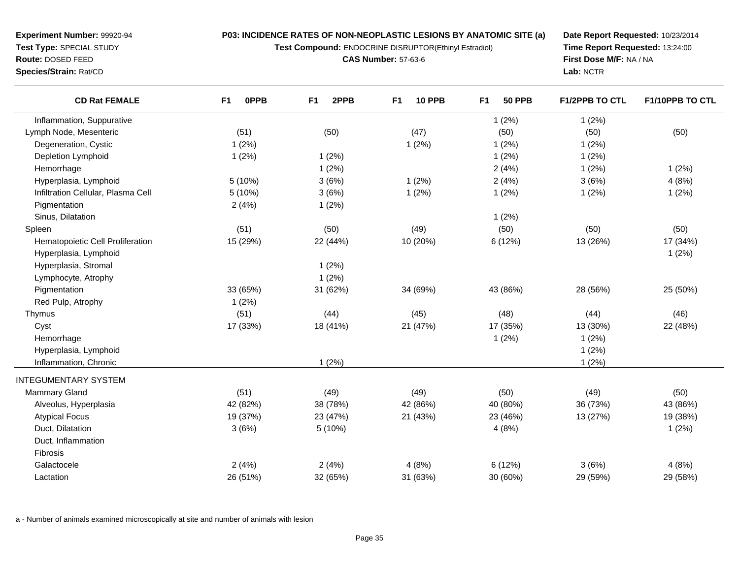**Test Compound:** ENDOCRINE DISRUPTOR(Ethinyl Estradiol)

**CAS Number:** 57-63-6

**Date Report Requested:** 10/23/2014**Time Report Requested:** 13:24:00**First Dose M/F:** NA / NA**Lab:** NCTR

| <b>CD Rat FEMALE</b>               | 0PPB<br>F1 | 2PPB<br>F <sub>1</sub> | <b>10 PPB</b><br>F <sub>1</sub> | F <sub>1</sub><br><b>50 PPB</b> | <b>F1/2PPB TO CTL</b> | F1/10PPB TO CTL |
|------------------------------------|------------|------------------------|---------------------------------|---------------------------------|-----------------------|-----------------|
| Inflammation, Suppurative          |            |                        |                                 | 1(2%)                           | 1(2%)                 |                 |
| Lymph Node, Mesenteric             | (51)       | (50)                   | (47)                            | (50)                            | (50)                  | (50)            |
| Degeneration, Cystic               | 1(2%)      |                        | 1(2%)                           | 1(2%)                           | 1(2%)                 |                 |
| Depletion Lymphoid                 | 1(2%)      | 1(2%)                  |                                 | 1(2%)                           | 1(2%)                 |                 |
| Hemorrhage                         |            | 1(2%)                  |                                 | 2(4%)                           | 1(2%)                 | 1(2%)           |
| Hyperplasia, Lymphoid              | 5(10%)     | 3(6%)                  | 1(2%)                           | 2(4%)                           | 3(6%)                 | 4(8%)           |
| Infiltration Cellular, Plasma Cell | 5 (10%)    | 3(6%)                  | 1(2%)                           | 1(2%)                           | 1(2%)                 | 1(2%)           |
| Pigmentation                       | 2(4%)      | 1(2%)                  |                                 |                                 |                       |                 |
| Sinus, Dilatation                  |            |                        |                                 | 1(2%)                           |                       |                 |
| Spleen                             | (51)       | (50)                   | (49)                            | (50)                            | (50)                  | (50)            |
| Hematopoietic Cell Proliferation   | 15 (29%)   | 22 (44%)               | 10 (20%)                        | 6(12%)                          | 13 (26%)              | 17 (34%)        |
| Hyperplasia, Lymphoid              |            |                        |                                 |                                 |                       | 1(2%)           |
| Hyperplasia, Stromal               |            | 1(2%)                  |                                 |                                 |                       |                 |
| Lymphocyte, Atrophy                |            | 1(2%)                  |                                 |                                 |                       |                 |
| Pigmentation                       | 33 (65%)   | 31 (62%)               | 34 (69%)                        | 43 (86%)                        | 28 (56%)              | 25 (50%)        |
| Red Pulp, Atrophy                  | 1(2%)      |                        |                                 |                                 |                       |                 |
| Thymus                             | (51)       | (44)                   | (45)                            | (48)                            | (44)                  | (46)            |
| Cyst                               | 17 (33%)   | 18 (41%)               | 21 (47%)                        | 17 (35%)                        | 13 (30%)              | 22 (48%)        |
| Hemorrhage                         |            |                        |                                 | 1(2%)                           | 1(2%)                 |                 |
| Hyperplasia, Lymphoid              |            |                        |                                 |                                 | 1(2%)                 |                 |
| Inflammation, Chronic              |            | 1(2%)                  |                                 |                                 | 1(2%)                 |                 |
| <b>INTEGUMENTARY SYSTEM</b>        |            |                        |                                 |                                 |                       |                 |
| <b>Mammary Gland</b>               | (51)       | (49)                   | (49)                            | (50)                            | (49)                  | (50)            |
| Alveolus, Hyperplasia              | 42 (82%)   | 38 (78%)               | 42 (86%)                        | 40 (80%)                        | 36 (73%)              | 43 (86%)        |
| <b>Atypical Focus</b>              | 19 (37%)   | 23 (47%)               | 21 (43%)                        | 23 (46%)                        | 13 (27%)              | 19 (38%)        |
| Duct, Dilatation                   | 3(6%)      | 5(10%)                 |                                 | 4(8%)                           |                       | 1(2%)           |
| Duct, Inflammation                 |            |                        |                                 |                                 |                       |                 |
| Fibrosis                           |            |                        |                                 |                                 |                       |                 |
| Galactocele                        | 2(4%)      | 2(4%)                  | 4(8%)                           | 6(12%)                          | 3(6%)                 | 4(8%)           |
| Lactation                          | 26 (51%)   | 32 (65%)               | 31 (63%)                        | 30 (60%)                        | 29 (59%)              | 29 (58%)        |

a - Number of animals examined microscopically at site and number of animals with lesion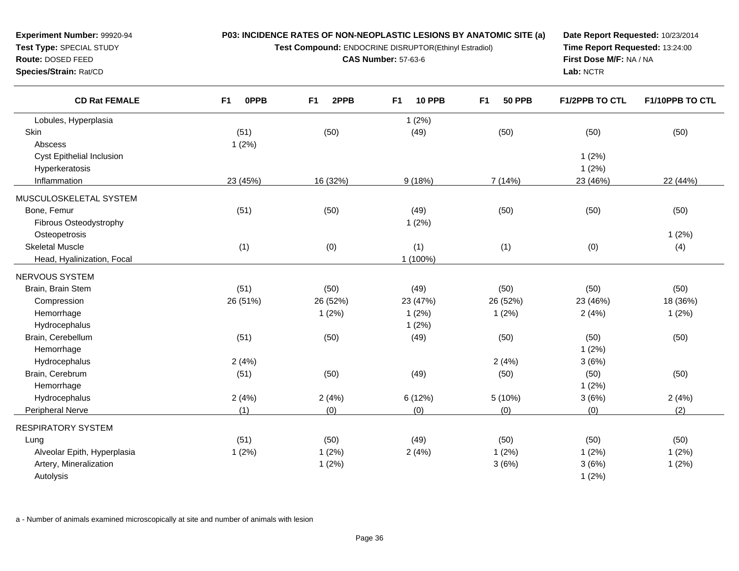**Test Compound:** ENDOCRINE DISRUPTOR(Ethinyl Estradiol)

**CAS Number:** 57-63-6

**Date Report Requested:** 10/23/2014**Time Report Requested:** 13:24:00**First Dose M/F:** NA / NA**Lab:** NCTR

| <b>CD Rat FEMALE</b>        | F1<br><b>OPPB</b> | F <sub>1</sub><br>2PPB | <b>10 PPB</b><br>F <sub>1</sub> | <b>50 PPB</b><br>F1 | <b>F1/2PPB TO CTL</b> | F1/10PPB TO CTL |
|-----------------------------|-------------------|------------------------|---------------------------------|---------------------|-----------------------|-----------------|
| Lobules, Hyperplasia        |                   |                        | 1(2%)                           |                     |                       |                 |
| Skin                        | (51)              | (50)                   | (49)                            | (50)                | (50)                  | (50)            |
| Abscess                     | 1(2%)             |                        |                                 |                     |                       |                 |
| Cyst Epithelial Inclusion   |                   |                        |                                 |                     | 1(2%)                 |                 |
| Hyperkeratosis              |                   |                        |                                 |                     | 1(2%)                 |                 |
| Inflammation                | 23 (45%)          | 16 (32%)               | 9(18%)                          | 7 (14%)             | 23 (46%)              | 22 (44%)        |
| MUSCULOSKELETAL SYSTEM      |                   |                        |                                 |                     |                       |                 |
| Bone, Femur                 | (51)              | (50)                   | (49)                            | (50)                | (50)                  | (50)            |
| Fibrous Osteodystrophy      |                   |                        | 1(2%)                           |                     |                       |                 |
| Osteopetrosis               |                   |                        |                                 |                     |                       | 1(2%)           |
| <b>Skeletal Muscle</b>      | (1)               | (0)                    | (1)                             | (1)                 | (0)                   | (4)             |
| Head, Hyalinization, Focal  |                   |                        | 1 (100%)                        |                     |                       |                 |
| NERVOUS SYSTEM              |                   |                        |                                 |                     |                       |                 |
| Brain, Brain Stem           | (51)              | (50)                   | (49)                            | (50)                | (50)                  | (50)            |
| Compression                 | 26 (51%)          | 26 (52%)               | 23 (47%)                        | 26 (52%)            | 23 (46%)              | 18 (36%)        |
| Hemorrhage                  |                   | 1(2%)                  | 1(2%)                           | 1(2%)               | 2(4%)                 | 1(2%)           |
| Hydrocephalus               |                   |                        | 1(2%)                           |                     |                       |                 |
| Brain, Cerebellum           | (51)              | (50)                   | (49)                            | (50)                | (50)                  | (50)            |
| Hemorrhage                  |                   |                        |                                 |                     | 1(2%)                 |                 |
| Hydrocephalus               | 2(4%)             |                        |                                 | 2(4%)               | 3(6%)                 |                 |
| Brain, Cerebrum             | (51)              | (50)                   | (49)                            | (50)                | (50)                  | (50)            |
| Hemorrhage                  |                   |                        |                                 |                     | 1(2%)                 |                 |
| Hydrocephalus               | 2(4%)             | 2(4%)                  | 6 (12%)                         | 5(10%)              | 3(6%)                 | 2(4%)           |
| Peripheral Nerve            | (1)               | (0)                    | (0)                             | (0)                 | (0)                   | (2)             |
| <b>RESPIRATORY SYSTEM</b>   |                   |                        |                                 |                     |                       |                 |
| Lung                        | (51)              | (50)                   | (49)                            | (50)                | (50)                  | (50)            |
| Alveolar Epith, Hyperplasia | 1(2%)             | 1(2%)                  | 2(4%)                           | 1(2%)               | 1(2%)                 | 1(2%)           |
| Artery, Mineralization      |                   | 1(2%)                  |                                 | 3(6%)               | 3(6%)                 | 1(2%)           |
| Autolysis                   |                   |                        |                                 |                     | 1(2%)                 |                 |

a - Number of animals examined microscopically at site and number of animals with lesion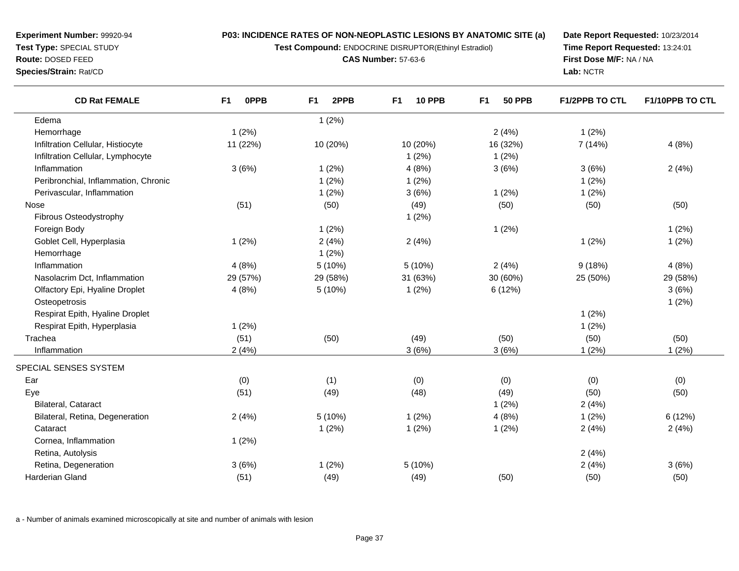**Test Compound:** ENDOCRINE DISRUPTOR(Ethinyl Estradiol)

**CAS Number:** 57-63-6

**Date Report Requested:** 10/23/2014**Time Report Requested:** 13:24:01**First Dose M/F:** NA / NA**Lab:** NCTR

| <b>CD Rat FEMALE</b>                 | <b>OPPB</b><br>F <sub>1</sub> | F <sub>1</sub><br>2PPB | F <sub>1</sub><br><b>10 PPB</b> | F <sub>1</sub><br><b>50 PPB</b> | <b>F1/2PPB TO CTL</b> | F1/10PPB TO CTL |
|--------------------------------------|-------------------------------|------------------------|---------------------------------|---------------------------------|-----------------------|-----------------|
| Edema                                |                               | 1(2%)                  |                                 |                                 |                       |                 |
| Hemorrhage                           | 1(2%)                         |                        |                                 | 2(4%)                           | 1(2%)                 |                 |
| Infiltration Cellular, Histiocyte    | 11 (22%)                      | 10 (20%)               | 10 (20%)                        | 16 (32%)                        | 7 (14%)               | 4(8%)           |
| Infiltration Cellular, Lymphocyte    |                               |                        | 1(2%)                           | 1(2%)                           |                       |                 |
| Inflammation                         | 3(6%)                         | 1(2%)                  | 4(8%)                           | 3(6%)                           | 3(6%)                 | 2(4%)           |
| Peribronchial, Inflammation, Chronic |                               | 1(2%)                  | 1(2%)                           |                                 | 1(2%)                 |                 |
| Perivascular, Inflammation           |                               | 1(2%)                  | 3(6%)                           | 1(2%)                           | 1(2%)                 |                 |
| Nose                                 | (51)                          | (50)                   | (49)                            | (50)                            | (50)                  | (50)            |
| Fibrous Osteodystrophy               |                               |                        | 1(2%)                           |                                 |                       |                 |
| Foreign Body                         |                               | 1(2%)                  |                                 | 1(2%)                           |                       | 1(2%)           |
| Goblet Cell, Hyperplasia             | 1(2%)                         | 2(4%)                  | 2(4%)                           |                                 | 1(2%)                 | 1(2%)           |
| Hemorrhage                           |                               | 1(2%)                  |                                 |                                 |                       |                 |
| Inflammation                         | 4(8%)                         | 5(10%)                 | 5(10%)                          | 2(4%)                           | 9(18%)                | 4(8%)           |
| Nasolacrim Dct, Inflammation         | 29 (57%)                      | 29 (58%)               | 31 (63%)                        | 30 (60%)                        | 25 (50%)              | 29 (58%)        |
| Olfactory Epi, Hyaline Droplet       | 4(8%)                         | 5(10%)                 | 1(2%)                           | 6(12%)                          |                       | 3(6%)           |
| Osteopetrosis                        |                               |                        |                                 |                                 |                       | 1(2%)           |
| Respirat Epith, Hyaline Droplet      |                               |                        |                                 |                                 | 1(2%)                 |                 |
| Respirat Epith, Hyperplasia          | 1(2%)                         |                        |                                 |                                 | 1(2%)                 |                 |
| Trachea                              | (51)                          | (50)                   | (49)                            | (50)                            | (50)                  | (50)            |
| Inflammation                         | 2(4%)                         |                        | 3(6%)                           | 3(6%)                           | 1(2%)                 | 1(2%)           |
| SPECIAL SENSES SYSTEM                |                               |                        |                                 |                                 |                       |                 |
| Ear                                  | (0)                           | (1)                    | (0)                             | (0)                             | (0)                   | (0)             |
| Eye                                  | (51)                          | (49)                   | (48)                            | (49)                            | (50)                  | (50)            |
| Bilateral, Cataract                  |                               |                        |                                 | 1(2%)                           | 2(4%)                 |                 |
| Bilateral, Retina, Degeneration      | 2(4%)                         | 5(10%)                 | 1(2%)                           | 4(8%)                           | 1(2%)                 | 6 (12%)         |
| Cataract                             |                               | 1(2%)                  | 1(2%)                           | 1(2%)                           | 2(4%)                 | 2(4%)           |
| Cornea, Inflammation                 | 1(2%)                         |                        |                                 |                                 |                       |                 |
| Retina, Autolysis                    |                               |                        |                                 |                                 | 2(4%)                 |                 |
| Retina, Degeneration                 | 3(6%)                         | 1(2%)                  | 5 (10%)                         |                                 | 2(4%)                 | 3(6%)           |
| Harderian Gland                      | (51)                          | (49)                   | (49)                            | (50)                            | (50)                  | (50)            |

a - Number of animals examined microscopically at site and number of animals with lesion

**Experiment Number:** 99920-94**Test Type:** SPECIAL STUDY**Route:** DOSED FEED**Species/Strain:** Rat/CD

 $\overline{\phantom{0}}$ 

 $\overline{\phantom{0}}$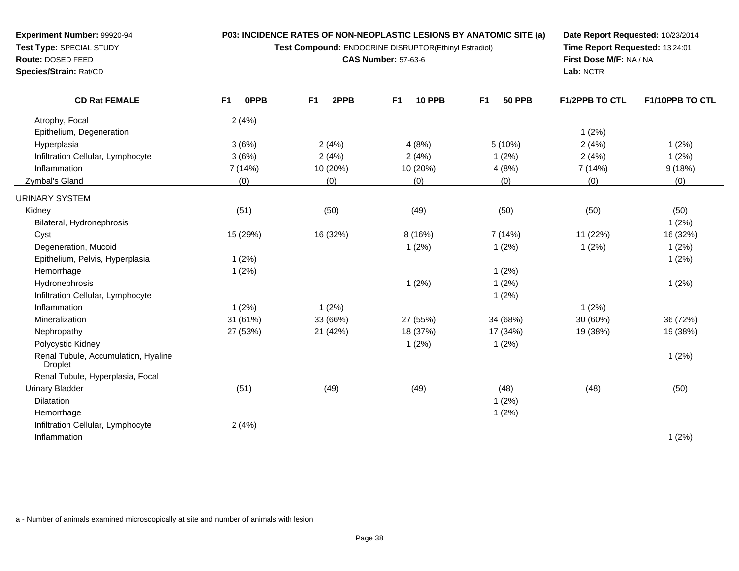**Test Compound:** ENDOCRINE DISRUPTOR(Ethinyl Estradiol)

**CAS Number:** 57-63-6

**Date Report Requested:** 10/23/2014**Time Report Requested:** 13:24:01**First Dose M/F:** NA / NA**Lab:** NCTR

| <b>CD Rat FEMALE</b>                                  | <b>OPPB</b><br>F1 | 2PPB<br>F <sub>1</sub> | F <sub>1</sub><br><b>10 PPB</b> | F <sub>1</sub><br><b>50 PPB</b> | <b>F1/2PPB TO CTL</b> | F1/10PPB TO CTL |
|-------------------------------------------------------|-------------------|------------------------|---------------------------------|---------------------------------|-----------------------|-----------------|
| Atrophy, Focal                                        | 2(4%)             |                        |                                 |                                 |                       |                 |
| Epithelium, Degeneration                              |                   |                        |                                 |                                 | 1(2%)                 |                 |
| Hyperplasia                                           | 3(6%)             | 2(4%)                  | 4(8%)                           | 5(10%)                          | 2(4%)                 | 1(2%)           |
| Infiltration Cellular, Lymphocyte                     | 3(6%)             | 2(4%)                  | 2(4%)                           | 1(2%)                           | 2(4%)                 | 1(2%)           |
| Inflammation                                          | 7(14%)            | 10 (20%)               | 10 (20%)                        | 4(8%)                           | 7 (14%)               | 9(18%)          |
| Zymbal's Gland                                        | (0)               | (0)                    | (0)                             | (0)                             | (0)                   | (0)             |
| URINARY SYSTEM                                        |                   |                        |                                 |                                 |                       |                 |
| Kidney                                                | (51)              | (50)                   | (49)                            | (50)                            | (50)                  | (50)            |
| Bilateral, Hydronephrosis                             |                   |                        |                                 |                                 |                       | 1(2%)           |
| Cyst                                                  | 15 (29%)          | 16 (32%)               | 8(16%)                          | 7(14%)                          | 11 (22%)              | 16 (32%)        |
| Degeneration, Mucoid                                  |                   |                        | 1(2%)                           | 1(2%)                           | 1(2%)                 | 1(2%)           |
| Epithelium, Pelvis, Hyperplasia                       | 1(2%)             |                        |                                 |                                 |                       | 1(2%)           |
| Hemorrhage                                            | 1(2%)             |                        |                                 | 1(2%)                           |                       |                 |
| Hydronephrosis                                        |                   |                        | 1(2%)                           | 1(2%)                           |                       | 1(2%)           |
| Infiltration Cellular, Lymphocyte                     |                   |                        |                                 | 1(2%)                           |                       |                 |
| Inflammation                                          | 1(2%)             | 1(2%)                  |                                 |                                 | 1(2%)                 |                 |
| Mineralization                                        | 31 (61%)          | 33 (66%)               | 27 (55%)                        | 34 (68%)                        | 30 (60%)              | 36 (72%)        |
| Nephropathy                                           | 27 (53%)          | 21 (42%)               | 18 (37%)                        | 17 (34%)                        | 19 (38%)              | 19 (38%)        |
| Polycystic Kidney                                     |                   |                        | 1(2%)                           | 1(2%)                           |                       |                 |
| Renal Tubule, Accumulation, Hyaline<br><b>Droplet</b> |                   |                        |                                 |                                 |                       | 1(2%)           |
| Renal Tubule, Hyperplasia, Focal                      |                   |                        |                                 |                                 |                       |                 |
| <b>Urinary Bladder</b>                                | (51)              | (49)                   | (49)                            | (48)                            | (48)                  | (50)            |
| <b>Dilatation</b>                                     |                   |                        |                                 | 1(2%)                           |                       |                 |
| Hemorrhage                                            |                   |                        |                                 | 1(2%)                           |                       |                 |
| Infiltration Cellular, Lymphocyte                     | 2(4%)             |                        |                                 |                                 |                       |                 |
| Inflammation                                          |                   |                        |                                 |                                 |                       | 1(2%)           |

a - Number of animals examined microscopically at site and number of animals with lesion

**Route:** DOSED FEED

 $\overline{\phantom{a}}$ 

 $\overline{\phantom{a}}$ 

**Species/Strain:** Rat/CD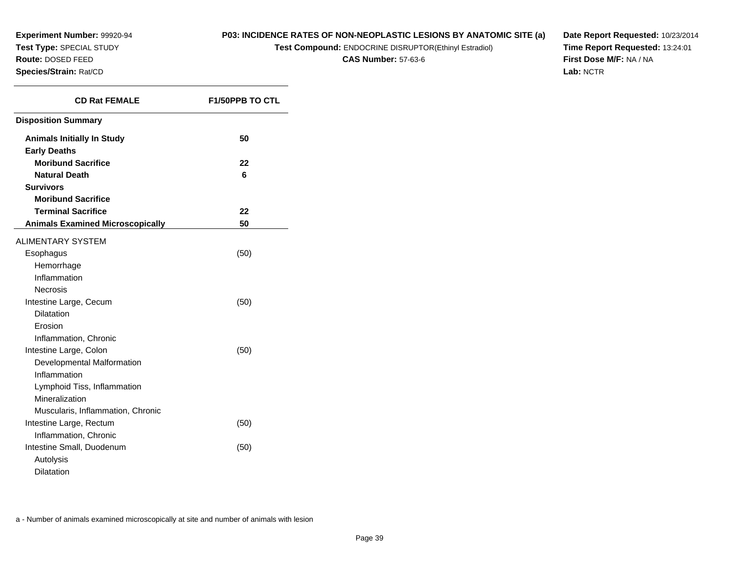## **P03: INCIDENCE RATES OF NON-NEOPLASTIC LESIONS BY ANATOMIC SITE (a)**

**Test Compound:** ENDOCRINE DISRUPTOR(Ethinyl Estradiol)

**CAS Number:** 57-63-6

**Date Report Requested:** 10/23/2014**Time Report Requested:** 13:24:01**First Dose M/F:** NA / NA**Lab:** NCTR

| <b>CD Rat FEMALE</b>                    | <b>F1/50PPB TO CTL</b> |
|-----------------------------------------|------------------------|
| <b>Disposition Summary</b>              |                        |
| <b>Animals Initially In Study</b>       | 50                     |
| <b>Early Deaths</b>                     |                        |
| <b>Moribund Sacrifice</b>               | 22                     |
| <b>Natural Death</b>                    | 6                      |
| <b>Survivors</b>                        |                        |
| <b>Moribund Sacrifice</b>               |                        |
| <b>Terminal Sacrifice</b>               | 22                     |
| <b>Animals Examined Microscopically</b> | 50                     |
| <b>ALIMENTARY SYSTEM</b>                |                        |
| Esophagus                               | (50)                   |
| Hemorrhage                              |                        |
| Inflammation                            |                        |
| <b>Necrosis</b>                         |                        |
| Intestine Large, Cecum                  | (50)                   |
| <b>Dilatation</b>                       |                        |
| Erosion                                 |                        |
| Inflammation, Chronic                   |                        |
| Intestine Large, Colon                  | (50)                   |
| Developmental Malformation              |                        |
| Inflammation                            |                        |
| Lymphoid Tiss, Inflammation             |                        |
| Mineralization                          |                        |
| Muscularis, Inflammation, Chronic       |                        |
| Intestine Large, Rectum                 | (50)                   |
| Inflammation, Chronic                   |                        |
| Intestine Small, Duodenum               | (50)                   |
| Autolysis                               |                        |
| <b>Dilatation</b>                       |                        |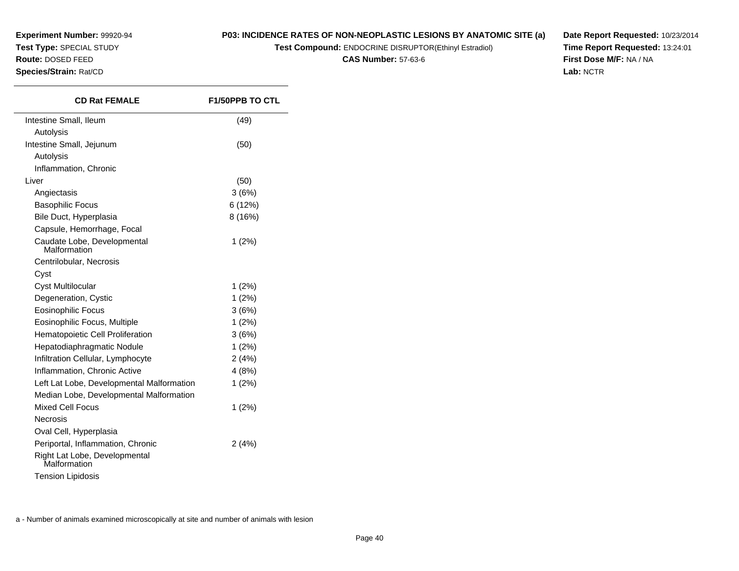**Experiment Number:** 99920-94**Test Type:** SPECIAL STUDY**Route:** DOSED FEED

#### **Species/Strain:** Rat/CD

 $\overline{\phantom{0}}$ 

**P03: INCIDENCE RATES OF NON-NEOPLASTIC LESIONS BY ANATOMIC SITE (a)**

**Test Compound:** ENDOCRINE DISRUPTOR(Ethinyl Estradiol)

**CAS Number:** 57-63-6

**Date Report Requested:** 10/23/2014**Time Report Requested:** 13:24:01**First Dose M/F:** NA / NA**Lab:** NCTR

| <b>CD Rat FEMALE</b>                          | <b>F1/50PPB TO CTL</b> |
|-----------------------------------------------|------------------------|
| Intestine Small, Ileum                        | (49)                   |
| Autolysis                                     |                        |
| Intestine Small, Jejunum                      | (50)                   |
| Autolysis                                     |                        |
| Inflammation, Chronic                         |                        |
| Liver                                         | (50)                   |
| Angiectasis                                   | 3(6%)                  |
| <b>Basophilic Focus</b>                       | 6 (12%)                |
| Bile Duct, Hyperplasia                        | 8(16%)                 |
| Capsule, Hemorrhage, Focal                    |                        |
| Caudate Lobe, Developmental<br>Malformation   | 1(2%)                  |
| Centrilobular, Necrosis                       |                        |
| Cyst                                          |                        |
| Cyst Multilocular                             | $1(2\%)$               |
| Degeneration, Cystic                          | 1(2%)                  |
| Eosinophilic Focus                            | 3(6%)                  |
| Eosinophilic Focus, Multiple                  | 1(2%)                  |
| Hematopoietic Cell Proliferation              | 3(6%)                  |
| Hepatodiaphragmatic Nodule                    | 1(2%)                  |
| Infiltration Cellular, Lymphocyte             | 2(4%)                  |
| Inflammation, Chronic Active                  | 4(8%)                  |
| Left Lat Lobe, Developmental Malformation     | 1(2%)                  |
| Median Lobe, Developmental Malformation       |                        |
| <b>Mixed Cell Focus</b>                       | 1(2%)                  |
| Necrosis                                      |                        |
| Oval Cell, Hyperplasia                        |                        |
| Periportal, Inflammation, Chronic             | 2(4%)                  |
| Right Lat Lobe, Developmental<br>Malformation |                        |
| <b>Tension Lipidosis</b>                      |                        |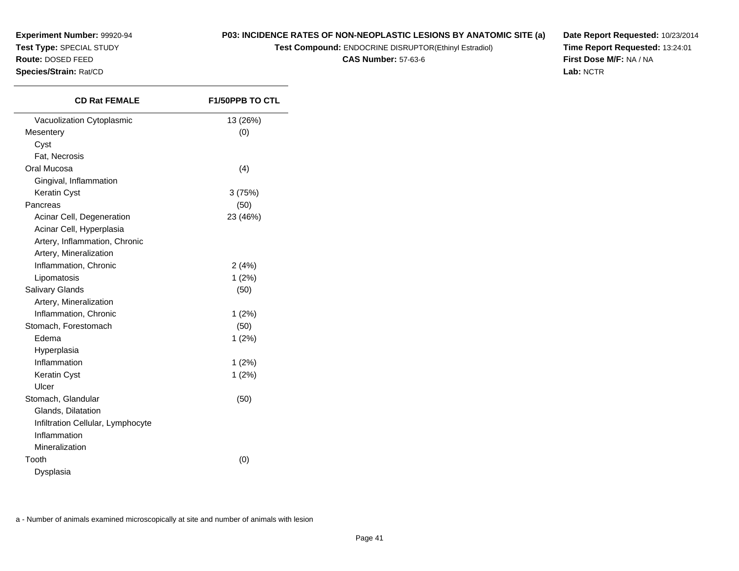**Experiment Number:** 99920-94**Test Type:** SPECIAL STUDY

## **Route:** DOSED FEED

**Species/Strain:** Rat/CD

**P03: INCIDENCE RATES OF NON-NEOPLASTIC LESIONS BY ANATOMIC SITE (a)**

**Test Compound:** ENDOCRINE DISRUPTOR(Ethinyl Estradiol)

**CAS Number:** 57-63-6

**Date Report Requested:** 10/23/2014**Time Report Requested:** 13:24:01**First Dose M/F:** NA / NA**Lab:** NCTR

| <b>CD Rat FEMALE</b>              | <b>F1/50PPB TO CTL</b> |
|-----------------------------------|------------------------|
| Vacuolization Cytoplasmic         | 13 (26%)               |
| Mesentery                         | (0)                    |
| Cyst                              |                        |
| Fat, Necrosis                     |                        |
| Oral Mucosa                       | (4)                    |
| Gingival, Inflammation            |                        |
| Keratin Cyst                      | 3(75%)                 |
| Pancreas                          | (50)                   |
| Acinar Cell, Degeneration         | 23 (46%)               |
| Acinar Cell, Hyperplasia          |                        |
| Artery, Inflammation, Chronic     |                        |
| Artery, Mineralization            |                        |
| Inflammation, Chronic             | 2(4%)                  |
| Lipomatosis                       | 1(2%)                  |
| Salivary Glands                   | (50)                   |
| Artery, Mineralization            |                        |
| Inflammation, Chronic             | 1(2%)                  |
| Stomach, Forestomach              | (50)                   |
| Edema                             | 1(2%)                  |
| Hyperplasia                       |                        |
| Inflammation                      | 1(2%)                  |
| Keratin Cyst                      | 1(2%)                  |
| Ulcer                             |                        |
| Stomach, Glandular                | (50)                   |
| Glands, Dilatation                |                        |
| Infiltration Cellular, Lymphocyte |                        |
| Inflammation                      |                        |
| Mineralization                    |                        |
| Tooth                             | (0)                    |
| Dysplasia                         |                        |
|                                   |                        |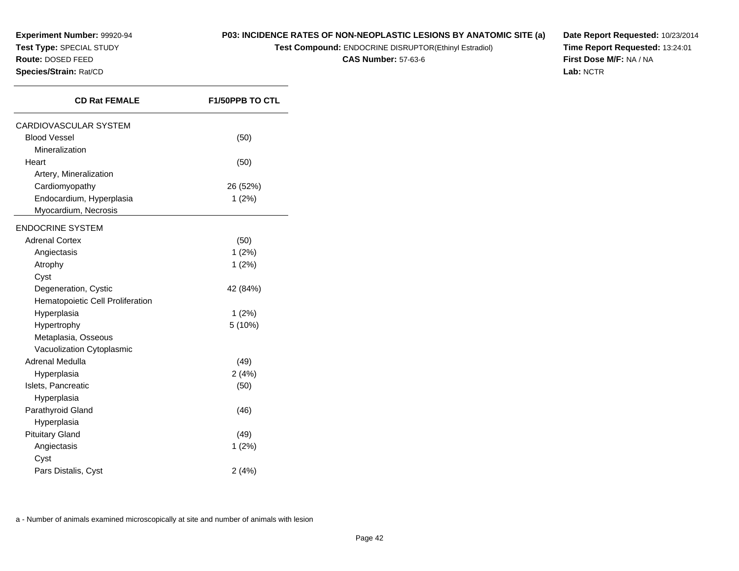## **P03: INCIDENCE RATES OF NON-NEOPLASTIC LESIONS BY ANATOMIC SITE (a)**

**Test Compound:** ENDOCRINE DISRUPTOR(Ethinyl Estradiol)

**CAS Number:** 57-63-6

**Date Report Requested:** 10/23/2014**Time Report Requested:** 13:24:01**First Dose M/F:** NA / NA**Lab:** NCTR

| <b>CD Rat FEMALE</b>             | <b>F1/50PPB TO CTL</b> |
|----------------------------------|------------------------|
| CARDIOVASCULAR SYSTEM            |                        |
| <b>Blood Vessel</b>              | (50)                   |
| Mineralization                   |                        |
| Heart                            | (50)                   |
| Artery, Mineralization           |                        |
| Cardiomyopathy                   | 26 (52%)               |
| Endocardium, Hyperplasia         | 1(2%)                  |
| Myocardium, Necrosis             |                        |
| <b>ENDOCRINE SYSTEM</b>          |                        |
| <b>Adrenal Cortex</b>            | (50)                   |
| Angiectasis                      | 1(2%)                  |
| Atrophy                          | $1(2\%)$               |
| Cyst                             |                        |
| Degeneration, Cystic             | 42 (84%)               |
| Hematopoietic Cell Proliferation |                        |
| Hyperplasia                      | 1(2%)                  |
| Hypertrophy                      | 5 (10%)                |
| Metaplasia, Osseous              |                        |
| Vacuolization Cytoplasmic        |                        |
| Adrenal Medulla                  | (49)                   |
| Hyperplasia                      | 2(4%)                  |
| Islets, Pancreatic               | (50)                   |
| Hyperplasia                      |                        |
| Parathyroid Gland                | (46)                   |
| Hyperplasia                      |                        |
| <b>Pituitary Gland</b>           | (49)                   |
| Angiectasis                      | 1(2%)                  |
| Cyst                             |                        |
| Pars Distalis, Cyst              | 2(4%)                  |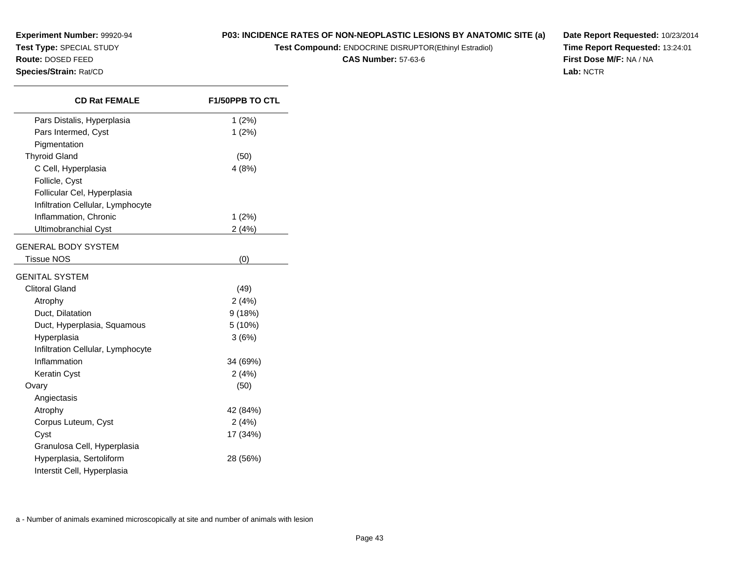**Experiment Number:** 99920-94**P03: INCIDENCE RATES OF NON-NEOPLASTIC LESIONS BY ANATOMIC SITE (a)**

**Test Compound:** ENDOCRINE DISRUPTOR(Ethinyl Estradiol)

**CAS Number:** 57-63-6

**Date Report Requested:** 10/23/2014**Time Report Requested:** 13:24:01**First Dose M/F:** NA / NA**Lab:** NCTR

| <b>CD Rat FEMALE</b>              | <b>F1/50PPB TO CTL</b> |
|-----------------------------------|------------------------|
| Pars Distalis, Hyperplasia        | 1(2%)                  |
| Pars Intermed, Cyst               | 1(2%)                  |
| Pigmentation                      |                        |
| <b>Thyroid Gland</b>              | (50)                   |
| C Cell, Hyperplasia               | 4(8%)                  |
| Follicle, Cyst                    |                        |
| Follicular Cel, Hyperplasia       |                        |
| Infiltration Cellular, Lymphocyte |                        |
| Inflammation, Chronic             | 1(2%)                  |
| <b>Ultimobranchial Cyst</b>       | 2(4%)                  |
| <b>GENERAL BODY SYSTEM</b>        |                        |
| <b>Tissue NOS</b>                 | (0)                    |
| <b>GENITAL SYSTEM</b>             |                        |
| <b>Clitoral Gland</b>             | (49)                   |
| Atrophy                           | 2(4%)                  |
| Duct, Dilatation                  | 9(18%)                 |
| Duct, Hyperplasia, Squamous       | 5 (10%)                |
| Hyperplasia                       | 3(6%)                  |
| Infiltration Cellular, Lymphocyte |                        |
| Inflammation                      | 34 (69%)               |
| <b>Keratin Cyst</b>               | 2(4%)                  |
| Ovary                             | (50)                   |
| Angiectasis                       |                        |
| Atrophy                           | 42 (84%)               |
| Corpus Luteum, Cyst               | 2(4%)                  |
| Cyst                              | 17 (34%)               |
| Granulosa Cell, Hyperplasia       |                        |
| Hyperplasia, Sertoliform          | 28 (56%)               |
| Interstit Cell, Hyperplasia       |                        |

**Test Type:** SPECIAL STUDY**Route:** DOSED FEED**Species/Strain:** Rat/CD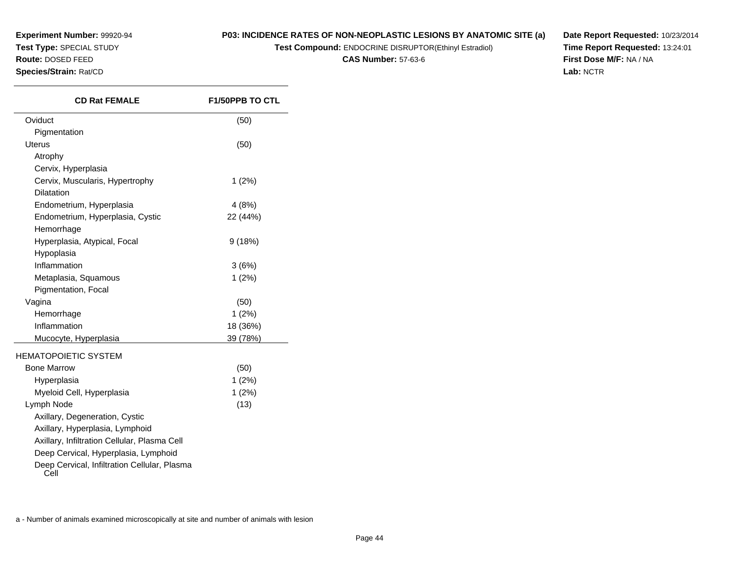## **P03: INCIDENCE RATES OF NON-NEOPLASTIC LESIONS BY ANATOMIC SITE (a)**

**Test Compound:** ENDOCRINE DISRUPTOR(Ethinyl Estradiol)

**CAS Number:** 57-63-6

**Date Report Requested:** 10/23/2014**Time Report Requested:** 13:24:01**First Dose M/F:** NA / NA**Lab:** NCTR

| <b>CD Rat FEMALE</b>                                 | <b>F1/50PPB TO CTL</b> |
|------------------------------------------------------|------------------------|
| Oviduct                                              | (50)                   |
| Pigmentation                                         |                        |
| <b>Uterus</b>                                        | (50)                   |
| Atrophy                                              |                        |
| Cervix, Hyperplasia                                  |                        |
| Cervix, Muscularis, Hypertrophy                      | $1(2\%)$               |
| <b>Dilatation</b>                                    |                        |
| Endometrium, Hyperplasia                             | 4(8%)                  |
| Endometrium, Hyperplasia, Cystic                     | 22 (44%)               |
| Hemorrhage                                           |                        |
| Hyperplasia, Atypical, Focal                         | 9(18%)                 |
| Hypoplasia                                           |                        |
| Inflammation                                         | 3(6%)                  |
| Metaplasia, Squamous                                 | 1(2%)                  |
| Pigmentation, Focal                                  |                        |
| Vagina                                               | (50)                   |
| Hemorrhage                                           | 1(2%)                  |
| Inflammation                                         | 18 (36%)               |
| Mucocyte, Hyperplasia                                | 39 (78%)               |
| <b>HEMATOPOIETIC SYSTEM</b>                          |                        |
| <b>Bone Marrow</b>                                   | (50)                   |
| Hyperplasia                                          | 1(2%)                  |
| Myeloid Cell, Hyperplasia                            | 1(2%)                  |
| Lymph Node                                           | (13)                   |
| Axillary, Degeneration, Cystic                       |                        |
| Axillary, Hyperplasia, Lymphoid                      |                        |
| Axillary, Infiltration Cellular, Plasma Cell         |                        |
| Deep Cervical, Hyperplasia, Lymphoid                 |                        |
| Deep Cervical, Infiltration Cellular, Plasma<br>Cell |                        |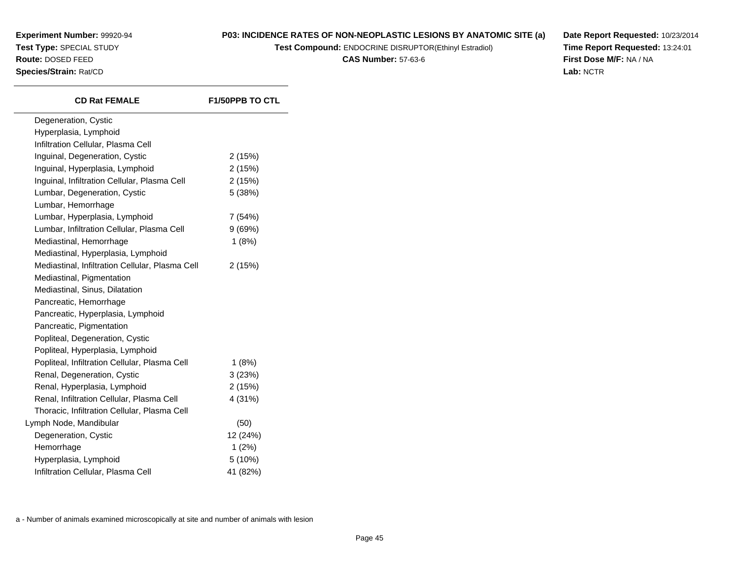## **P03: INCIDENCE RATES OF NON-NEOPLASTIC LESIONS BY ANATOMIC SITE (a)**

**Test Compound:** ENDOCRINE DISRUPTOR(Ethinyl Estradiol)

**CAS Number:** 57-63-6

**Date Report Requested:** 10/23/2014**Time Report Requested:** 13:24:01**First Dose M/F:** NA / NA**Lab:** NCTR

| <b>CD Rat FEMALE</b>                            | <b>F1/50PPB TO CTL</b> |
|-------------------------------------------------|------------------------|
| Degeneration, Cystic                            |                        |
| Hyperplasia, Lymphoid                           |                        |
| Infiltration Cellular, Plasma Cell              |                        |
| Inguinal, Degeneration, Cystic                  | 2(15%)                 |
| Inguinal, Hyperplasia, Lymphoid                 | 2(15%)                 |
| Inguinal, Infiltration Cellular, Plasma Cell    | 2(15%)                 |
| Lumbar, Degeneration, Cystic                    | 5(38%)                 |
| Lumbar, Hemorrhage                              |                        |
| Lumbar, Hyperplasia, Lymphoid                   | 7(54%)                 |
| Lumbar, Infiltration Cellular, Plasma Cell      | 9(69%)                 |
| Mediastinal, Hemorrhage                         | 1(8%)                  |
| Mediastinal, Hyperplasia, Lymphoid              |                        |
| Mediastinal, Infiltration Cellular, Plasma Cell | 2(15%)                 |
| Mediastinal, Pigmentation                       |                        |
| Mediastinal, Sinus, Dilatation                  |                        |
| Pancreatic, Hemorrhage                          |                        |
| Pancreatic, Hyperplasia, Lymphoid               |                        |
| Pancreatic, Pigmentation                        |                        |
| Popliteal, Degeneration, Cystic                 |                        |
| Popliteal, Hyperplasia, Lymphoid                |                        |
| Popliteal, Infiltration Cellular, Plasma Cell   | 1(8%)                  |
| Renal, Degeneration, Cystic                     | 3(23%)                 |
| Renal, Hyperplasia, Lymphoid                    | 2(15%)                 |
| Renal, Infiltration Cellular, Plasma Cell       | 4 (31%)                |
| Thoracic, Infiltration Cellular, Plasma Cell    |                        |
| Lymph Node, Mandibular                          | (50)                   |
| Degeneration, Cystic                            | 12 (24%)               |
| Hemorrhage                                      | 1(2%)                  |
| Hyperplasia, Lymphoid                           | 5 (10%)                |
| Infiltration Cellular, Plasma Cell              | 41 (82%)               |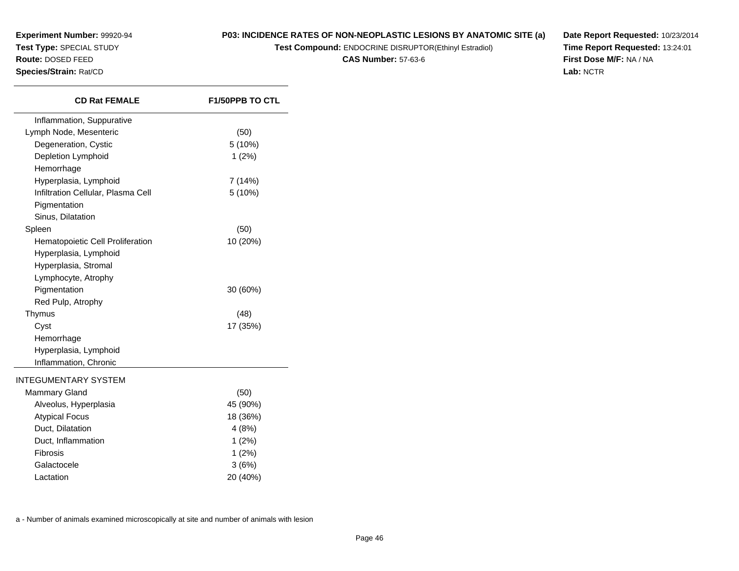## **P03: INCIDENCE RATES OF NON-NEOPLASTIC LESIONS BY ANATOMIC SITE (a)**

**Test Compound:** ENDOCRINE DISRUPTOR(Ethinyl Estradiol)

**CAS Number:** 57-63-6

**Date Report Requested:** 10/23/2014**Time Report Requested:** 13:24:01**First Dose M/F:** NA / NA**Lab:** NCTR

| Inflammation, Suppurative<br>Lymph Node, Mesenteric<br>(50)<br>5 (10%)<br>Degeneration, Cystic<br>Depletion Lymphoid<br>1(2%)<br>Hemorrhage<br>Hyperplasia, Lymphoid<br>7(14%)<br>Infiltration Cellular, Plasma Cell<br>5 (10%)<br>Pigmentation<br>Sinus, Dilatation<br>Spleen<br>(50)<br>Hematopoietic Cell Proliferation<br>10 (20%)<br>Hyperplasia, Lymphoid<br>Hyperplasia, Stromal<br>Lymphocyte, Atrophy<br>Pigmentation<br>30 (60%)<br>Red Pulp, Atrophy<br>Thymus<br>(48)<br>17 (35%)<br>Cyst<br>Hemorrhage<br>Hyperplasia, Lymphoid<br>Inflammation, Chronic<br><b>INTEGUMENTARY SYSTEM</b><br><b>Mammary Gland</b><br>(50)<br>45 (90%)<br>Alveolus, Hyperplasia<br>18 (36%)<br><b>Atypical Focus</b><br>Duct, Dilatation<br>4(8%)<br>Duct, Inflammation<br>1(2%)<br>Fibrosis<br>1(2%)<br>Galactocele<br>3(6%) | <b>CD Rat FEMALE</b> | <b>F1/50PPB TO CTL</b> |
|-------------------------------------------------------------------------------------------------------------------------------------------------------------------------------------------------------------------------------------------------------------------------------------------------------------------------------------------------------------------------------------------------------------------------------------------------------------------------------------------------------------------------------------------------------------------------------------------------------------------------------------------------------------------------------------------------------------------------------------------------------------------------------------------------------------------------|----------------------|------------------------|
|                                                                                                                                                                                                                                                                                                                                                                                                                                                                                                                                                                                                                                                                                                                                                                                                                         |                      |                        |
|                                                                                                                                                                                                                                                                                                                                                                                                                                                                                                                                                                                                                                                                                                                                                                                                                         |                      |                        |
|                                                                                                                                                                                                                                                                                                                                                                                                                                                                                                                                                                                                                                                                                                                                                                                                                         |                      |                        |
|                                                                                                                                                                                                                                                                                                                                                                                                                                                                                                                                                                                                                                                                                                                                                                                                                         |                      |                        |
|                                                                                                                                                                                                                                                                                                                                                                                                                                                                                                                                                                                                                                                                                                                                                                                                                         |                      |                        |
|                                                                                                                                                                                                                                                                                                                                                                                                                                                                                                                                                                                                                                                                                                                                                                                                                         |                      |                        |
|                                                                                                                                                                                                                                                                                                                                                                                                                                                                                                                                                                                                                                                                                                                                                                                                                         |                      |                        |
|                                                                                                                                                                                                                                                                                                                                                                                                                                                                                                                                                                                                                                                                                                                                                                                                                         |                      |                        |
|                                                                                                                                                                                                                                                                                                                                                                                                                                                                                                                                                                                                                                                                                                                                                                                                                         |                      |                        |
|                                                                                                                                                                                                                                                                                                                                                                                                                                                                                                                                                                                                                                                                                                                                                                                                                         |                      |                        |
|                                                                                                                                                                                                                                                                                                                                                                                                                                                                                                                                                                                                                                                                                                                                                                                                                         |                      |                        |
|                                                                                                                                                                                                                                                                                                                                                                                                                                                                                                                                                                                                                                                                                                                                                                                                                         |                      |                        |
|                                                                                                                                                                                                                                                                                                                                                                                                                                                                                                                                                                                                                                                                                                                                                                                                                         |                      |                        |
|                                                                                                                                                                                                                                                                                                                                                                                                                                                                                                                                                                                                                                                                                                                                                                                                                         |                      |                        |
|                                                                                                                                                                                                                                                                                                                                                                                                                                                                                                                                                                                                                                                                                                                                                                                                                         |                      |                        |
|                                                                                                                                                                                                                                                                                                                                                                                                                                                                                                                                                                                                                                                                                                                                                                                                                         |                      |                        |
|                                                                                                                                                                                                                                                                                                                                                                                                                                                                                                                                                                                                                                                                                                                                                                                                                         |                      |                        |
|                                                                                                                                                                                                                                                                                                                                                                                                                                                                                                                                                                                                                                                                                                                                                                                                                         |                      |                        |
|                                                                                                                                                                                                                                                                                                                                                                                                                                                                                                                                                                                                                                                                                                                                                                                                                         |                      |                        |
|                                                                                                                                                                                                                                                                                                                                                                                                                                                                                                                                                                                                                                                                                                                                                                                                                         |                      |                        |
|                                                                                                                                                                                                                                                                                                                                                                                                                                                                                                                                                                                                                                                                                                                                                                                                                         |                      |                        |
|                                                                                                                                                                                                                                                                                                                                                                                                                                                                                                                                                                                                                                                                                                                                                                                                                         |                      |                        |
|                                                                                                                                                                                                                                                                                                                                                                                                                                                                                                                                                                                                                                                                                                                                                                                                                         |                      |                        |
|                                                                                                                                                                                                                                                                                                                                                                                                                                                                                                                                                                                                                                                                                                                                                                                                                         |                      |                        |
|                                                                                                                                                                                                                                                                                                                                                                                                                                                                                                                                                                                                                                                                                                                                                                                                                         |                      |                        |
|                                                                                                                                                                                                                                                                                                                                                                                                                                                                                                                                                                                                                                                                                                                                                                                                                         |                      |                        |
|                                                                                                                                                                                                                                                                                                                                                                                                                                                                                                                                                                                                                                                                                                                                                                                                                         |                      |                        |
|                                                                                                                                                                                                                                                                                                                                                                                                                                                                                                                                                                                                                                                                                                                                                                                                                         |                      |                        |
|                                                                                                                                                                                                                                                                                                                                                                                                                                                                                                                                                                                                                                                                                                                                                                                                                         |                      |                        |
|                                                                                                                                                                                                                                                                                                                                                                                                                                                                                                                                                                                                                                                                                                                                                                                                                         | Lactation            | 20 (40%)               |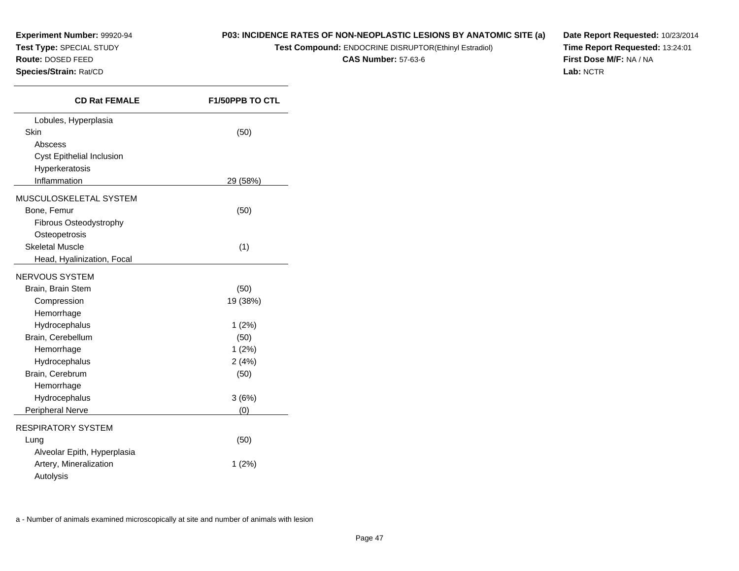## **P03: INCIDENCE RATES OF NON-NEOPLASTIC LESIONS BY ANATOMIC SITE (a)**

**Test Compound:** ENDOCRINE DISRUPTOR(Ethinyl Estradiol)

**CAS Number:** 57-63-6

**Date Report Requested:** 10/23/2014**Time Report Requested:** 13:24:01**First Dose M/F:** NA / NA**Lab:** NCTR

| <b>CD Rat FEMALE</b>        | <b>F1/50PPB TO CTL</b> |
|-----------------------------|------------------------|
| Lobules, Hyperplasia        |                        |
| Skin                        | (50)                   |
| Abscess                     |                        |
| Cyst Epithelial Inclusion   |                        |
| Hyperkeratosis              |                        |
| Inflammation                | 29 (58%)               |
| MUSCULOSKELETAL SYSTEM      |                        |
| Bone, Femur                 | (50)                   |
| Fibrous Osteodystrophy      |                        |
| Osteopetrosis               |                        |
| <b>Skeletal Muscle</b>      | (1)                    |
| Head, Hyalinization, Focal  |                        |
| NERVOUS SYSTEM              |                        |
| Brain, Brain Stem           | (50)                   |
| Compression                 | 19 (38%)               |
| Hemorrhage                  |                        |
| Hydrocephalus               | 1(2%)                  |
| Brain, Cerebellum           | (50)                   |
| Hemorrhage                  | 1(2%)                  |
| Hydrocephalus               | 2(4%)                  |
| Brain, Cerebrum             | (50)                   |
| Hemorrhage                  |                        |
| Hydrocephalus               | 3(6%)                  |
| Peripheral Nerve            | (0)                    |
| <b>RESPIRATORY SYSTEM</b>   |                        |
| Lung                        | (50)                   |
| Alveolar Epith, Hyperplasia |                        |
| Artery, Mineralization      | $1(2\%)$               |
| Autolysis                   |                        |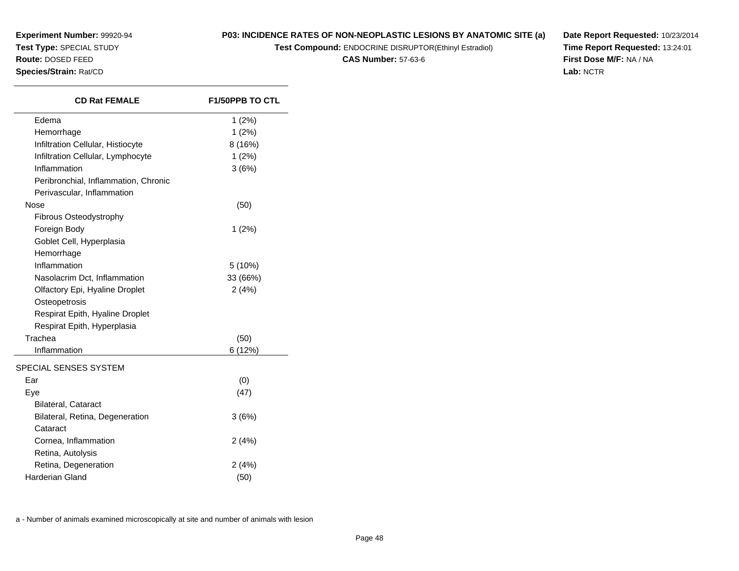**Experiment Number:** 99920-94**Test Type:** SPECIAL STUDY

## **Route:** DOSED FEED

**Species/Strain:** Rat/CD

**P03: INCIDENCE RATES OF NON-NEOPLASTIC LESIONS BY ANATOMIC SITE (a)**

**Test Compound:** ENDOCRINE DISRUPTOR(Ethinyl Estradiol)

**CAS Number:** 57-63-6

**Date Report Requested:** 10/23/2014**Time Report Requested:** 13:24:01**First Dose M/F:** NA / NA**Lab:** NCTR

| <b>CD Rat FEMALE</b>                 | <b>F1/50PPB TO CTL</b> |
|--------------------------------------|------------------------|
| Edema                                | 1(2%)                  |
| Hemorrhage                           | 1(2%)                  |
| Infiltration Cellular, Histiocyte    | 8(16%)                 |
| Infiltration Cellular, Lymphocyte    | 1(2%)                  |
| Inflammation                         | 3(6%)                  |
| Peribronchial, Inflammation, Chronic |                        |
| Perivascular, Inflammation           |                        |
| Nose                                 | (50)                   |
| Fibrous Osteodystrophy               |                        |
| Foreign Body                         | 1(2%)                  |
| Goblet Cell, Hyperplasia             |                        |
| Hemorrhage                           |                        |
| Inflammation                         | 5 (10%)                |
| Nasolacrim Dct, Inflammation         | 33 (66%)               |
| Olfactory Epi, Hyaline Droplet       | 2(4%)                  |
| Osteopetrosis                        |                        |
| Respirat Epith, Hyaline Droplet      |                        |
| Respirat Epith, Hyperplasia          |                        |
| Trachea                              | (50)                   |
| Inflammation                         | 6(12%)                 |
| SPECIAL SENSES SYSTEM                |                        |
| Ear                                  | (0)                    |
| Eye                                  | (47)                   |
| <b>Bilateral, Cataract</b>           |                        |
| Bilateral, Retina, Degeneration      | 3(6%)                  |
| Cataract                             |                        |
| Cornea, Inflammation                 | 2(4%)                  |
| Retina, Autolysis                    |                        |
| Retina, Degeneration                 | 2(4%)                  |
| <b>Harderian Gland</b>               | (50)                   |